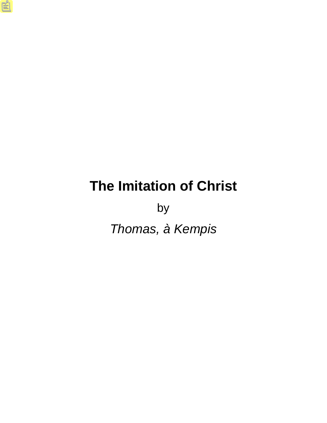## **The Imitation of Christ**

by

*Thomas, à Kempis*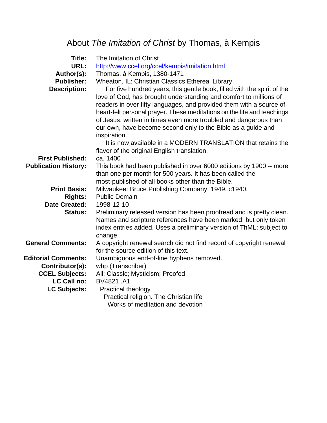## About *The Imitation of Christ* by Thomas, à Kempis

<span id="page-1-0"></span>

| Title:<br>URL:              | The Imitation of Christ<br>http://www.ccel.org/ccel/kempis/imitation.html                                                                                                                                                                                                                                                                                               |
|-----------------------------|-------------------------------------------------------------------------------------------------------------------------------------------------------------------------------------------------------------------------------------------------------------------------------------------------------------------------------------------------------------------------|
| Author(s):                  | Thomas, à Kempis, 1380-1471                                                                                                                                                                                                                                                                                                                                             |
| <b>Publisher:</b>           | Wheaton, IL: Christian Classics Ethereal Library                                                                                                                                                                                                                                                                                                                        |
| <b>Description:</b>         | For five hundred years, this gentle book, filled with the spirit of the                                                                                                                                                                                                                                                                                                 |
|                             | love of God, has brought understanding and comfort to millions of<br>readers in over fifty languages, and provided them with a source of<br>heart-felt personal prayer. These meditations on the life and teachings<br>of Jesus, written in times even more troubled and dangerous than<br>our own, have become second only to the Bible as a guide and<br>inspiration. |
|                             | It is now available in a MODERN TRANSLATION that retains the<br>flavor of the original English translation.                                                                                                                                                                                                                                                             |
| <b>First Published:</b>     | ca. 1400                                                                                                                                                                                                                                                                                                                                                                |
| <b>Publication History:</b> | This book had been published in over 6000 editions by 1900 -- more<br>than one per month for 500 years. It has been called the<br>most-published of all books other than the Bible.                                                                                                                                                                                     |
| <b>Print Basis:</b>         | Milwaukee: Bruce Publishing Company, 1949, c1940.                                                                                                                                                                                                                                                                                                                       |
| <b>Rights:</b>              | <b>Public Domain</b>                                                                                                                                                                                                                                                                                                                                                    |
| <b>Date Created:</b>        | 1998-12-10                                                                                                                                                                                                                                                                                                                                                              |
| <b>Status:</b>              | Preliminary released version has been proofread and is pretty clean.<br>Names and scripture references have been marked, but only token<br>index entries added. Uses a preliminary version of ThML; subject to<br>change.                                                                                                                                               |
| <b>General Comments:</b>    | A copyright renewal search did not find record of copyright renewal<br>for the source edition of this text.                                                                                                                                                                                                                                                             |
| <b>Editorial Comments:</b>  | Unambiguous end-of-line hyphens removed.                                                                                                                                                                                                                                                                                                                                |
| Contributor(s):             | whp (Transcriber)                                                                                                                                                                                                                                                                                                                                                       |
| <b>CCEL Subjects:</b>       | All; Classic; Mysticism; Proofed                                                                                                                                                                                                                                                                                                                                        |
| <b>LC Call no:</b>          | BV4821.A1                                                                                                                                                                                                                                                                                                                                                               |
| <b>LC Subjects:</b>         | Practical theology                                                                                                                                                                                                                                                                                                                                                      |
|                             | Practical religion. The Christian life                                                                                                                                                                                                                                                                                                                                  |
|                             | Works of meditation and devotion                                                                                                                                                                                                                                                                                                                                        |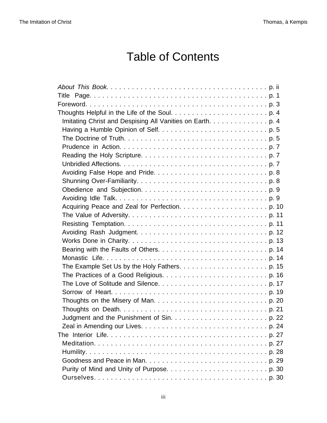## Table of Contents

| Imitating Christ and Despising All Vanities on Earth. p. 4 |
|------------------------------------------------------------|
|                                                            |
|                                                            |
|                                                            |
|                                                            |
|                                                            |
|                                                            |
|                                                            |
|                                                            |
|                                                            |
|                                                            |
|                                                            |
|                                                            |
|                                                            |
|                                                            |
|                                                            |
|                                                            |
|                                                            |
|                                                            |
|                                                            |
|                                                            |
|                                                            |
|                                                            |
|                                                            |
|                                                            |
|                                                            |
|                                                            |
|                                                            |
|                                                            |
|                                                            |
|                                                            |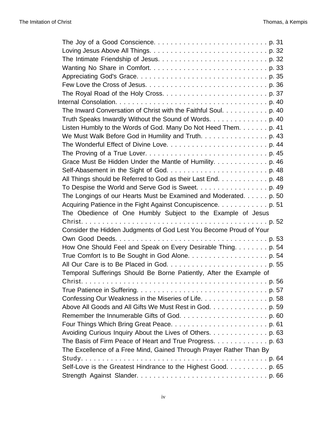| The Inward Conversation of Christ with the Faithful Soul. p. 40     |
|---------------------------------------------------------------------|
| Truth Speaks Inwardly Without the Sound of Words. p. 40             |
| Listen Humbly to the Words of God. Many Do Not Heed Them. p. 41     |
|                                                                     |
|                                                                     |
|                                                                     |
| Grace Must Be Hidden Under the Mantle of Humility. p. 46            |
|                                                                     |
| All Things should be Referred to God as their Last End. p. 48       |
|                                                                     |
| The Longings of our Hearts Must be Examined and Moderated. p. 50    |
| Acquiring Patience in the Fight Against Concupiscence. p. 51        |
| The Obedience of One Humbly Subject to the Example of Jesus         |
|                                                                     |
| Consider the Hidden Judgments of God Lest You Become Proud of Your  |
|                                                                     |
| How One Should Feel and Speak on Every Desirable Thing. p. 54       |
|                                                                     |
|                                                                     |
| Temporal Sufferings Should Be Borne Patiently, After the Example of |
|                                                                     |
|                                                                     |
|                                                                     |
| Above All Goods and All Gifts We Must Rest in God. p. 59            |
|                                                                     |
|                                                                     |
|                                                                     |
| The Basis of Firm Peace of Heart and True Progress. 9. 63           |
| The Excellence of a Free Mind, Gained Through Prayer Rather Than By |
|                                                                     |
| Self-Love is the Greatest Hindrance to the Highest Good. p. 65      |
|                                                                     |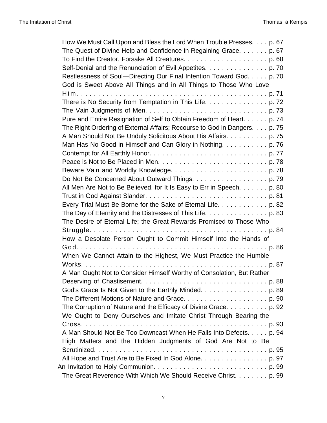| How We Must Call Upon and Bless the Lord When Trouble Presses. p. 67      |  |
|---------------------------------------------------------------------------|--|
| The Quest of Divine Help and Confidence in Regaining Grace. p. 67         |  |
|                                                                           |  |
| Self-Denial and the Renunciation of Evil Appetites. p. 70                 |  |
| Restlessness of Soul--Directing Our Final Intention Toward God. p. 70     |  |
| God is Sweet Above All Things and in All Things to Those Who Love         |  |
|                                                                           |  |
| There is No Security from Temptation in This Life. p. 72                  |  |
|                                                                           |  |
| Pure and Entire Resignation of Self to Obtain Freedom of Heart. p. 74     |  |
| The Right Ordering of External Affairs; Recourse to God in Dangers. p. 75 |  |
| A Man Should Not Be Unduly Solicitous About His Affairs. p. 75            |  |
| Man Has No Good in Himself and Can Glory in Nothing. p. 76                |  |
|                                                                           |  |
|                                                                           |  |
|                                                                           |  |
|                                                                           |  |
| All Men Are Not to Be Believed, for It Is Easy to Err in Speech. p. 80    |  |
|                                                                           |  |
| Every Trial Must Be Borne for the Sake of Eternal Life. p. 82             |  |
|                                                                           |  |
| The Desire of Eternal Life; the Great Rewards Promised to Those Who       |  |
|                                                                           |  |
| How a Desolate Person Ought to Commit Himself Into the Hands of           |  |
|                                                                           |  |
| When We Cannot Attain to the Highest, We Must Practice the Humble         |  |
|                                                                           |  |
| A Man Ought Not to Consider Himself Worthy of Consolation, But Rather     |  |
|                                                                           |  |
|                                                                           |  |
|                                                                           |  |
| The Corruption of Nature and the Efficacy of Divine Grace. p. 92          |  |
| We Ought to Deny Ourselves and Imitate Christ Through Bearing the         |  |
|                                                                           |  |
| A Man Should Not Be Too Downcast When He Falls Into Defects. p. 94        |  |
| High Matters and the Hidden Judgments of God Are Not to Be                |  |
|                                                                           |  |
|                                                                           |  |
|                                                                           |  |
| The Great Reverence With Which We Should Receive Christ. p. 99            |  |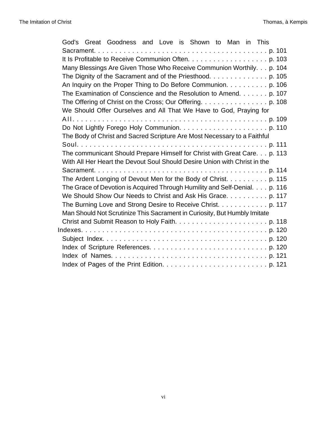| Great Goodness and Love is Shown to Man in This<br>God's                   |
|----------------------------------------------------------------------------|
|                                                                            |
|                                                                            |
| Many Blessings Are Given Those Who Receive Communion Worthily. p. 104      |
|                                                                            |
| An Inquiry on the Proper Thing to Do Before Communion. p. 106              |
| The Examination of Conscience and the Resolution to Amend. p. 107          |
|                                                                            |
| We Should Offer Ourselves and All That We Have to God, Praying for         |
|                                                                            |
|                                                                            |
| The Body of Christ and Sacred Scripture Are Most Necessary to a Faithful   |
|                                                                            |
| The communicant Should Prepare Himself for Christ with Great Care. p. 113  |
| With All Her Heart the Devout Soul Should Desire Union with Christ in the  |
|                                                                            |
| The Ardent Longing of Devout Men for the Body of Christ. p. 115            |
| The Grace of Devotion is Acquired Through Humility and Self-Denial. p. 116 |
| We Should Show Our Needs to Christ and Ask His Grace. p. 117               |
| The Burning Love and Strong Desire to Receive Christ. p. 117               |
| Man Should Not Scrutinize This Sacrament in Curiosity, But Humbly Imitate  |
|                                                                            |
|                                                                            |
|                                                                            |
|                                                                            |
|                                                                            |
|                                                                            |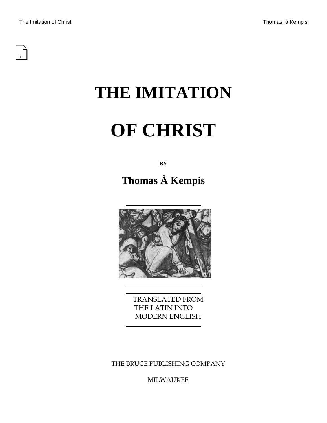<span id="page-6-0"></span>

# **THE IMITATION**

# **OF CHRIST**

**BY**

**Thomas À Kempis**



TRANSLATED FROM THE LATIN INTO MODERN ENGLISH

THE BRUCE PUBLISHING COMPANY

MILWAUKEE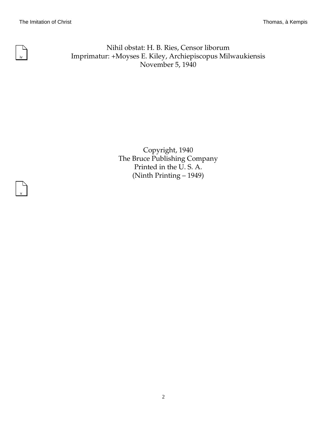

v

Nihil obstat: H. B. Ries, Censor liborum Imprimatur: +Moyses E. Kiley, Archiepiscopus Milwaukiensis November 5, 1940

> Copyright, 1940 The Bruce Publishing Company Printed in the U. S. A. (Ninth Printing – 1949)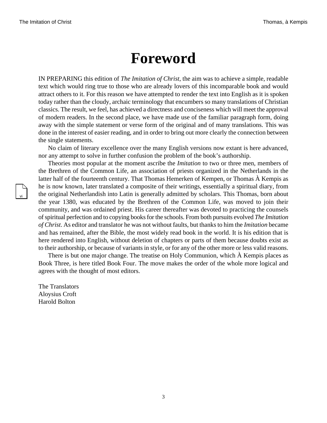## **Foreword**

<span id="page-8-0"></span>IN PREPARING this edition of *The Imitation of Christ*, the aim was to achieve a simple, readable text which would ring true to those who are already lovers of this incomparable book and would attract others to it. For this reason we have attempted to render the text into English as it is spoken today rather than the cloudy, archaic terminology that encumbers so many translations of Christian classics. The result, we feel, has achieved a directness and conciseness which will meet the approval of modern readers. In the second place, we have made use of the familiar paragraph form, doing away with the simple statement or verse form of the original and of many translations. This was done in the interest of easier reading, and in order to bring out more clearly the connection between the single statements.

No claim of literary excellence over the many English versions now extant is here advanced, nor any attempt to solve in further confusion the problem of the book's authorship.

Theories most popular at the moment ascribe the *Imitation* to two or three men, members of the Brethren of the Common Life, an association of priests organized in the Netherlands in the latter half of the fourteenth century. That Thomas Hemerken of Kempen, or Thomas À Kempis as he is now known, later translated a composite of their writings, essentially a spiritual diary, from the original Netherlandish into Latin is generally admitted by scholars. This Thomas, born about the year 1380, was educated by the Brethren of the Common Life, was moved to join their community, and was ordained priest. His career thereafter was devoted to practicing the counsels of spiritual perfection and to copying books for the schools. From both pursuits evolved *The Imitation of Christ*. As editor and translator he was not without faults, but thanks to him the *Imitation* became and has remained, after the Bible, the most widely read book in the world. It is his edition that is here rendered into English, without deletion of chapters or parts of them because doubts exist as to their authorship, or because of variants in style, or for any of the other more or less valid reasons.

There is but one major change. The treatise on Holy Communion, which À Kempis places as Book Three, is here titled Book Four. The move makes the order of the whole more logical and agrees with the thought of most editors.

The Translators Aloysius Croft Harold Bolton

vi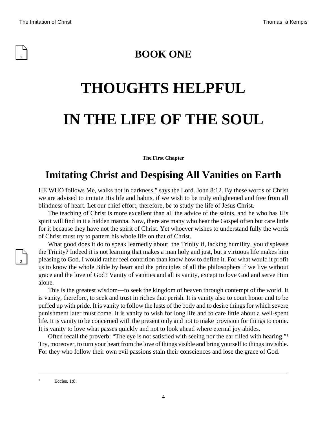### <sup>1</sup> **BOOK ONE**

# <span id="page-9-0"></span>**THOUGHTS HELPFUL IN THE LIFE OF THE SOUL**

**The First Chapter**

## <span id="page-9-1"></span>**Imitating Christ and Despising All Vanities on Earth**

HE WHO follows Me, walks not in darkness," says the Lord. [John 8:12](http://www.ccel.org/b/bible/asv/xml/asv.John.8.xml#John.8.12). By these words of Christ we are advised to imitate His life and habits, if we wish to be truly enlightened and free from all blindness of heart. Let our chief effort, therefore, be to study the life of Jesus Christ.

The teaching of Christ is more excellent than all the advice of the saints, and he who has His spirit will find in it a hidden manna. Now, there are many who hear the Gospel often but care little for it because they have not the spirit of Christ. Yet whoever wishes to understand fully the words of Christ must try to pattern his whole life on that of Christ.

What good does it do to speak learnedly about the Trinity if, lacking humility, you displease the Trinity? Indeed it is not learning that makes a man holy and just, but a virtuous life makes him pleasing to God. I would rather feel contrition than know how to define it. For what would it profit us to know the whole Bible by heart and the principles of all the philosophers if we live without grace and the love of God? Vanity of vanities and all is vanity, except to love God and serve Him alone.

This is the greatest wisdom—to seek the kingdom of heaven through contempt of the world. It is vanity, therefore, to seek and trust in riches that perish. It is vanity also to court honor and to be puffed up with pride. It is vanity to follow the lusts of the body and to desire things for which severe punishment later must come. It is vanity to wish for long life and to care little about a well-spent life. It is vanity to be concerned with the present only and not to make provision for things to come. It is vanity to love what passes quickly and not to look ahead where eternal joy abides.

Often recall the proverb: "The eye is not satisfied with seeing nor the ear filled with hearing."<sup>1</sup> Try, moreover, to turn your heart from the love of things visible and bring yourself to things invisible. For they who follow their own evil passions stain their consciences and lose the grace of God.

<sup>2</sup>

[Eccles. 1:8.](http://www.ccel.org/b/bible/asv/xml/asv.Eccl.1.xml#Eccl.1.8)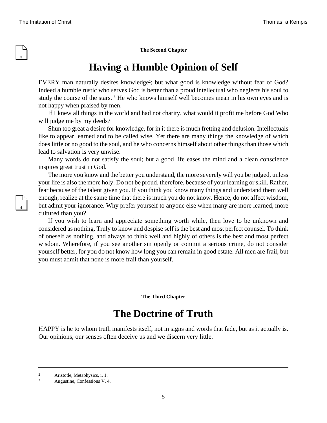**The Second Chapter**

## <span id="page-10-0"></span>3

4

## **Having a Humble Opinion of Self**

EVERY man naturally desires knowledge<sup>2</sup>; but what good is knowledge without fear of God? Indeed a humble rustic who serves God is better than a proud intellectual who neglects his soul to study the course of the stars.<sup>3</sup> He who knows himself well becomes mean in his own eyes and is not happy when praised by men.

If I knew all things in the world and had not charity, what would it profit me before God Who will judge me by my deeds?

Shun too great a desire for knowledge, for in it there is much fretting and delusion. Intellectuals like to appear learned and to be called wise. Yet there are many things the knowledge of which does little or no good to the soul, and he who concerns himself about other things than those which lead to salvation is very unwise.

Many words do not satisfy the soul; but a good life eases the mind and a clean conscience inspires great trust in God.

The more you know and the better you understand, the more severely will you be judged, unless your life is also the more holy. Do not be proud, therefore, because of your learning or skill. Rather, fear because of the talent given you. If you think you know many things and understand them well enough, realize at the same time that there is much you do not know. Hence, do not affect wisdom, but admit your ignorance. Why prefer yourself to anyone else when many are more learned, more cultured than you?

<span id="page-10-1"></span>If you wish to learn and appreciate something worth while, then love to be unknown and considered as nothing. Truly to know and despise self is the best and most perfect counsel. To think of oneself as nothing, and always to think well and highly of others is the best and most perfect wisdom. Wherefore, if you see another sin openly or commit a serious crime, do not consider yourself better, for you do not know how long you can remain in good estate. All men are frail, but you must admit that none is more frail than yourself.

#### **The Third Chapter**

#### **The Doctrine of Truth**

HAPPY is he to whom truth manifests itself, not in signs and words that fade, but as it actually is. Our opinions, our senses often deceive us and we discern very little.

<sup>2</sup> Aristotle, Metaphysics, i. 1.

<sup>3</sup> Augustine, Confessions V. 4.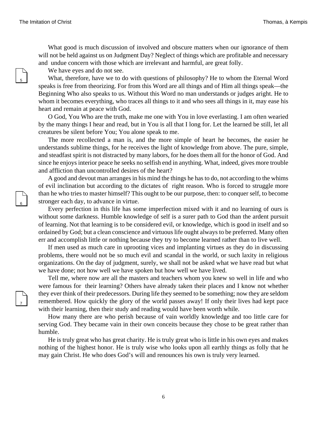What good is much discussion of involved and obscure matters when our ignorance of them will not be held against us on Judgment Day? Neglect of things which are profitable and necessary and undue concern with those which are irrelevant and harmful, are great folly.

5

6

7

We have eyes and do not see.

What, therefore, have we to do with questions of philosophy? He to whom the Eternal Word speaks is free from theorizing. For from this Word are all things and of Him all things speak—the Beginning Who also speaks to us. Without this Word no man understands or judges aright. He to whom it becomes everything, who traces all things to it and who sees all things in it, may ease his heart and remain at peace with God.

O God, You Who are the truth, make me one with You in love everlasting. I am often wearied by the many things I hear and read, but in You is all that I long for. Let the learned be still, let all creatures be silent before You; You alone speak to me.

The more recollected a man is, and the more simple of heart he becomes, the easier he understands sublime things, for he receives the light of knowledge from above. The pure, simple, and steadfast spirit is not distracted by many labors, for he does them all for the honor of God. And since he enjoys interior peace he seeks no selfish end in anything. What, indeed, gives more trouble and affliction than uncontrolled desires of the heart?

A good and devout man arranges in his mind the things he has to do, not according to the whims of evil inclination but according to the dictates of right reason. Who is forced to struggle more than he who tries to master himself? This ought to be our purpose, then: to conquer self, to become stronger each day, to advance in virtue.

Every perfection in this life has some imperfection mixed with it and no learning of ours is without some darkness. Humble knowledge of self is a surer path to God than the ardent pursuit of learning. Not that learning is to be considered evil, or knowledge, which is good in itself and so ordained by God; but a clean conscience and virtuous life ought always to be preferred. Many often err and accomplish little or nothing because they try to become learned rather than to live well.

If men used as much care in uprooting vices and implanting virtues as they do in discussing problems, there would not be so much evil and scandal in the world, or such laxity in religious organizations. On the day of judgment, surely, we shall not be asked what we have read but what we have done; not how well we have spoken but how well we have lived.

Tell me, where now are all the masters and teachers whom you knew so well in life and who were famous for their learning? Others have already taken their places and I know not whether they ever think of their predecessors. During life they seemed to be something; now they are seldom remembered. How quickly the glory of the world passes away! If only their lives had kept pace with their learning, then their study and reading would have been worth while.

How many there are who perish because of vain worldly knowledge and too little care for serving God. They became vain in their own conceits because they chose to be great rather than humble.

He is truly great who has great charity. He is truly great who is little in his own eyes and makes nothing of the highest honor. He is truly wise who looks upon all earthly things as folly that he may gain Christ. He who does God's will and renounces his own is truly very learned.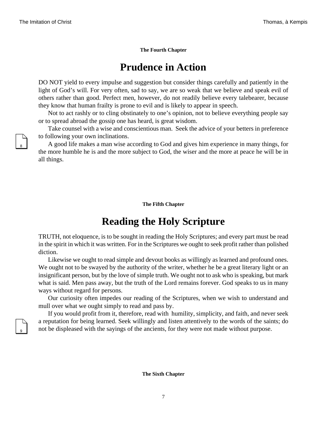**The Fourth Chapter**

#### **Prudence in Action**

<span id="page-12-0"></span>DO NOT yield to every impulse and suggestion but consider things carefully and patiently in the light of God's will. For very often, sad to say, we are so weak that we believe and speak evil of others rather than good. Perfect men, however, do not readily believe every talebearer, because they know that human frailty is prone to evil and is likely to appear in speech.

Not to act rashly or to cling obstinately to one's opinion, not to believe everything people say or to spread abroad the gossip one has heard, is great wisdom.

Take counsel with a wise and conscientious man. Seek the advice of your betters in preference to following your own inclinations.

A good life makes a man wise according to God and gives him experience in many things, for the more humble he is and the more subject to God, the wiser and the more at peace he will be in all things.

**The Fifth Chapter**

#### **Reading the Holy Scripture**

TRUTH, not eloquence, is to be sought in reading the Holy Scriptures; and every part must be read in the spirit in which it was written. For in the Scriptures we ought to seek profit rather than polished diction.

Likewise we ought to read simple and devout books as willingly as learned and profound ones. We ought not to be swayed by the authority of the writer, whether he be a great literary light or an insignificant person, but by the love of simple truth. We ought not to ask who is speaking, but mark what is said. Men pass away, but the truth of the Lord remains forever. God speaks to us in many ways without regard for persons.

Our curiosity often impedes our reading of the Scriptures, when we wish to understand and mull over what we ought simply to read and pass by.

<span id="page-12-2"></span>If you would profit from it, therefore, read with humility, simplicity, and faith, and never seek a reputation for being learned. Seek willingly and listen attentively to the words of the saints; do not be displeased with the sayings of the ancients, for they were not made without purpose.



<span id="page-12-1"></span>8

**The Sixth Chapter**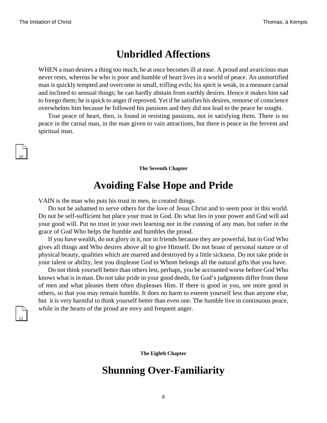<span id="page-13-1"></span>11

#### **Unbridled Affections**

WHEN a man desires a thing too much, he at once becomes ill at ease. A proud and avaricious man never rests, whereas he who is poor and humble of heart lives in a world of peace. An unmortified man is quickly tempted and overcome in small, trifling evils; his spirit is weak, in a measure carnal and inclined to sensual things; he can hardly abstain from earthly desires. Hence it makes him sad to forego them; he is quick to anger if reproved. Yet if he satisfies his desires, remorse of conscience overwhelms him because he followed his passions and they did not lead to the peace he sought.

<span id="page-13-0"></span>True peace of heart, then, is found in resisting passions, not in satisfying them. There is no peace in the carnal man, in the man given to vain attractions, but there is peace in the fervent and spiritual man.

**The Seventh Chapter**

#### **Avoiding False Hope and Pride**

VAIN is the man who puts his trust in men, in created things.

Do not be ashamed to serve others for the love of Jesus Christ and to seem poor in this world. Do not be self-sufficient but place your trust in God. Do what lies in your power and God will aid your good will. Put no trust in your own learning nor in the cunning of any man, but rather in the grace of God Who helps the humble and humbles the proud.

If you have wealth, do not glory in it, nor in friends because they are powerful, but in God Who gives all things and Who desires above all to give Himself. Do not boast of personal stature or of physical beauty, qualities which are marred and destroyed by a little sickness. Do not take pride in your talent or ability, lest you displease God to Whom belongs all the natural gifts that you have.

Do not think yourself better than others lest, perhaps, you be accounted worse before God Who knows what is in man. Do not take pride in your good deeds, for God's judgments differ from those of men and what pleases them often displeases Him. If there is good in you, see more good in others, so that you may remain humble. It does no harm to esteem yourself less than anyone else, but it is very harmful to think yourself better than even one. The humble live in continuous peace, while in the hearts of the proud are envy and frequent anger.

**The Eighth Chapter**

#### **Shunning Over-Familiarity**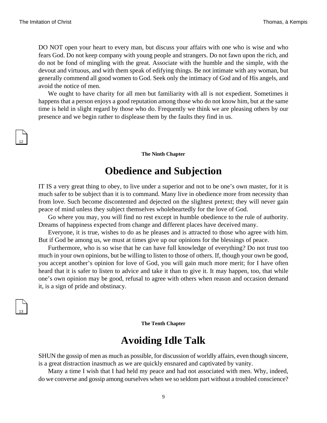<span id="page-14-1"></span>13

DO NOT open your heart to every man, but discuss your affairs with one who is wise and who fears God. Do not keep company with young people and strangers. Do not fawn upon the rich, and do not be fond of mingling with the great. Associate with the humble and the simple, with the devout and virtuous, and with them speak of edifying things. Be not intimate with any woman, but generally commend all good women to God. Seek only the intimacy of God and of His angels, and avoid the notice of men.

<span id="page-14-0"></span>We ought to have charity for all men but familiarity with all is not expedient. Sometimes it happens that a person enjoys a good reputation among those who do not know him, but at the same time is held in slight regard by those who do. Frequently we think we are pleasing others by our presence and we begin rather to displease them by the faults they find in us.

#### **The Ninth Chapter**

#### **Obedience and Subjection**

IT IS a very great thing to obey, to live under a superior and not to be one's own master, for it is much safer to be subject than it is to command. Many live in obedience more from necessity than from love. Such become discontented and dejected on the slightest pretext; they will never gain peace of mind unless they subject themselves wholeheartedly for the love of God.

Go where you may, you will find no rest except in humble obedience to the rule of authority. Dreams of happiness expected from change and different places have deceived many.

Everyone, it is true, wishes to do as he pleases and is attracted to those who agree with him. But if God be among us, we must at times give up our opinions for the blessings of peace.

Furthermore, who is so wise that he can have full knowledge of everything? Do not trust too much in your own opinions, but be willing to listen to those of others. If, though your own be good, you accept another's opinion for love of God, you will gain much more merit; for I have often heard that it is safer to listen to advice and take it than to give it. It may happen, too, that while one's own opinion may be good, refusal to agree with others when reason and occasion demand it, is a sign of pride and obstinacy.

#### **The Tenth Chapter**

#### **Avoiding Idle Talk**

SHUN the gossip of men as much as possible, for discussion of worldly affairs, even though sincere, is a great distraction inasmuch as we are quickly ensnared and captivated by vanity.

Many a time I wish that I had held my peace and had not associated with men. Why, indeed, do we converse and gossip among ourselves when we so seldom part without a troubled conscience?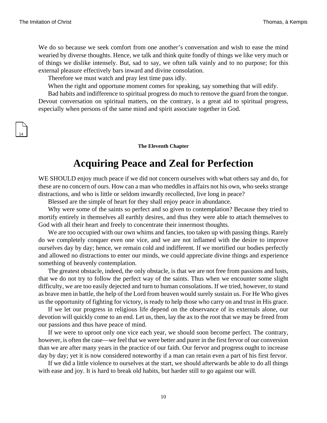We do so because we seek comfort from one another's conversation and wish to ease the mind wearied by diverse thoughts. Hence, we talk and think quite fondly of things we like very much or of things we dislike intensely. But, sad to say, we often talk vainly and to no purpose; for this external pleasure effectively bars inward and divine consolation.

Therefore we must watch and pray lest time pass idly.

When the right and opportune moment comes for speaking, say something that will edify.

<span id="page-15-0"></span>Bad habits and indifference to spiritual progress do much to remove the guard from the tongue. Devout conversation on spiritual matters, on the contrary, is a great aid to spiritual progress, especially when persons of the same mind and spirit associate together in God.

**The Eleventh Chapter**

#### **Acquiring Peace and Zeal for Perfection**

WE SHOULD enjoy much peace if we did not concern ourselves with what others say and do, for these are no concern of ours. How can a man who meddles in affairs not his own, who seeks strange distractions, and who is little or seldom inwardly recollected, live long in peace?

Blessed are the simple of heart for they shall enjoy peace in abundance.

Why were some of the saints so perfect and so given to contemplation? Because they tried to mortify entirely in themselves all earthly desires, and thus they were able to attach themselves to God with all their heart and freely to concentrate their innermost thoughts.

We are too occupied with our own whims and fancies, too taken up with passing things. Rarely do we completely conquer even one vice, and we are not inflamed with the desire to improve ourselves day by day; hence, we remain cold and indifferent. If we mortified our bodies perfectly and allowed no distractions to enter our minds, we could appreciate divine things and experience something of heavenly contemplation.

The greatest obstacle, indeed, the only obstacle, is that we are not free from passions and lusts, that we do not try to follow the perfect way of the saints. Thus when we encounter some slight difficulty, we are too easily dejected and turn to human consolations. If we tried, however, to stand as brave men in battle, the help of the Lord from heaven would surely sustain us. For He Who gives us the opportunity of fighting for victory, is ready to help those who carry on and trust in His grace.

If we let our progress in religious life depend on the observance of its externals alone, our devotion will quickly come to an end. Let us, then, lay the ax to the root that we may be freed from our passions and thus have peace of mind.

If we were to uproot only one vice each year, we should soon become perfect. The contrary, however, is often the case—we feel that we were better and purer in the first fervor of our conversion than we are after many years in the practice of our faith. Our fervor and progress ought to increase day by day; yet it is now considered noteworthy if a man can retain even a part of his first fervor.

If we did a little violence to ourselves at the start, we should afterwards be able to do all things with ease and joy. It is hard to break old habits, but harder still to go against our will.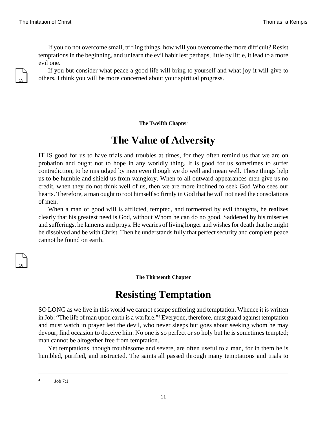<span id="page-16-1"></span>16

If you do not overcome small, trifling things, how will you overcome the more difficult? Resist temptations in the beginning, and unlearn the evil habit lest perhaps, little by little, it lead to a more evil one.

<span id="page-16-0"></span>If you but consider what peace a good life will bring to yourself and what joy it will give to others, I think you will be more concerned about your spiritual progress.

**The Twelfth Chapter**

### **The Value of Adversity**

IT IS good for us to have trials and troubles at times, for they often remind us that we are on probation and ought not to hope in any worldly thing. It is good for us sometimes to suffer contradiction, to be misjudged by men even though we do well and mean well. These things help us to be humble and shield us from vainglory. When to all outward appearances men give us no credit, when they do not think well of us, then we are more inclined to seek God Who sees our hearts. Therefore, a man ought to root himself so firmly in God that he will not need the consolations of men.

When a man of good will is afflicted, tempted, and tormented by evil thoughts, he realizes clearly that his greatest need is God, without Whom he can do no good. Saddened by his miseries and sufferings, he laments and prays. He wearies of living longer and wishes for death that he might be dissolved and be with Christ. Then he understands fully that perfect security and complete peace cannot be found on earth.

**The Thirteenth Chapter**

#### **Resisting Temptation**

SO LONG as we live in this world we cannot escape suffering and temptation. Whence it is written in Job: "The life of man upon earth is a warfare."<sup>4</sup> Everyone, therefore, must guard against temptation and must watch in prayer lest the devil, who never sleeps but goes about seeking whom he may devour, find occasion to deceive him. No one is so perfect or so holy but he is sometimes tempted; man cannot be altogether free from temptation.

Yet temptations, though troublesome and severe, are often useful to a man, for in them he is humbled, purified, and instructed. The saints all passed through many temptations and trials to



<sup>4</sup> [Job 7:1](http://www.ccel.org/b/bible/asv/xml/asv.Job.7.xml#Job.7.1).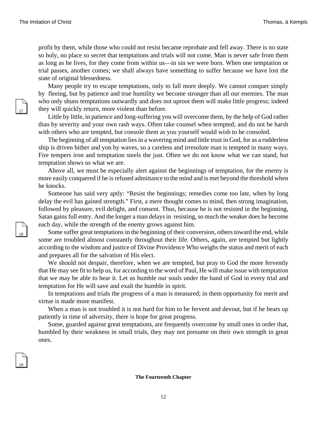profit by them, while those who could not resist became reprobate and fell away. There is no state so holy, no place so secret that temptations and trials will not come. Man is never safe from them as long as he lives, for they come from within us—in sin we were born. When one temptation or trial passes, another comes; we shall always have something to suffer because we have lost the state of original blessedness.

Many people try to escape temptations, only to fall more deeply. We cannot conquer simply by fleeing, but by patience and true humility we become stronger than all our enemies. The man who only shuns temptations outwardly and does not uproot them will make little progress; indeed they will quickly return, more violent than before.

Little by little, in patience and long-suffering you will overcome them, by the help of God rather than by severity and your own rash ways. Often take counsel when tempted; and do not be harsh with others who are tempted, but console them as you yourself would wish to be consoled.

The beginning of all temptation lies in a wavering mind and little trust in God, for as a rudderless ship is driven hither and yon by waves, so a careless and irresolute man is tempted in many ways. Fire tempers iron and temptation steels the just. Often we do not know what we can stand, but temptation shows us what we are.

Above all, we must be especially alert against the beginnings of temptation, for the enemy is more easily conquered if he is refused admittance to the mind and is met beyond the threshold when he knocks.

Someone has said very aptly: "Resist the beginnings; remedies come too late, when by long delay the evil has gained strength." First, a mere thought comes to mind, then strong imagination, followed by pleasure, evil delight, and consent. Thus, because he is not resisted in the beginning, Satan gains full entry. And the longer a man delays in resisting, so much the weaker does he become each day, while the strength of the enemy grows against him.

Some suffer great temptations in the beginning of their conversion, others toward the end, while some are troubled almost constantly throughout their life. Others, again, are tempted but lightly according to the wisdom and justice of Divine Providence Who weighs the status and merit of each and prepares all for the salvation of His elect.

We should not despair, therefore, when we are tempted, but pray to God the more fervently that He may see fit to help us, for according to the word of Paul, He will make issue with temptation that we may be able to bear it. Let us humble our souls under the hand of God in every trial and temptation for He will save and exalt the humble in spirit.

In temptations and trials the progress of a man is measured; in them opportunity for merit and virtue is made more manifest.

When a man is not troubled it is not hard for him to be fervent and devout, but if he bears up patiently in time of adversity, there is hope for great progress.

<span id="page-17-0"></span>Some, guarded against great temptations, are frequently overcome by small ones in order that, humbled by their weakness in small trials, they may not presume on their own strength in great ones.

19

**The Fourteenth Chapter**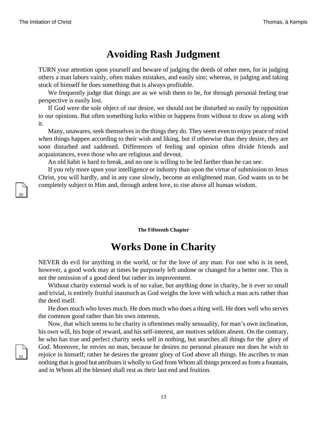21

### **Avoiding Rash Judgment**

TURN your attention upon yourself and beware of judging the deeds of other men, for in judging others a man labors vainly, often makes mistakes, and easily sins; whereas, in judging and taking stock of himself he does something that is always profitable.

We frequently judge that things are as we wish them to be, for through personal feeling true perspective is easily lost.

If God were the sole object of our desire, we should not be disturbed so easily by opposition to our opinions. But often something lurks within or happens from without to draw us along with it.

Many, unawares, seek themselves in the things they do. They seem even to enjoy peace of mind when things happen according to their wish and liking, but if otherwise than they desire, they are soon disturbed and saddened. Differences of feeling and opinion often divide friends and acquaintances, even those who are religious and devout.

An old habit is hard to break, and no one is willing to be led farther than he can see.

<span id="page-18-0"></span>If you rely more upon your intelligence or industry than upon the virtue of submission to Jesus Christ, you will hardly, and in any case slowly, become an enlightened man. God wants us to be completely subject to Him and, through ardent love, to rise above all human wisdom.

**The Fifteenth Chapter**

### **Works Done in Charity**

NEVER do evil for anything in the world, or for the love of any man. For one who is in need, however, a good work may at times be purposely left undone or changed for a better one. This is not the omission of a good deed but rather its improvement.

Without charity external work is of no value, but anything done in charity, be it ever so small and trivial, is entirely fruitful inasmuch as God weighs the love with which a man acts rather than the deed itself.

He does much who loves much. He does much who does a thing well. He does well who serves the common good rather than his own interests.

Now, that which seems to be charity is oftentimes really sensuality, for man's own inclination, his own will, his hope of reward, and his self-interest, are motives seldom absent. On the contrary, he who has true and perfect charity seeks self in nothing, but searches all things for the glory of God. Moreover, he envies no man, because he desires no personal pleasure nor does he wish to rejoice in himself; rather he desires the greater glory of God above all things. He ascribes to man nothing that is good but attributes it wholly to God from Whom all things proceed as from a fountain, and in Whom all the blessed shall rest as their last end and fruition.

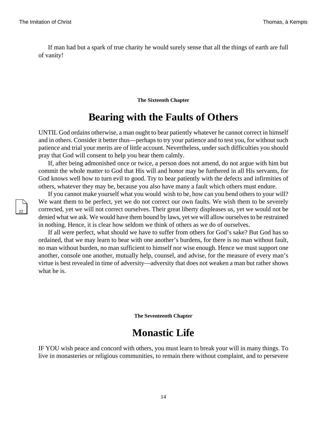<span id="page-19-0"></span>If man had but a spark of true charity he would surely sense that all the things of earth are full of vanity!

**The Sixteenth Chapter**

#### **Bearing with the Faults of Others**

UNTIL God ordains otherwise, a man ought to bear patiently whatever he cannot correct in himself and in others. Consider it better thus—perhaps to try your patience and to test you, for without such patience and trial your merits are of little account. Nevertheless, under such difficulties you should pray that God will consent to help you bear them calmly.

If, after being admonished once or twice, a person does not amend, do not argue with him but commit the whole matter to God that His will and honor may be furthered in all His servants, for God knows well how to turn evil to good. Try to bear patiently with the defects and infirmities of others, whatever they may be, because you also have many a fault which others must endure.

If you cannot make yourself what you would wish to be, how can you bend others to your will? We want them to be perfect, yet we do not correct our own faults. We wish them to be severely corrected, yet we will not correct ourselves. Their great liberty displeases us, yet we would not be denied what we ask. We would have them bound by laws, yet we will allow ourselves to be restrained in nothing. Hence, it is clear how seldom we think of others as we do of ourselves.

<span id="page-19-1"></span>If all were perfect, what should we have to suffer from others for God's sake? But God has so ordained, that we may learn to bear with one another's burdens, for there is no man without fault, no man without burden, no man sufficient to himself nor wise enough. Hence we must support one another, console one another, mutually help, counsel, and advise, for the measure of every man's virtue is best revealed in time of adversity—adversity that does not weaken a man but rather shows what he is.

**The Seventeenth Chapter**

#### **Monastic Life**

IF YOU wish peace and concord with others, you must learn to break your will in many things. To live in monasteries or religious communities, to remain there without complaint, and to persevere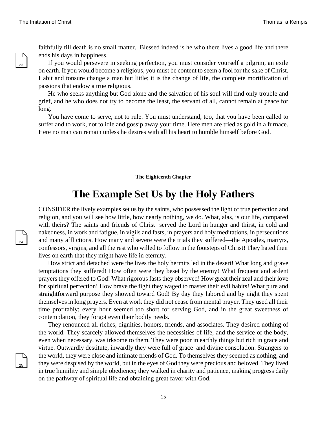faithfully till death is no small matter. Blessed indeed is he who there lives a good life and there ends his days in happiness.

If you would persevere in seeking perfection, you must consider yourself a pilgrim, an exile on earth. If you would become a religious, you must be content to seem a fool for the sake of Christ. Habit and tonsure change a man but little; it is the change of life, the complete mortification of passions that endow a true religious.

He who seeks anything but God alone and the salvation of his soul will find only trouble and grief, and he who does not try to become the least, the servant of all, cannot remain at peace for long.

<span id="page-20-0"></span>You have come to serve, not to rule. You must understand, too, that you have been called to suffer and to work, not to idle and gossip away your time. Here men are tried as gold in a furnace. Here no man can remain unless he desires with all his heart to humble himself before God.

**The Eighteenth Chapter**

#### **The Example Set Us by the Holy Fathers**

CONSIDER the lively examples set us by the saints, who possessed the light of true perfection and religion, and you will see how little, how nearly nothing, we do. What, alas, is our life, compared with theirs? The saints and friends of Christ served the Lord in hunger and thirst, in cold and nakedness, in work and fatigue, in vigils and fasts, in prayers and holy meditations, in persecutions and many afflictions. How many and severe were the trials they suffered—the Apostles, martyrs, confessors, virgins, and all the rest who willed to follow in the footsteps of Christ! They hated their lives on earth that they might have life in eternity.

How strict and detached were the lives the holy hermits led in the desert! What long and grave temptations they suffered! How often were they beset by the enemy! What frequent and ardent prayers they offered to God! What rigorous fasts they observed! How great their zeal and their love for spiritual perfection! How brave the fight they waged to master their evil habits! What pure and straightforward purpose they showed toward God! By day they labored and by night they spent themselves in long prayers. Even at work they did not cease from mental prayer. They used all their time profitably; every hour seemed too short for serving God, and in the great sweetness of contemplation, they forgot even their bodily needs.

They renounced all riches, dignities, honors, friends, and associates. They desired nothing of the world. They scarcely allowed themselves the necessities of life, and the service of the body, even when necessary, was irksome to them. They were poor in earthly things but rich in grace and virtue. Outwardly destitute, inwardly they were full of grace and divine consolation. Strangers to the world, they were close and intimate friends of God. To themselves they seemed as nothing, and they were despised by the world, but in the eyes of God they were precious and beloved. They lived in true humility and simple obedience; they walked in charity and patience, making progress daily on the pathway of spiritual life and obtaining great favor with God.

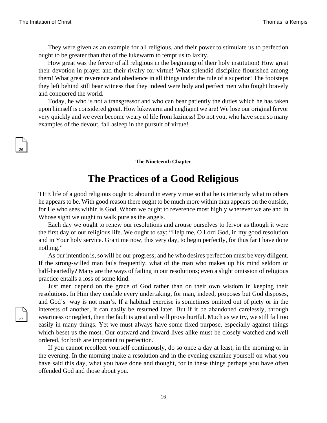27

They were given as an example for all religious, and their power to stimulate us to perfection ought to be greater than that of the lukewarm to tempt us to laxity.

How great was the fervor of all religious in the beginning of their holy institution! How great their devotion in prayer and their rivalry for virtue! What splendid discipline flourished among them! What great reverence and obedience in all things under the rule of a superior! The footsteps they left behind still bear witness that they indeed were holy and perfect men who fought bravely and conquered the world.

<span id="page-21-0"></span>Today, he who is not a transgressor and who can bear patiently the duties which he has taken upon himself is considered great. How lukewarm and negligent we are! We lose our original fervor very quickly and we even become weary of life from laziness! Do not you, who have seen so many examples of the devout, fall asleep in the pursuit of virtue!

**The Nineteenth Chapter**

#### **The Practices of a Good Religious**

THE life of a good religious ought to abound in every virtue so that he is interiorly what to others he appears to be. With good reason there ought to be much more within than appears on the outside, for He who sees within is God, Whom we ought to reverence most highly wherever we are and in Whose sight we ought to walk pure as the angels.

Each day we ought to renew our resolutions and arouse ourselves to fervor as though it were the first day of our religious life. We ought to say: "Help me, O Lord God, in my good resolution and in Your holy service. Grant me now, this very day, to begin perfectly, for thus far I have done nothing."

As our intention is, so will be our progress; and he who desires perfection must be very diligent. If the strong-willed man fails frequently, what of the man who makes up his mind seldom or half-heartedly? Many are the ways of failing in our resolutions; even a slight omission of religious practice entails a loss of some kind.

Just men depend on the grace of God rather than on their own wisdom in keeping their resolutions. In Him they confide every undertaking, for man, indeed, proposes but God disposes, and God's way is not man's. If a habitual exercise is sometimes omitted out of piety or in the interests of another, it can easily be resumed later. But if it be abandoned carelessly, through weariness or neglect, then the fault is great and will prove hurtful. Much as we try, we still fail too easily in many things. Yet we must always have some fixed purpose, especially against things which beset us the most. Our outward and inward lives alike must be closely watched and well ordered, for both are important to perfection.

If you cannot recollect yourself continuously, do so once a day at least, in the morning or in the evening. In the morning make a resolution and in the evening examine yourself on what you have said this day, what you have done and thought, for in these things perhaps you have often offended God and those about you.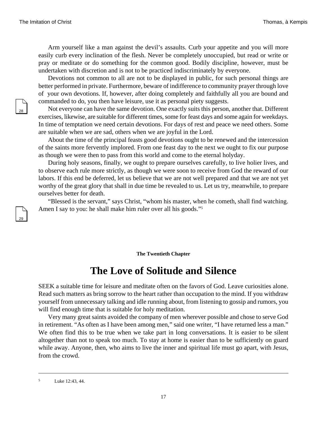<span id="page-22-0"></span>29

Arm yourself like a man against the devil's assaults. Curb your appetite and you will more easily curb every inclination of the flesh. Never be completely unoccupied, but read or write or pray or meditate or do something for the common good. Bodily discipline, however, must be undertaken with discretion and is not to be practiced indiscriminately by everyone.

Devotions not common to all are not to be displayed in public, for such personal things are better performed in private. Furthermore, beware of indifference to community prayer through love of your own devotions. If, however, after doing completely and faithfully all you are bound and commanded to do, you then have leisure, use it as personal piety suggests.

Not everyone can have the same devotion. One exactly suits this person, another that. Different exercises, likewise, are suitable for different times, some for feast days and some again for weekdays. In time of temptation we need certain devotions. For days of rest and peace we need others. Some are suitable when we are sad, others when we are joyful in the Lord.

About the time of the principal feasts good devotions ought to be renewed and the intercession of the saints more fervently implored. From one feast day to the next we ought to fix our purpose as though we were then to pass from this world and come to the eternal holyday.

During holy seasons, finally, we ought to prepare ourselves carefully, to live holier lives, and to observe each rule more strictly, as though we were soon to receive from God the reward of our labors. If this end be deferred, let us believe that we are not well prepared and that we are not yet worthy of the great glory that shall in due time be revealed to us. Let us try, meanwhile, to prepare ourselves better for death.

"Blessed is the servant," says Christ, "whom his master, when he cometh, shall find watching. Amen I say to you: he shall make him ruler over all his goods."<sup>5</sup>

#### **The Twentieth Chapter**

#### **The Love of Solitude and Silence**

SEEK a suitable time for leisure and meditate often on the favors of God. Leave curiosities alone. Read such matters as bring sorrow to the heart rather than occupation to the mind. If you withdraw yourself from unnecessary talking and idle running about, from listening to gossip and rumors, you will find enough time that is suitable for holy meditation.

Very many great saints avoided the company of men wherever possible and chose to serve God in retirement. "As often as I have been among men," said one writer, "I have returned less a man." We often find this to be true when we take part in long conversations. It is easier to be silent altogether than not to speak too much. To stay at home is easier than to be sufficiently on guard while away. Anyone, then, who aims to live the inner and spiritual life must go apart, with Jesus, from the crowd.



<sup>5</sup> [Luke 12:43, 44.](http://www.ccel.org/b/bible/asv/xml/asv.Luke.12.xml#Luke.12.43 Bible:Luke.12.44)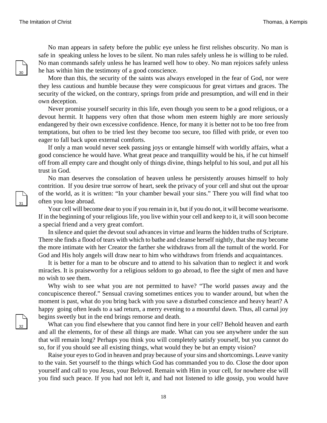No man appears in safety before the public eye unless he first relishes obscurity. No man is safe in speaking unless he loves to be silent. No man rules safely unless he is willing to be ruled. No man commands safely unless he has learned well how to obey. No man rejoices safely unless he has within him the testimony of a good conscience.

More than this, the security of the saints was always enveloped in the fear of God, nor were they less cautious and humble because they were conspicuous for great virtues and graces. The security of the wicked, on the contrary, springs from pride and presumption, and will end in their own deception.

Never promise yourself security in this life, even though you seem to be a good religious, or a devout hermit. It happens very often that those whom men esteem highly are more seriously endangered by their own excessive confidence. Hence, for many it is better not to be too free from temptations, but often to be tried lest they become too secure, too filled with pride, or even too eager to fall back upon external comforts.

If only a man would never seek passing joys or entangle himself with worldly affairs, what a good conscience he would have. What great peace and tranquillity would be his, if he cut himself off from all empty care and thought only of things divine, things helpful to his soul, and put all his trust in God.

No man deserves the consolation of heaven unless he persistently arouses himself to holy contrition. If you desire true sorrow of heart, seek the privacy of your cell and shut out the uproar of the world, as it is written: "In your chamber bewail your sins." There you will find what too often you lose abroad.

Your cell will become dear to you if you remain in it, but if you do not, it will become wearisome. If in the beginning of your religious life, you live within your cell and keep to it, it will soon become a special friend and a very great comfort.

In silence and quiet the devout soul advances in virtue and learns the hidden truths of Scripture. There she finds a flood of tears with which to bathe and cleanse herself nightly, that she may become the more intimate with her Creator the farther she withdraws from all the tumult of the world. For God and His holy angels will draw near to him who withdraws from friends and acquaintances.

It is better for a man to be obscure and to attend to his salvation than to neglect it and work miracles. It is praiseworthy for a religious seldom to go abroad, to flee the sight of men and have no wish to see them.

Why wish to see what you are not permitted to have? "The world passes away and the concupiscence thereof." Sensual craving sometimes entices you to wander around, but when the moment is past, what do you bring back with you save a disturbed conscience and heavy heart? A happy going often leads to a sad return, a merry evening to a mournful dawn. Thus, all carnal joy begins sweetly but in the end brings remorse and death.

What can you find elsewhere that you cannot find here in your cell? Behold heaven and earth and all the elements, for of these all things are made. What can you see anywhere under the sun that will remain long? Perhaps you think you will completely satisfy yourself, but you cannot do so, for if you should see all existing things, what would they be but an empty vision?

Raise your eyes to God in heaven and pray because of your sins and shortcomings. Leave vanity to the vain. Set yourself to the things which God has commanded you to do. Close the door upon yourself and call to you Jesus, your Beloved. Remain with Him in your cell, for nowhere else will you find such peace. If you had not left it, and had not listened to idle gossip, you would have

31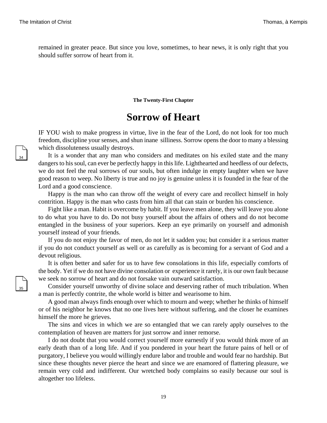35

<span id="page-24-0"></span>remained in greater peace. But since you love, sometimes, to hear news, it is only right that you should suffer sorrow of heart from it.

**The Twenty-First Chapter**

#### **Sorrow of Heart**

IF YOU wish to make progress in virtue, live in the fear of the Lord, do not look for too much freedom, discipline your senses, and shun inane silliness. Sorrow opens the door to many a blessing which dissoluteness usually destroys.

It is a wonder that any man who considers and meditates on his exiled state and the many dangers to his soul, can ever be perfectly happy in this life. Lighthearted and heedless of our defects, we do not feel the real sorrows of our souls, but often indulge in empty laughter when we have good reason to weep. No liberty is true and no joy is genuine unless it is founded in the fear of the Lord and a good conscience.

Happy is the man who can throw off the weight of every care and recollect himself in holy contrition. Happy is the man who casts from him all that can stain or burden his conscience.

Fight like a man. Habit is overcome by habit. If you leave men alone, they will leave you alone to do what you have to do. Do not busy yourself about the affairs of others and do not become entangled in the business of your superiors. Keep an eye primarily on yourself and admonish yourself instead of your friends.

If you do not enjoy the favor of men, do not let it sadden you; but consider it a serious matter if you do not conduct yourself as well or as carefully as is becoming for a servant of God and a devout religious.

It is often better and safer for us to have few consolations in this life, especially comforts of the body. Yet if we do not have divine consolation or experience it rarely, it is our own fault because we seek no sorrow of heart and do not forsake vain outward satisfaction.

Consider yourself unworthy of divine solace and deserving rather of much tribulation. When a man is perfectly contrite, the whole world is bitter and wearisome to him.

A good man always finds enough over which to mourn and weep; whether he thinks of himself or of his neighbor he knows that no one lives here without suffering, and the closer he examines himself the more he grieves.

The sins and vices in which we are so entangled that we can rarely apply ourselves to the contemplation of heaven are matters for just sorrow and inner remorse.

I do not doubt that you would correct yourself more earnestly if you would think more of an early death than of a long life. And if you pondered in your heart the future pains of hell or of purgatory, I believe you would willingly endure labor and trouble and would fear no hardship. But since these thoughts never pierce the heart and since we are enamored of flattering pleasure, we remain very cold and indifferent. Our wretched body complains so easily because our soul is altogether too lifeless.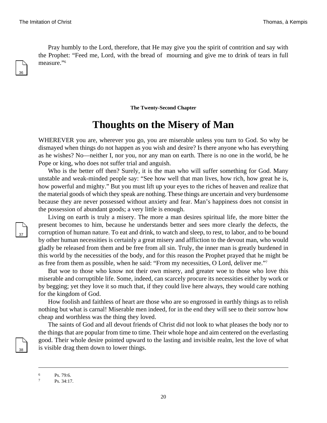Pray humbly to the Lord, therefore, that He may give you the spirit of contrition and say with the Prophet: "Feed me, Lord, with the bread of mourning and give me to drink of tears in full measure."<sup>6</sup>

**The Twenty-Second Chapter**

#### **Thoughts on the Misery of Man**

<span id="page-25-0"></span>WHEREVER you are, wherever you go, you are miserable unless you turn to God. So why be dismayed when things do not happen as you wish and desire? Is there anyone who has everything as he wishes? No—neither I, nor you, nor any man on earth. There is no one in the world, be he Pope or king, who does not suffer trial and anguish.

Who is the better off then? Surely, it is the man who will suffer something for God. Many unstable and weak-minded people say: "See how well that man lives, how rich, how great he is, how powerful and mighty." But you must lift up your eyes to the riches of heaven and realize that the material goods of which they speak are nothing. These things are uncertain and very burdensome because they are never possessed without anxiety and fear. Man's happiness does not consist in the possession of abundant goods; a very little is enough.

Living on earth is truly a misery. The more a man desires spiritual life, the more bitter the present becomes to him, because he understands better and sees more clearly the defects, the corruption of human nature. To eat and drink, to watch and sleep, to rest, to labor, and to be bound by other human necessities is certainly a great misery and affliction to the devout man, who would gladly be released from them and be free from all sin. Truly, the inner man is greatly burdened in this world by the necessities of the body, and for this reason the Prophet prayed that he might be as free from them as possible, when he said: "From my necessities, O Lord, deliver me."<sup>7</sup>

But woe to those who know not their own misery, and greater woe to those who love this miserable and corruptible life. Some, indeed, can scarcely procure its necessities either by work or by begging; yet they love it so much that, if they could live here always, they would care nothing for the kingdom of God.

How foolish and faithless of heart are those who are so engrossed in earthly things as to relish nothing but what is carnal! Miserable men indeed, for in the end they will see to their sorrow how cheap and worthless was the thing they loved.

The saints of God and all devout friends of Christ did not look to what pleases the body nor to the things that are popular from time to time. Their whole hope and aim centered on the everlasting good. Their whole desire pointed upward to the lasting and invisible realm, lest the love of what is visible drag them down to lower things.



37

<sup>6</sup> [Ps. 79:6](http://www.ccel.org/b/bible/asv/xml/asv.Ps.79.xml#Ps.79.6).

<sup>7</sup> [Ps. 34:17.](http://www.ccel.org/b/bible/asv/xml/asv.Ps.34.xml#Ps.34.17)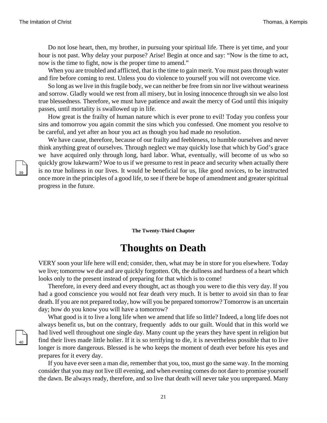Do not lose heart, then, my brother, in pursuing your spiritual life. There is yet time, and your hour is not past. Why delay your purpose? Arise! Begin at once and say: "Now is the time to act, now is the time to fight, now is the proper time to amend."

When you are troubled and afflicted, that is the time to gain merit. You must pass through water and fire before coming to rest. Unless you do violence to yourself you will not overcome vice.

So long as we live in this fragile body, we can neither be free from sin nor live without weariness and sorrow. Gladly would we rest from all misery, but in losing innocence through sin we also lost true blessedness. Therefore, we must have patience and await the mercy of God until this iniquity passes, until mortality is swallowed up in life.

How great is the frailty of human nature which is ever prone to evil! Today you confess your sins and tomorrow you again commit the sins which you confessed. One moment you resolve to be careful, and yet after an hour you act as though you had made no resolution.

We have cause, therefore, because of our frailty and feebleness, to humble ourselves and never think anything great of ourselves. Through neglect we may quickly lose that which by God's grace we have acquired only through long, hard labor. What, eventually, will become of us who so quickly grow lukewarm? Woe to us if we presume to rest in peace and security when actually there is no true holiness in our lives. It would be beneficial for us, like good novices, to be instructed once more in the principles of a good life, to see if there be hope of amendment and greater spiritual progress in the future.

**The Twenty-Third Chapter**

#### **Thoughts on Death**

<span id="page-26-0"></span>VERY soon your life here will end; consider, then, what may be in store for you elsewhere. Today we live; tomorrow we die and are quickly forgotten. Oh, the dullness and hardness of a heart which looks only to the present instead of preparing for that which is to come!

Therefore, in every deed and every thought, act as though you were to die this very day. If you had a good conscience you would not fear death very much. It is better to avoid sin than to fear death. If you are not prepared today, how will you be prepared tomorrow? Tomorrow is an uncertain day; how do you know you will have a tomorrow?

What good is it to live a long life when we amend that life so little? Indeed, a long life does not always benefit us, but on the contrary, frequently adds to our guilt. Would that in this world we had lived well throughout one single day. Many count up the years they have spent in religion but find their lives made little holier. If it is so terrifying to die, it is nevertheless possible that to live longer is more dangerous. Blessed is he who keeps the moment of death ever before his eyes and prepares for it every day.

If you have ever seen a man die, remember that you, too, must go the same way. In the morning consider that you may not live till evening, and when evening comes do not dare to promise yourself the dawn. Be always ready, therefore, and so live that death will never take you unprepared. Many

40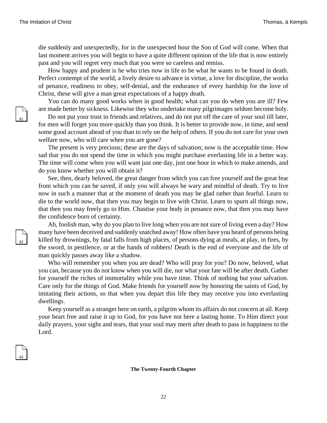42

43

die suddenly and unexpectedly, for in the unexpected hour the Son of God will come. When that last moment arrives you will begin to have a quite different opinion of the life that is now entirely past and you will regret very much that you were so careless and remiss.

How happy and prudent is he who tries now in life to be what he wants to be found in death. Perfect contempt of the world, a lively desire to advance in virtue, a love for discipline, the works of penance, readiness to obey, self-denial, and the endurance of every hardship for the love of Christ, these will give a man great expectations of a happy death.

You can do many good works when in good health; what can you do when you are ill? Few are made better by sickness. Likewise they who undertake many pilgrimages seldom become holy.

Do not put your trust in friends and relatives, and do not put off the care of your soul till later, for men will forget you more quickly than you think. It is better to provide now, in time, and send some good account ahead of you than to rely on the help of others. If you do not care for your own welfare now, who will care when you are gone?

The present is very precious; these are the days of salvation; now is the acceptable time. How sad that you do not spend the time in which you might purchase everlasting life in a better way. The time will come when you will want just one day, just one hour in which to make amends, and do you know whether you will obtain it?

See, then, dearly beloved, the great danger from which you can free yourself and the great fear from which you can be saved, if only you will always be wary and mindful of death. Try to live now in such a manner that at the moment of death you may be glad rather than fearful. Learn to die to the world now, that then you may begin to live with Christ. Learn to spurn all things now, that then you may freely go to Him. Chastise your body in penance now, that then you may have the confidence born of certainty.

Ah, foolish man, why do you plan to live long when you are not sure of living even a day? How many have been deceived and suddenly snatched away! How often have you heard of persons being killed by drownings, by fatal falls from high places, of persons dying at meals, at play, in fires, by the sword, in pestilence, or at the hands of robbers! Death is the end of everyone and the life of man quickly passes away like a shadow.

Who will remember you when you are dead? Who will pray for you? Do now, beloved, what you can, because you do not know when you will die, nor what your fate will be after death. Gather for yourself the riches of immortality while you have time. Think of nothing but your salvation. Care only for the things of God. Make friends for yourself now by honoring the saints of God, by imitating their actions, so that when you depart this life they may receive you into everlasting dwellings.

<span id="page-27-0"></span>Keep yourself as a stranger here on earth, a pilgrim whom its affairs do not concern at all. Keep your heart free and raise it up to God, for you have not here a lasting home. To Him direct your daily prayers, your sighs and tears, that your soul may merit after death to pass in happiness to the Lord.

#### **The Twenty-Fourth Chapter**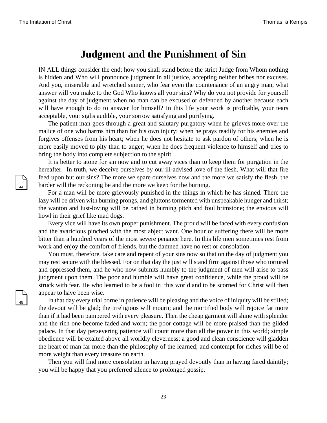#### **Judgment and the Punishment of Sin**

IN ALL things consider the end; how you shall stand before the strict Judge from Whom nothing is hidden and Who will pronounce judgment in all justice, accepting neither bribes nor excuses. And you, miserable and wretched sinner, who fear even the countenance of an angry man, what answer will you make to the God Who knows all your sins? Why do you not provide for yourself against the day of judgment when no man can be excused or defended by another because each will have enough to do to answer for himself? In this life your work is profitable, your tears acceptable, your sighs audible, your sorrow satisfying and purifying.

The patient man goes through a great and salutary purgatory when he grieves more over the malice of one who harms him than for his own injury; when he prays readily for his enemies and forgives offenses from his heart; when he does not hesitate to ask pardon of others; when he is more easily moved to pity than to anger; when he does frequent violence to himself and tries to bring the body into complete subjection to the spirit.

It is better to atone for sin now and to cut away vices than to keep them for purgation in the hereafter. In truth, we deceive ourselves by our ill-advised love of the flesh. What will that fire feed upon but our sins? The more we spare ourselves now and the more we satisfy the flesh, the harder will the reckoning be and the more we keep for the burning.

For a man will be more grievously punished in the things in which he has sinned. There the lazy will be driven with burning prongs, and gluttons tormented with unspeakable hunger and thirst; the wanton and lust-loving will be bathed in burning pitch and foul brimstone; the envious will howl in their grief like mad dogs.

Every vice will have its own proper punishment. The proud will be faced with every confusion and the avaricious pinched with the most abject want. One hour of suffering there will be more bitter than a hundred years of the most severe penance here. In this life men sometimes rest from work and enjoy the comfort of friends, but the damned have no rest or consolation.

You must, therefore, take care and repent of your sins now so that on the day of judgment you may rest secure with the blessed. For on that day the just will stand firm against those who tortured and oppressed them, and he who now submits humbly to the judgment of men will arise to pass judgment upon them. The poor and humble will have great confidence, while the proud will be struck with fear. He who learned to be a fool in this world and to be scorned for Christ will then appear to have been wise.

In that day every trial borne in patience will be pleasing and the voice of iniquity will be stilled; the devout will be glad; the irreligious will mourn; and the mortified body will rejoice far more than if it had been pampered with every pleasure. Then the cheap garment will shine with splendor and the rich one become faded and worn; the poor cottage will be more praised than the gilded palace. In that day persevering patience will count more than all the power in this world; simple obedience will be exalted above all worldly cleverness; a good and clean conscience will gladden the heart of man far more than the philosophy of the learned; and contempt for riches will be of more weight than every treasure on earth.

Then you will find more consolation in having prayed devoutly than in having fared daintily; you will be happy that you preferred silence to prolonged gossip.

44

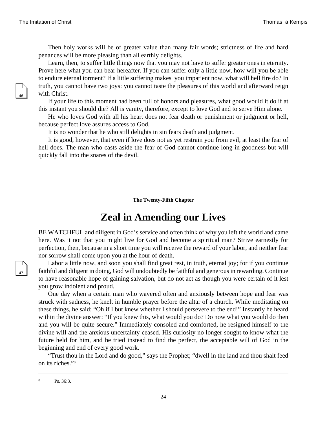47

Then holy works will be of greater value than many fair words; strictness of life and hard penances will be more pleasing than all earthly delights.

Learn, then, to suffer little things now that you may not have to suffer greater ones in eternity. Prove here what you can bear hereafter. If you can suffer only a little now, how will you be able to endure eternal torment? If a little suffering makes you impatient now, what will hell fire do? In truth, you cannot have two joys: you cannot taste the pleasures of this world and afterward reign with Christ.

If your life to this moment had been full of honors and pleasures, what good would it do if at this instant you should die? All is vanity, therefore, except to love God and to serve Him alone.

He who loves God with all his heart does not fear death or punishment or judgment or hell, because perfect love assures access to God.

It is no wonder that he who still delights in sin fears death and judgment.

<span id="page-29-0"></span>It is good, however, that even if love does not as yet restrain you from evil, at least the fear of hell does. The man who casts aside the fear of God cannot continue long in goodness but will quickly fall into the snares of the devil.

**The Twenty-Fifth Chapter**

#### **Zeal in Amending our Lives**

BE WATCHFUL and diligent in God's service and often think of why you left the world and came here. Was it not that you might live for God and become a spiritual man? Strive earnestly for perfection, then, because in a short time you will receive the reward of your labor, and neither fear nor sorrow shall come upon you at the hour of death.

Labor a little now, and soon you shall find great rest, in truth, eternal joy; for if you continue faithful and diligent in doing, God will undoubtedly be faithful and generous in rewarding. Continue to have reasonable hope of gaining salvation, but do not act as though you were certain of it lest you grow indolent and proud.

One day when a certain man who wavered often and anxiously between hope and fear was struck with sadness, he knelt in humble prayer before the altar of a church. While meditating on these things, he said: "Oh if I but knew whether I should persevere to the end!" Instantly he heard within the divine answer: "If you knew this, what would you do? Do now what you would do then and you will be quite secure." Immediately consoled and comforted, he resigned himself to the divine will and the anxious uncertainty ceased. His curiosity no longer sought to know what the future held for him, and he tried instead to find the perfect, the acceptable will of God in the beginning and end of every good work.

"Trust thou in the Lord and do good," says the Prophet; "dwell in the land and thou shalt feed on its riches."<sup>8</sup>

<sup>8</sup> [Ps. 36:3](http://www.ccel.org/b/bible/asv/xml/asv.Ps.36.xml#Ps.36.3).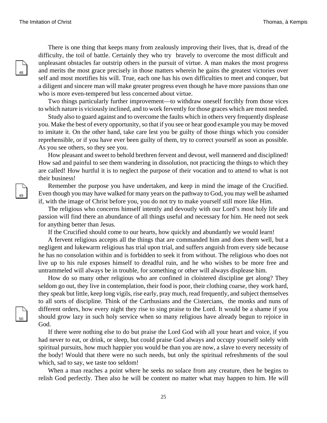49

50

There is one thing that keeps many from zealously improving their lives, that is, dread of the difficulty, the toil of battle. Certainly they who try bravely to overcome the most difficult and unpleasant obstacles far outstrip others in the pursuit of virtue. A man makes the most progress and merits the most grace precisely in those matters wherein he gains the greatest victories over self and most mortifies his will. True, each one has his own difficulties to meet and conquer, but a diligent and sincere man will make greater progress even though he have more passions than one who is more even-tempered but less concerned about virtue.

Two things particularly further improvement—to withdraw oneself forcibly from those vices to which nature is viciously inclined, and to work fervently for those graces which are most needed.

Study also to guard against and to overcome the faults which in others very frequently displease you. Make the best of every opportunity, so that if you see or hear good example you may be moved to imitate it. On the other hand, take care lest you be guilty of those things which you consider reprehensible, or if you have ever been guilty of them, try to correct yourself as soon as possible. As you see others, so they see you.

How pleasant and sweet to behold brethren fervent and devout, well mannered and disciplined! How sad and painful to see them wandering in dissolution, not practicing the things to which they are called! How hurtful it is to neglect the purpose of their vocation and to attend to what is not their business!

Remember the purpose you have undertaken, and keep in mind the image of the Crucified. Even though you may have walked for many years on the pathway to God, you may well be ashamed if, with the image of Christ before you, you do not try to make yourself still more like Him.

The religious who concerns himself intently and devoutly with our Lord's most holy life and passion will find there an abundance of all things useful and necessary for him. He need not seek for anything better than Jesus.

If the Crucified should come to our hearts, how quickly and abundantly we would learn!

A fervent religious accepts all the things that are commanded him and does them well, but a negligent and lukewarm religious has trial upon trial, and suffers anguish from every side because he has no consolation within and is forbidden to seek it from without. The religious who does not live up to his rule exposes himself to dreadful ruin, and he who wishes to be more free and untrammeled will always be in trouble, for something or other will always displease him.

How do so many other religious who are confined in cloistered discipline get along? They seldom go out, they live in contemplation, their food is poor, their clothing coarse, they work hard, they speak but little, keep long vigils, rise early, pray much, read frequently, and subject themselves to all sorts of discipline. Think of the Carthusians and the Cistercians, the monks and nuns of different orders, how every night they rise to sing praise to the Lord. It would be a shame if you should grow lazy in such holy service when so many religious have already begun to rejoice in God.

If there were nothing else to do but praise the Lord God with all your heart and voice, if you had never to eat, or drink, or sleep, but could praise God always and occupy yourself solely with spiritual pursuits, how much happier you would be than you are now, a slave to every necessity of the body! Would that there were no such needs, but only the spiritual refreshments of the soul which, sad to say, we taste too seldom!

When a man reaches a point where he seeks no solace from any creature, then he begins to relish God perfectly. Then also he will be content no matter what may happen to him. He will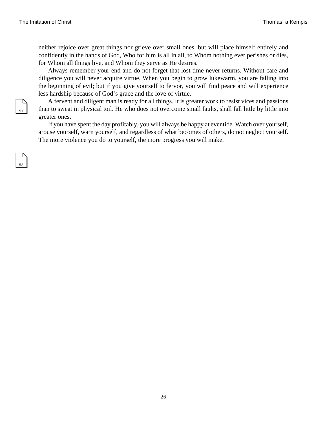neither rejoice over great things nor grieve over small ones, but will place himself entirely and confidently in the hands of God, Who for him is all in all, to Whom nothing ever perishes or dies, for Whom all things live, and Whom they serve as He desires.

Always remember your end and do not forget that lost time never returns. Without care and diligence you will never acquire virtue. When you begin to grow lukewarm, you are falling into the beginning of evil; but if you give yourself to fervor, you will find peace and will experience less hardship because of God's grace and the love of virtue.

A fervent and diligent man is ready for all things. It is greater work to resist vices and passions than to sweat in physical toil. He who does not overcome small faults, shall fall little by little into greater ones.

If you have spent the day profitably, you will always be happy at eventide. Watch over yourself, arouse yourself, warn yourself, and regardless of what becomes of others, do not neglect yourself. The more violence you do to yourself, the more progress you will make.



51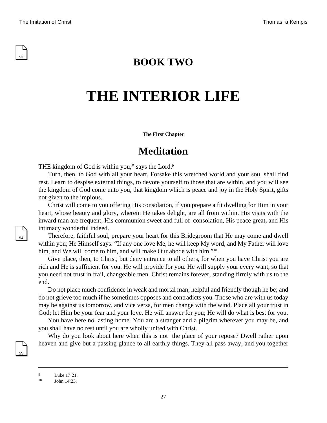<span id="page-32-0"></span>

### **BOOK TWO**

## **THE INTERIOR LIFE**

**The First Chapter**

#### **Meditation**

<span id="page-32-1"></span>THE kingdom of God is within you," says the Lord.<sup>9</sup>

Turn, then, to God with all your heart. Forsake this wretched world and your soul shall find rest. Learn to despise external things, to devote yourself to those that are within, and you will see the kingdom of God come unto you, that kingdom which is peace and joy in the Holy Spirit, gifts not given to the impious.

Christ will come to you offering His consolation, if you prepare a fit dwelling for Him in your heart, whose beauty and glory, wherein He takes delight, are all from within. His visits with the inward man are frequent, His communion sweet and full of consolation, His peace great, and His intimacy wonderful indeed.

Therefore, faithful soul, prepare your heart for this Bridegroom that He may come and dwell within you; He Himself says: "If any one love Me, he will keep My word, and My Father will love him, and We will come to him, and will make Our abode with him."<sup>10</sup>

Give place, then, to Christ, but deny entrance to all others, for when you have Christ you are rich and He is sufficient for you. He will provide for you. He will supply your every want, so that you need not trust in frail, changeable men. Christ remains forever, standing firmly with us to the end.

Do not place much confidence in weak and mortal man, helpful and friendly though he be; and do not grieve too much if he sometimes opposes and contradicts you. Those who are with us today may be against us tomorrow, and vice versa, for men change with the wind. Place all your trust in God; let Him be your fear and your love. He will answer for you; He will do what is best for you.

You have here no lasting home. You are a stranger and a pilgrim wherever you may be, and you shall have no rest until you are wholly united with Christ.

Why do you look about here when this is not the place of your repose? Dwell rather upon heaven and give but a passing glance to all earthly things. They all pass away, and you together

<sup>9</sup> [Luke 17:21](http://www.ccel.org/b/bible/asv/xml/asv.Luke.17.xml#Luke.17.21).

<sup>10</sup> [John 14:23.](http://www.ccel.org/b/bible/asv/xml/asv.John.14.xml#John.14.23)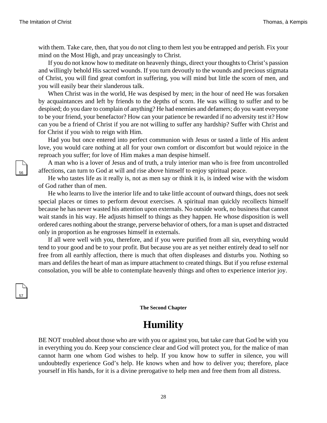with them. Take care, then, that you do not cling to them lest you be entrapped and perish. Fix your mind on the Most High, and pray unceasingly to Christ.

If you do not know how to meditate on heavenly things, direct your thoughts to Christ's passion and willingly behold His sacred wounds. If you turn devoutly to the wounds and precious stigmata of Christ, you will find great comfort in suffering, you will mind but little the scorn of men, and you will easily bear their slanderous talk.

When Christ was in the world, He was despised by men; in the hour of need He was forsaken by acquaintances and left by friends to the depths of scorn. He was willing to suffer and to be despised; do you dare to complain of anything? He had enemies and defamers; do you want everyone to be your friend, your benefactor? How can your patience be rewarded if no adversity test it? How can you be a friend of Christ if you are not willing to suffer any hardship? Suffer with Christ and for Christ if you wish to reign with Him.

Had you but once entered into perfect communion with Jesus or tasted a little of His ardent love, you would care nothing at all for your own comfort or discomfort but would rejoice in the reproach you suffer; for love of Him makes a man despise himself.

A man who is a lover of Jesus and of truth, a truly interior man who is free from uncontrolled affections, can turn to God at will and rise above himself to enjoy spiritual peace.

He who tastes life as it really is, not as men say or think it is, is indeed wise with the wisdom of God rather than of men.

He who learns to live the interior life and to take little account of outward things, does not seek special places or times to perform devout exercises. A spiritual man quickly recollects himself because he has never wasted his attention upon externals. No outside work, no business that cannot wait stands in his way. He adjusts himself to things as they happen. He whose disposition is well ordered cares nothing about the strange, perverse behavior of others, for a man is upset and distracted only in proportion as he engrosses himself in externals.

<span id="page-33-0"></span>If all were well with you, therefore, and if you were purified from all sin, everything would tend to your good and be to your profit. But because you are as yet neither entirely dead to self nor free from all earthly affection, there is much that often displeases and disturbs you. Nothing so mars and defiles the heart of man as impure attachment to created things. But if you refuse external consolation, you will be able to contemplate heavenly things and often to experience interior joy.

**The Second Chapter**

### **Humility**

BE NOT troubled about those who are with you or against you, but take care that God be with you in everything you do. Keep your conscience clear and God will protect you, for the malice of man cannot harm one whom God wishes to help. If you know how to suffer in silence, you will undoubtedly experience God's help. He knows when and how to deliver you; therefore, place yourself in His hands, for it is a divine prerogative to help men and free them from all distress.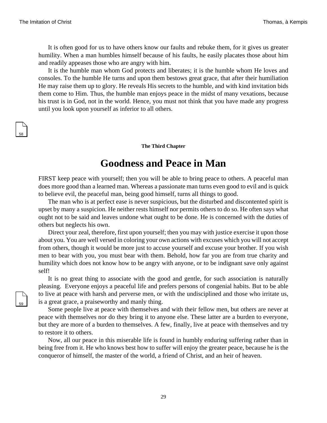It is often good for us to have others know our faults and rebuke them, for it gives us greater humility. When a man humbles himself because of his faults, he easily placates those about him and readily appeases those who are angry with him.

It is the humble man whom God protects and liberates; it is the humble whom He loves and consoles. To the humble He turns and upon them bestows great grace, that after their humiliation He may raise them up to glory. He reveals His secrets to the humble, and with kind invitation bids them come to Him. Thus, the humble man enjoys peace in the midst of many vexations, because his trust is in God, not in the world. Hence, you must not think that you have made any progress until you look upon yourself as inferior to all others.

#### **The Third Chapter**

#### **Goodness and Peace in Man**

<span id="page-34-0"></span>FIRST keep peace with yourself; then you will be able to bring peace to others. A peaceful man does more good than a learned man. Whereas a passionate man turns even good to evil and is quick to believe evil, the peaceful man, being good himself, turns all things to good.

The man who is at perfect ease is never suspicious, but the disturbed and discontented spirit is upset by many a suspicion. He neither rests himself nor permits others to do so. He often says what ought not to be said and leaves undone what ought to be done. He is concerned with the duties of others but neglects his own.

Direct your zeal, therefore, first upon yourself; then you may with justice exercise it upon those about you. You are well versed in coloring your own actions with excuses which you will not accept from others, though it would be more just to accuse yourself and excuse your brother. If you wish men to bear with you, you must bear with them. Behold, how far you are from true charity and humility which does not know how to be angry with anyone, or to be indignant save only against self!

It is no great thing to associate with the good and gentle, for such association is naturally pleasing. Everyone enjoys a peaceful life and prefers persons of congenial habits. But to be able to live at peace with harsh and perverse men, or with the undisciplined and those who irritate us, is a great grace, a praiseworthy and manly thing.

Some people live at peace with themselves and with their fellow men, but others are never at peace with themselves nor do they bring it to anyone else. These latter are a burden to everyone, but they are more of a burden to themselves. A few, finally, live at peace with themselves and try to restore it to others.

Now, all our peace in this miserable life is found in humbly enduring suffering rather than in being free from it. He who knows best how to suffer will enjoy the greater peace, because he is the conqueror of himself, the master of the world, a friend of Christ, and an heir of heaven.

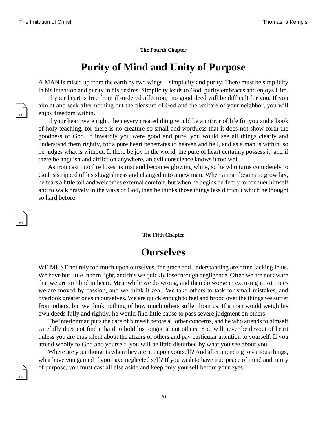#### **The Fourth Chapter**

#### **Purity of Mind and Unity of Purpose**

<span id="page-35-0"></span>A MAN is raised up from the earth by two wings—simplicity and purity. There must be simplicity in his intention and purity in his desires. Simplicity leads to God, purity embraces and enjoys Him.

If your heart is free from ill-ordered affection, no good deed will be difficult for you. If you aim at and seek after nothing but the pleasure of God and the welfare of your neighbor, you will enjoy freedom within.

If your heart were right, then every created thing would be a mirror of life for you and a book of holy teaching, for there is no creature so small and worthless that it does not show forth the goodness of God. If inwardly you were good and pure, you would see all things clearly and understand them rightly, for a pure heart penetrates to heaven and hell, and as a man is within, so he judges what is without. If there be joy in the world, the pure of heart certainly possess it; and if there be anguish and affliction anywhere, an evil conscience knows it too well.

<span id="page-35-1"></span>As iron cast into fire loses its rust and becomes glowing white, so he who turns completely to God is stripped of his sluggishness and changed into a new man. When a man begins to grow lax, he fears a little toil and welcomes external comfort, but when he begins perfectly to conquer himself and to walk bravely in the ways of God, then he thinks those things less difficult which he thought so hard before.

**The Fifth Chapter**

#### **Ourselves**

WE MUST not rely too much upon ourselves, for grace and understanding are often lacking in us. We have but little inborn light, and this we quickly lose through negligence. Often we are not aware that we are so blind in heart. Meanwhile we do wrong, and then do worse in excusing it. At times we are moved by passion, and we think it zeal. We take others to task for small mistakes, and overlook greater ones in ourselves. We are quick enough to feel and brood over the things we suffer from others, but we think nothing of how much others suffer from us. If a man would weigh his own deeds fully and rightly, he would find little cause to pass severe judgment on others.

The interior man puts the care of himself before all other concerns, and he who attends to himself carefully does not find it hard to hold his tongue about others. You will never be devout of heart unless you are thus silent about the affairs of others and pay particular attention to yourself. If you attend wholly to God and yourself, you will be little disturbed by what you see about you.

Where are your thoughts when they are not upon yourself? And after attending to various things, what have you gained if you have neglected self? If you wish to have true peace of mind and unity of purpose, you must cast all else aside and keep only yourself before your eyes.

 $60$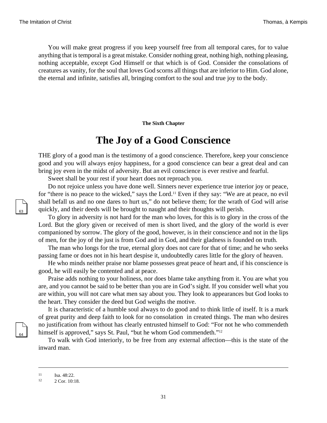64

You will make great progress if you keep yourself free from all temporal cares, for to value anything that is temporal is a great mistake. Consider nothing great, nothing high, nothing pleasing, nothing acceptable, except God Himself or that which is of God. Consider the consolations of creatures as vanity, for the soul that loves God scorns all things that are inferior to Him. God alone, the eternal and infinite, satisfies all, bringing comfort to the soul and true joy to the body.

**The Sixth Chapter**

### **The Joy of a Good Conscience**

THE glory of a good man is the testimony of a good conscience. Therefore, keep your conscience good and you will always enjoy happiness, for a good conscience can bear a great deal and can bring joy even in the midst of adversity. But an evil conscience is ever restive and fearful.

Sweet shall be your rest if your heart does not reproach you.

Do not rejoice unless you have done well. Sinners never experience true interior joy or peace, for "there is no peace to the wicked," says the Lord.11 Even if they say: "We are at peace, no evil shall befall us and no one dares to hurt us," do not believe them; for the wrath of God will arise quickly, and their deeds will be brought to naught and their thoughts will perish.

To glory in adversity is not hard for the man who loves, for this is to glory in the cross of the Lord. But the glory given or received of men is short lived, and the glory of the world is ever companioned by sorrow. The glory of the good, however, is in their conscience and not in the lips of men, for the joy of the just is from God and in God, and their gladness is founded on truth.

The man who longs for the true, eternal glory does not care for that of time; and he who seeks passing fame or does not in his heart despise it, undoubtedly cares little for the glory of heaven.

He who minds neither praise nor blame possesses great peace of heart and, if his conscience is good, he will easily be contented and at peace.

Praise adds nothing to your holiness, nor does blame take anything from it. You are what you are, and you cannot be said to be better than you are in God's sight. If you consider well what you are within, you will not care what men say about you. They look to appearances but God looks to the heart. They consider the deed but God weighs the motive.

It is characteristic of a humble soul always to do good and to think little of itself. It is a mark of great purity and deep faith to look for no consolation in created things. The man who desires no justification from without has clearly entrusted himself to God: "For not he who commendeth himself is approved," says St. Paul, "but he whom God commendeth."<sup>12</sup>

To walk with God interiorly, to be free from any external affection—this is the state of the inward man.

<sup>11</sup> [Isa. 48:22.](http://www.ccel.org/b/bible/asv/xml/asv.Isa.48.xml#Isa.48.22)

<sup>12</sup> [2 Cor. 10:18](http://www.ccel.org/b/bible/asv/xml/asv.iiCor.10.xml#iiCor.10.18).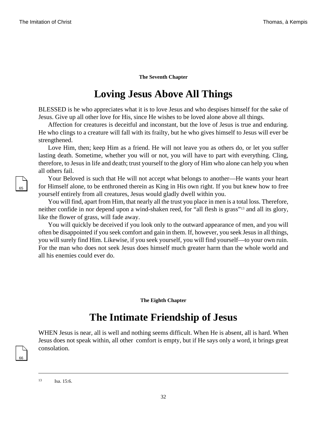### **The Seventh Chapter**

### **Loving Jesus Above All Things**

BLESSED is he who appreciates what it is to love Jesus and who despises himself for the sake of Jesus. Give up all other love for His, since He wishes to be loved alone above all things.

Affection for creatures is deceitful and inconstant, but the love of Jesus is true and enduring. He who clings to a creature will fall with its frailty, but he who gives himself to Jesus will ever be strengthened.

Love Him, then; keep Him as a friend. He will not leave you as others do, or let you suffer lasting death. Sometime, whether you will or not, you will have to part with everything. Cling, therefore, to Jesus in life and death; trust yourself to the glory of Him who alone can help you when all others fail.

Your Beloved is such that He will not accept what belongs to another—He wants your heart for Himself alone, to be enthroned therein as King in His own right. If you but knew how to free yourself entirely from all creatures, Jesus would gladly dwell within you.

You will find, apart from Him, that nearly all the trust you place in men is a total loss. Therefore, neither confide in nor depend upon a wind-shaken reed, for "all flesh is grass"13 and all its glory, like the flower of grass, will fade away.

You will quickly be deceived if you look only to the outward appearance of men, and you will often be disappointed if you seek comfort and gain in them. If, however, you seek Jesus in all things, you will surely find Him. Likewise, if you seek yourself, you will find yourself—to your own ruin. For the man who does not seek Jesus does himself much greater harm than the whole world and all his enemies could ever do.

**The Eighth Chapter**

# **The Intimate Friendship of Jesus**

WHEN Jesus is near, all is well and nothing seems difficult. When He is absent, all is hard. When Jesus does not speak within, all other comfort is empty, but if He says only a word, it brings great consolation.



<sup>13</sup> [Isa. 15:6.](http://www.ccel.org/b/bible/asv/xml/asv.Isa.15.xml#Isa.15.6)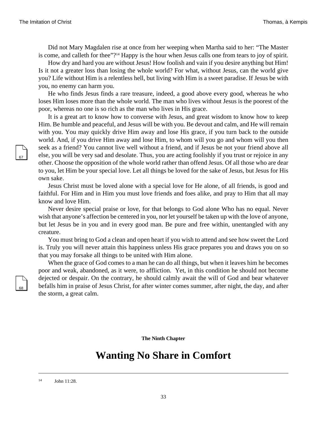Did not Mary Magdalen rise at once from her weeping when Martha said to her: "The Master is come, and calleth for thee"?14 Happy is the hour when Jesus calls one from tears to joy of spirit.

How dry and hard you are without Jesus! How foolish and vain if you desire anything but Him! Is it not a greater loss than losing the whole world? For what, without Jesus, can the world give you? Life without Him is a relentless hell, but living with Him is a sweet paradise. If Jesus be with you, no enemy can harm you.

He who finds Jesus finds a rare treasure, indeed, a good above every good, whereas he who loses Him loses more than the whole world. The man who lives without Jesus is the poorest of the poor, whereas no one is so rich as the man who lives in His grace.

It is a great art to know how to converse with Jesus, and great wisdom to know how to keep Him. Be humble and peaceful, and Jesus will be with you. Be devout and calm, and He will remain with you. You may quickly drive Him away and lose His grace, if you turn back to the outside world. And, if you drive Him away and lose Him, to whom will you go and whom will you then seek as a friend? You cannot live well without a friend, and if Jesus be not your friend above all else, you will be very sad and desolate. Thus, you are acting foolishly if you trust or rejoice in any other. Choose the opposition of the whole world rather than offend Jesus. Of all those who are dear to you, let Him be your special love. Let all things be loved for the sake of Jesus, but Jesus for His own sake.

Jesus Christ must be loved alone with a special love for He alone, of all friends, is good and faithful. For Him and in Him you must love friends and foes alike, and pray to Him that all may know and love Him.

Never desire special praise or love, for that belongs to God alone Who has no equal. Never wish that anyone's affection be centered in you, nor let yourself be taken up with the love of anyone, but let Jesus be in you and in every good man. Be pure and free within, unentangled with any creature.

You must bring to God a clean and open heart if you wish to attend and see how sweet the Lord is. Truly you will never attain this happiness unless His grace prepares you and draws you on so that you may forsake all things to be united with Him alone.

When the grace of God comes to a man he can do all things, but when it leaves him he becomes poor and weak, abandoned, as it were, to affliction. Yet, in this condition he should not become dejected or despair. On the contrary, he should calmly await the will of God and bear whatever befalls him in praise of Jesus Christ, for after winter comes summer, after night, the day, and after the storm, a great calm.

**The Ninth Chapter**

## **Wanting No Share in Comfort**

67

<sup>14</sup> [John 11:28.](http://www.ccel.org/b/bible/asv/xml/asv.John.11.xml#John.11.28)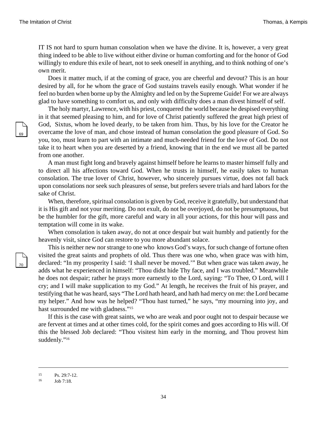70

IT IS not hard to spurn human consolation when we have the divine. It is, however, a very great thing indeed to be able to live without either divine or human comforting and for the honor of God willingly to endure this exile of heart, not to seek oneself in anything, and to think nothing of one's own merit.

Does it matter much, if at the coming of grace, you are cheerful and devout? This is an hour desired by all, for he whom the grace of God sustains travels easily enough. What wonder if he feel no burden when borne up by the Almighty and led on by the Supreme Guide! For we are always glad to have something to comfort us, and only with difficulty does a man divest himself of self.

The holy martyr, Lawrence, with his priest, conquered the world because he despised everything in it that seemed pleasing to him, and for love of Christ patiently suffered the great high priest of God, Sixtus, whom he loved dearly, to be taken from him. Thus, by his love for the Creator he overcame the love of man, and chose instead of human consolation the good pleasure of God. So you, too, must learn to part with an intimate and much-needed friend for the love of God. Do not take it to heart when you are deserted by a friend, knowing that in the end we must all be parted from one another.

A man must fight long and bravely against himself before he learns to master himself fully and to direct all his affections toward God. When he trusts in himself, he easily takes to human consolation. The true lover of Christ, however, who sincerely pursues virtue, does not fall back upon consolations nor seek such pleasures of sense, but prefers severe trials and hard labors for the sake of Christ.

When, therefore, spiritual consolation is given by God, receive it gratefully, but understand that it is His gift and not your meriting. Do not exult, do not be overjoyed, do not be presumptuous, but be the humbler for the gift, more careful and wary in all your actions, for this hour will pass and temptation will come in its wake.

When consolation is taken away, do not at once despair but wait humbly and patiently for the heavenly visit, since God can restore to you more abundant solace.

This is neither new nor strange to one who knows God's ways, for such change of fortune often visited the great saints and prophets of old. Thus there was one who, when grace was with him, declared: "In my prosperity I said: 'I shall never be moved.'" But when grace was taken away, he adds what he experienced in himself: "Thou didst hide Thy face, and I was troubled." Meanwhile he does not despair; rather he prays more earnestly to the Lord, saying: "To Thee, O Lord, will I cry; and I will make supplication to my God." At length, he receives the fruit of his prayer, and testifying that he was heard, says "The Lord hath heard, and hath had mercy on me: the Lord became my helper." And how was he helped? "Thou hast turned," he says, "my mourning into joy, and hast surrounded me with gladness."<sup>15</sup>

If this is the case with great saints, we who are weak and poor ought not to despair because we are fervent at times and at other times cold, for the spirit comes and goes according to His will. Of this the blessed Job declared: "Thou visitest him early in the morning, and Thou provest him suddenly."<sup>16</sup>

<sup>15</sup> [Ps. 29:7-12](http://www.ccel.org/b/bible/asv/xml/asv.Ps.29.xml#Ps.29.7).

<sup>16</sup> [Job 7:18.](http://www.ccel.org/b/bible/asv/xml/asv.Job.7.xml#Job.7.18)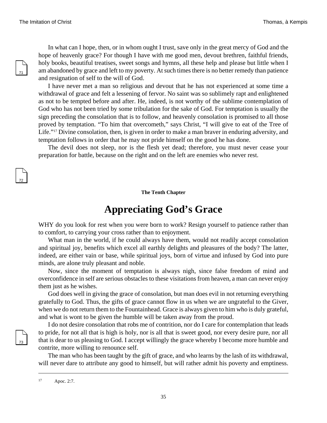72

73

In what can I hope, then, or in whom ought I trust, save only in the great mercy of God and the hope of heavenly grace? For though I have with me good men, devout brethren, faithful friends, holy books, beautiful treatises, sweet songs and hymns, all these help and please but little when I am abandoned by grace and left to my poverty. At such times there is no better remedy than patience and resignation of self to the will of God.

I have never met a man so religious and devout that he has not experienced at some time a withdrawal of grace and felt a lessening of fervor. No saint was so sublimely rapt and enlightened as not to be tempted before and after. He, indeed, is not worthy of the sublime contemplation of God who has not been tried by some tribulation for the sake of God. For temptation is usually the sign preceding the consolation that is to follow, and heavenly consolation is promised to all those proved by temptation. "To him that overcometh," says Christ, "I will give to eat of the Tree of Life."<sup>17</sup> Divine consolation, then, is given in order to make a man braver in enduring adversity, and temptation follows in order that he may not pride himself on the good he has done.

The devil does not sleep, nor is the flesh yet dead; therefore, you must never cease your preparation for battle, because on the right and on the left are enemies who never rest.

### **The Tenth Chapter**

# **Appreciating God's Grace**

WHY do you look for rest when you were born to work? Resign yourself to patience rather than to comfort, to carrying your cross rather than to enjoyment.

What man in the world, if he could always have them, would not readily accept consolation and spiritual joy, benefits which excel all earthly delights and pleasures of the body? The latter, indeed, are either vain or base, while spiritual joys, born of virtue and infused by God into pure minds, are alone truly pleasant and noble.

Now, since the moment of temptation is always nigh, since false freedom of mind and overconfidence in self are serious obstacles to these visitations from heaven, a man can never enjoy them just as he wishes.

God does well in giving the grace of consolation, but man does evil in not returning everything gratefully to God. Thus, the gifts of grace cannot flow in us when we are ungrateful to the Giver, when we do not return them to the Fountainhead. Grace is always given to him who is duly grateful, and what is wont to be given the humble will be taken away from the proud.

I do not desire consolation that robs me of contrition, nor do I care for contemplation that leads to pride, for not all that is high is holy, nor is all that is sweet good, nor every desire pure, nor all that is dear to us pleasing to God. I accept willingly the grace whereby I become more humble and contrite, more willing to renounce self.

The man who has been taught by the gift of grace, and who learns by the lash of its withdrawal, will never dare to attribute any good to himself, but will rather admit his poverty and emptiness.

<sup>17</sup> [Apoc. 2:7.](http://www.ccel.org/b/bible/asv/xml/asv.Rev.2.xml#Rev.2.7)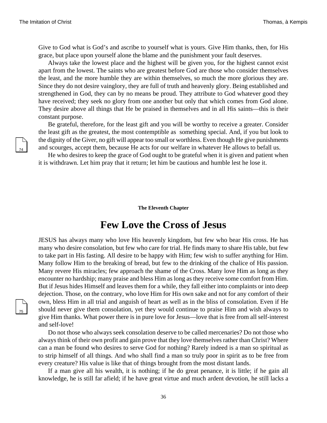Give to God what is God's and ascribe to yourself what is yours. Give Him thanks, then, for His grace, but place upon yourself alone the blame and the punishment your fault deserves.

Always take the lowest place and the highest will be given you, for the highest cannot exist apart from the lowest. The saints who are greatest before God are those who consider themselves the least, and the more humble they are within themselves, so much the more glorious they are. Since they do not desire vainglory, they are full of truth and heavenly glory. Being established and strengthened in God, they can by no means be proud. They attribute to God whatever good they have received; they seek no glory from one another but only that which comes from God alone. They desire above all things that He be praised in themselves and in all His saints—this is their constant purpose.

Be grateful, therefore, for the least gift and you will be worthy to receive a greater. Consider the least gift as the greatest, the most contemptible as something special. And, if you but look to the dignity of the Giver, no gift will appear too small or worthless. Even though He give punishments and scourges, accept them, because He acts for our welfare in whatever He allows to befall us.

He who desires to keep the grace of God ought to be grateful when it is given and patient when it is withdrawn. Let him pray that it return; let him be cautious and humble lest he lose it.

**The Eleventh Chapter**

### **Few Love the Cross of Jesus**

JESUS has always many who love His heavenly kingdom, but few who bear His cross. He has many who desire consolation, but few who care for trial. He finds many to share His table, but few to take part in His fasting. All desire to be happy with Him; few wish to suffer anything for Him. Many follow Him to the breaking of bread, but few to the drinking of the chalice of His passion. Many revere His miracles; few approach the shame of the Cross. Many love Him as long as they encounter no hardship; many praise and bless Him as long as they receive some comfort from Him. But if Jesus hides Himself and leaves them for a while, they fall either into complaints or into deep dejection. Those, on the contrary, who love Him for His own sake and not for any comfort of their own, bless Him in all trial and anguish of heart as well as in the bliss of consolation. Even if He should never give them consolation, yet they would continue to praise Him and wish always to give Him thanks. What power there is in pure love for Jesus—love that is free from all self-interest and self-love!

Do not those who always seek consolation deserve to be called mercenaries? Do not those who always think of their own profit and gain prove that they love themselves rather than Christ? Where can a man be found who desires to serve God for nothing? Rarely indeed is a man so spiritual as to strip himself of all things. And who shall find a man so truly poor in spirit as to be free from every creature? His value is like that of things brought from the most distant lands.

If a man give all his wealth, it is nothing; if he do great penance, it is little; if he gain all knowledge, he is still far afield; if he have great virtue and much ardent devotion, he still lacks a

74

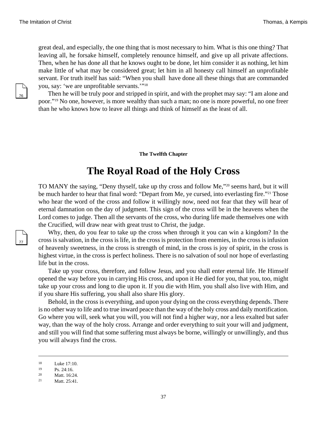great deal, and especially, the one thing that is most necessary to him. What is this one thing? That leaving all, he forsake himself, completely renounce himself, and give up all private affections. Then, when he has done all that he knows ought to be done, let him consider it as nothing, let him make little of what may be considered great; let him in all honesty call himself an unprofitable servant. For truth itself has said: "When you shall have done all these things that are commanded you, say: 'we are unprofitable servants.'"<sup>18</sup>

77

Then he will be truly poor and stripped in spirit, and with the prophet may say: "I am alone and poor."19 No one, however, is more wealthy than such a man; no one is more powerful, no one freer than he who knows how to leave all things and think of himself as the least of all.

### **The Twelfth Chapter**

### **The Royal Road of the Holy Cross**

TO MANY the saying, "Deny thyself, take up thy cross and follow Me,"20 seems hard, but it will be much harder to hear that final word: "Depart from Me, ye cursed, into everlasting fire."<sup>21</sup> Those who hear the word of the cross and follow it willingly now, need not fear that they will hear of eternal damnation on the day of judgment. This sign of the cross will be in the heavens when the Lord comes to judge. Then all the servants of the cross, who during life made themselves one with the Crucified, will draw near with great trust to Christ, the judge.

Why, then, do you fear to take up the cross when through it you can win a kingdom? In the cross is salvation, in the cross is life, in the cross is protection from enemies, in the cross is infusion of heavenly sweetness, in the cross is strength of mind, in the cross is joy of spirit, in the cross is highest virtue, in the cross is perfect holiness. There is no salvation of soul nor hope of everlasting life but in the cross.

Take up your cross, therefore, and follow Jesus, and you shall enter eternal life. He Himself opened the way before you in carrying His cross, and upon it He died for you, that you, too, might take up your cross and long to die upon it. If you die with Him, you shall also live with Him, and if you share His suffering, you shall also share His glory.

Behold, in the cross is everything, and upon your dying on the cross everything depends. There is no other way to life and to true inward peace than the way of the holy cross and daily mortification. Go where you will, seek what you will, you will not find a higher way, nor a less exalted but safer way, than the way of the holy cross. Arrange and order everything to suit your will and judgment, and still you will find that some suffering must always be borne, willingly or unwillingly, and thus you will always find the cross.

 $18$  [Luke 17:10](http://www.ccel.org/b/bible/asv/xml/asv.Luke.17.xml#Luke.17.10).<br>19 Ps 24:16

[Ps. 24:16.](http://www.ccel.org/b/bible/asv/xml/asv.Ps.24.xml#Ps.24.16)

<sup>20</sup> [Matt. 16:24](http://www.ccel.org/b/bible/asv/xml/asv.Matt.16.xml#Matt.16.24).

<sup>21</sup> [Matt. 25:41](http://www.ccel.org/b/bible/asv/xml/asv.Matt.25.xml#Matt.25.41).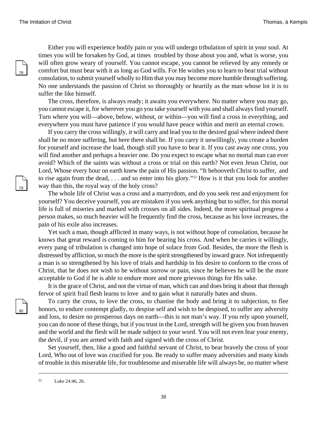79

80

Either you will experience bodily pain or you will undergo tribulation of spirit in your soul. At times you will be forsaken by God, at times troubled by those about you and, what is worse, you will often grow weary of yourself. You cannot escape, you cannot be relieved by any remedy or comfort but must bear with it as long as God wills. For He wishes you to learn to bear trial without consolation, to submit yourself wholly to Him that you may become more humble through suffering. No one understands the passion of Christ so thoroughly or heartily as the man whose lot it is to suffer the like himself.

The cross, therefore, is always ready; it awaits you everywhere. No matter where you may go, you cannot escape it, for wherever you go you take yourself with you and shall always find yourself. Turn where you will—above, below, without, or within—you will find a cross in everything, and everywhere you must have patience if you would have peace within and merit an eternal crown.

If you carry the cross willingly, it will carry and lead you to the desired goal where indeed there shall be no more suffering, but here there shall be. If you carry it unwillingly, you create a burden for yourself and increase the load, though still you have to bear it. If you cast away one cross, you will find another and perhaps a heavier one. Do you expect to escape what no mortal man can ever avoid? Which of the saints was without a cross or trial on this earth? Not even Jesus Christ, our Lord, Whose every hour on earth knew the pain of His passion. "It behooveth Christ to suffer, and to rise again from the dead, . . . and so enter into his glory."22 How is it that you look for another way than this, the royal way of the holy cross?

The whole life of Christ was a cross and a martyrdom, and do you seek rest and enjoyment for yourself? You deceive yourself, you are mistaken if you seek anything but to suffer, for this mortal life is full of miseries and marked with crosses on all sides. Indeed, the more spiritual progress a person makes, so much heavier will he frequently find the cross, because as his love increases, the pain of his exile also increases.

Yet such a man, though afflicted in many ways, is not without hope of consolation, because he knows that great reward is coming to him for bearing his cross. And when he carries it willingly, every pang of tribulation is changed into hope of solace from God. Besides, the more the flesh is distressed by affliction, so much the more is the spirit strengthened by inward grace. Not infrequently a man is so strengthened by his love of trials and hardship in his desire to conform to the cross of Christ, that he does not wish to be without sorrow or pain, since he believes he will be the more acceptable to God if he is able to endure more and more grievous things for His sake.

It is the grace of Christ, and not the virtue of man, which can and does bring it about that through fervor of spirit frail flesh learns to love and to gain what it naturally hates and shuns.

To carry the cross, to love the cross, to chastise the body and bring it to subjection, to flee honors, to endure contempt gladly, to despise self and wish to be despised, to suffer any adversity and loss, to desire no prosperous days on earth—this is not man's way. If you rely upon yourself, you can do none of these things, but if you trust in the Lord, strength will be given you from heaven and the world and the flesh will be made subject to your word. You will not even fear your enemy, the devil, if you are armed with faith and signed with the cross of Christ.

Set yourself, then, like a good and faithful servant of Christ, to bear bravely the cross of your Lord, Who out of love was crucified for you. Be ready to suffer many adversities and many kinds of trouble in this miserable life, for troublesome and miserable life will always be, no matter where

<sup>22</sup> [Luke 24:46, 26.](http://www.ccel.org/b/bible/asv/xml/asv.Luke.24.xml#Luke.24.46 Bible:Luke.24.26)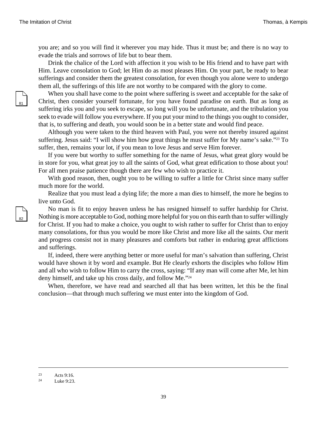82

you are; and so you will find it wherever you may hide. Thus it must be; and there is no way to evade the trials and sorrows of life but to bear them.

Drink the chalice of the Lord with affection it you wish to be His friend and to have part with Him. Leave consolation to God; let Him do as most pleases Him. On your part, be ready to bear sufferings and consider them the greatest consolation, for even though you alone were to undergo them all, the sufferings of this life are not worthy to be compared with the glory to come.

When you shall have come to the point where suffering is sweet and acceptable for the sake of Christ, then consider yourself fortunate, for you have found paradise on earth. But as long as suffering irks you and you seek to escape, so long will you be unfortunate, and the tribulation you seek to evade will follow you everywhere. If you put your mind to the things you ought to consider, that is, to suffering and death, you would soon be in a better state and would find peace.

Although you were taken to the third heaven with Paul, you were not thereby insured against suffering. Jesus said: "I will show him how great things he must suffer for My name's sake."23 To suffer, then, remains your lot, if you mean to love Jesus and serve Him forever.

If you were but worthy to suffer something for the name of Jesus, what great glory would be in store for you, what great joy to all the saints of God, what great edification to those about you! For all men praise patience though there are few who wish to practice it.

With good reason, then, ought you to be willing to suffer a little for Christ since many suffer much more for the world.

Realize that you must lead a dying life; the more a man dies to himself, the more he begins to live unto God.

No man is fit to enjoy heaven unless he has resigned himself to suffer hardship for Christ. Nothing is more acceptable to God, nothing more helpful for you on this earth than to suffer willingly for Christ. If you had to make a choice, you ought to wish rather to suffer for Christ than to enjoy many consolations, for thus you would be more like Christ and more like all the saints. Our merit and progress consist not in many pleasures and comforts but rather in enduring great afflictions and sufferings.

If, indeed, there were anything better or more useful for man's salvation than suffering, Christ would have shown it by word and example. But He clearly exhorts the disciples who follow Him and all who wish to follow Him to carry the cross, saying: "If any man will come after Me, let him deny himself, and take up his cross daily, and follow Me."<sup>24</sup>

When, therefore, we have read and searched all that has been written, let this be the final conclusion—that through much suffering we must enter into the kingdom of God.

<sup>23</sup> [Acts 9:16.](http://www.ccel.org/b/bible/asv/xml/asv.Acts.9.xml#Acts.9.16)

<sup>24</sup> [Luke 9:23.](http://www.ccel.org/b/bible/asv/xml/asv.Luke.9.xml#Luke.9.23)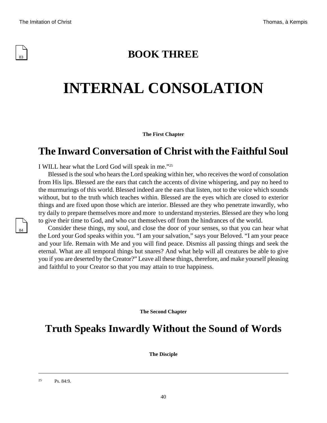

# <sup>83</sup> **BOOK THREE**

# **INTERNAL CONSOLATION**

**The First Chapter**

## **The Inward Conversation of Christ with the Faithful Soul**

I WILL hear what the Lord God will speak in me."<sup>25</sup>

Blessed is the soul who hears the Lord speaking within her, who receives the word of consolation from His lips. Blessed are the ears that catch the accents of divine whispering, and pay no heed to the murmurings of this world. Blessed indeed are the ears that listen, not to the voice which sounds without, but to the truth which teaches within. Blessed are the eyes which are closed to exterior things and are fixed upon those which are interior. Blessed are they who penetrate inwardly, who try daily to prepare themselves more and more to understand mysteries. Blessed are they who long to give their time to God, and who cut themselves off from the hindrances of the world.

84

Consider these things, my soul, and close the door of your senses, so that you can hear what the Lord your God speaks within you. "I am your salvation," says your Beloved. "I am your peace and your life. Remain with Me and you will find peace. Dismiss all passing things and seek the eternal. What are all temporal things but snares? And what help will all creatures be able to give you if you are deserted by the Creator?" Leave all these things, therefore, and make yourself pleasing and faithful to your Creator so that you may attain to true happiness.

**The Second Chapter**

## **Truth Speaks Inwardly Without the Sound of Words**

**The Disciple**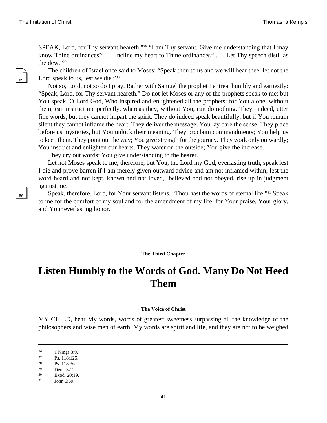86

SPEAK, Lord, for Thy servant heareth."<sup>26</sup> "I am Thy servant. Give me understanding that I may know Thine ordinances<sup>27</sup> . . . Incline my heart to Thine ordinances<sup>28</sup> . . . Let Thy speech distil as the dew."<sup>29</sup>

The children of Israel once said to Moses: "Speak thou to us and we will hear thee: let not the Lord speak to us, lest we die."<sup>30</sup>

Not so, Lord, not so do I pray. Rather with Samuel the prophet I entreat humbly and earnestly: "Speak, Lord, for Thy servant heareth." Do not let Moses or any of the prophets speak to me; but You speak, O Lord God, Who inspired and enlightened all the prophets; for You alone, without them, can instruct me perfectly, whereas they, without You, can do nothing. They, indeed, utter fine words, but they cannot impart the spirit. They do indeed speak beautifully, but if You remain silent they cannot inflame the heart. They deliver the message; You lay bare the sense. They place before us mysteries, but You unlock their meaning. They proclaim commandments; You help us to keep them. They point out the way; You give strength for the journey. They work only outwardly; You instruct and enlighten our hearts. They water on the outside; You give the increase.

They cry out words; You give understanding to the hearer.

Let not Moses speak to me, therefore, but You, the Lord my God, everlasting truth, speak lest I die and prove barren if I am merely given outward advice and am not inflamed within; lest the word heard and not kept, known and not loved, believed and not obeyed, rise up in judgment against me.

Speak, therefore, Lord, for Your servant listens. "Thou hast the words of eternal life."31 Speak to me for the comfort of my soul and for the amendment of my life, for Your praise, Your glory, and Your everlasting honor.

### **The Third Chapter**

# **Listen Humbly to the Words of God. Many Do Not Heed Them**

### **The Voice of Christ**

MY CHILD, hear My words, words of greatest sweetness surpassing all the knowledge of the philosophers and wise men of earth. My words are spirit and life, and they are not to be weighed

 $\frac{26}{27}$  [1 Kings 3:9](http://www.ccel.org/b/bible/asv/xml/asv.iKgs.3.xml#iKgs.3.9).

[Ps. 118:125](http://www.ccel.org/b/bible/asv/xml/asv.Ps.118.xml#Ps.118.125).

 $\frac{28}{29}$  [Ps. 118:36](http://www.ccel.org/b/bible/asv/xml/asv.Ps.118.xml#Ps.118.36).

[Deut. 32:2.](http://www.ccel.org/b/bible/asv/xml/asv.Deut.32.xml#Deut.32.2)

<sup>30</sup> [Exod. 20:19](http://www.ccel.org/b/bible/asv/xml/asv.Exod.20.xml#Exod.20.19).

<sup>31</sup> [John 6:69](http://www.ccel.org/b/bible/asv/xml/asv.John.6.xml#John.6.69).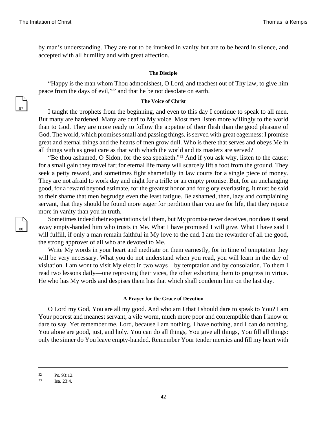by man's understanding. They are not to be invoked in vanity but are to be heard in silence, and accepted with all humility and with great affection.

### **The Disciple**

"Happy is the man whom Thou admonishest, O Lord, and teachest out of Thy law, to give him peace from the days of evil,"32 and that he be not desolate on earth.

### **The Voice of Christ**

I taught the prophets from the beginning, and even to this day I continue to speak to all men. But many are hardened. Many are deaf to My voice. Most men listen more willingly to the world than to God. They are more ready to follow the appetite of their flesh than the good pleasure of God. The world, which promises small and passing things, is served with great eagerness: I promise great and eternal things and the hearts of men grow dull. Who is there that serves and obeys Me in all things with as great care as that with which the world and its masters are served?

"Be thou ashamed, O Sidon, for the sea speaketh."33 And if you ask why, listen to the cause: for a small gain they travel far; for eternal life many will scarcely lift a foot from the ground. They seek a petty reward, and sometimes fight shamefully in law courts for a single piece of money. They are not afraid to work day and night for a trifle or an empty promise. But, for an unchanging good, for a reward beyond estimate, for the greatest honor and for glory everlasting, it must be said to their shame that men begrudge even the least fatigue. Be ashamed, then, lazy and complaining servant, that they should be found more eager for perdition than you are for life, that they rejoice more in vanity than you in truth.

Sometimes indeed their expectations fail them, but My promise never deceives, nor does it send away empty-handed him who trusts in Me. What I have promised I will give. What I have said I will fulfill, if only a man remain faithful in My love to the end. I am the rewarder of all the good, the strong approver of all who are devoted to Me.

Write My words in your heart and meditate on them earnestly, for in time of temptation they will be very necessary. What you do not understand when you read, you will learn in the day of visitation. I am wont to visit My elect in two ways—by temptation and by consolation. To them I read two lessons daily—one reproving their vices, the other exhorting them to progress in virtue. He who has My words and despises them has that which shall condemn him on the last day.

### **A Prayer for the Grace of Devotion**

O Lord my God, You are all my good. And who am I that I should dare to speak to You? I am Your poorest and meanest servant, a vile worm, much more poor and contemptible than I know or dare to say. Yet remember me, Lord, because I am nothing, I have nothing, and I can do nothing. You alone are good, just, and holy. You can do all things, You give all things, You fill all things: only the sinner do You leave empty-handed. Remember Your tender mercies and fill my heart with



<sup>32</sup> [Ps. 93:12.](http://www.ccel.org/b/bible/asv/xml/asv.Ps.93.xml#Ps.93.12)

<sup>33</sup> [Isa. 23:4.](http://www.ccel.org/b/bible/asv/xml/asv.Isa.23.xml#Isa.23.4)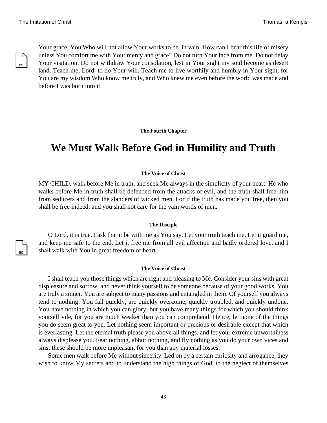

Your grace, You Who will not allow Your works to be in vain. How can I bear this life of misery unless You comfort me with Your mercy and grace? Do not turn Your face from me. Do not delay Your visitation. Do not withdraw Your consolation, lest in Your sight my soul become as desert land. Teach me, Lord, to do Your will. Teach me to live worthily and humbly in Your sight, for You are my wisdom Who know me truly, and Who knew me even before the world was made and before I was born into it.

**The Fourth Chapter**

## **We Must Walk Before God in Humility and Truth**

### **The Voice of Christ**

MY CHILD, walk before Me in truth, and seek Me always in the simplicity of your heart. He who walks before Me in truth shall be defended from the attacks of evil, and the truth shall free him from seducers and from the slanders of wicked men. For if the truth has made you free, then you shall be free indeed, and you shall not care for the vain words of men.

### **The Disciple**

O Lord, it is true. I ask that it be with me as You say. Let your truth teach me. Let it guard me, and keep me safe to the end. Let it free me from all evil affection and badly ordered love, and I shall walk with You in great freedom of heart.

### **The Voice of Christ**

I shall teach you those things which are right and pleasing to Me. Consider your sins with great displeasure and sorrow, and never think yourself to be someone because of your good works. You are truly a sinner. You are subject to many passions and entangled in them. Of yourself you always tend to nothing. You fall quickly, are quickly overcome, quickly troubled, and quickly undone. You have nothing in which you can glory, but you have many things for which you should think yourself vile, for you are much weaker than you can comprehend. Hence, let none of the things you do seem great to you. Let nothing seem important or precious or desirable except that which is everlasting. Let the eternal truth please you above all things, and let your extreme unworthiness always displease you. Fear nothing, abhor nothing, and fly nothing as you do your own vices and sins; these should be more unpleasant for you than any material losses.

Some men walk before Me without sincerity. Led on by a certain curiosity and arrogance, they wish to know My secrets and to understand the high things of God, to the neglect of themselves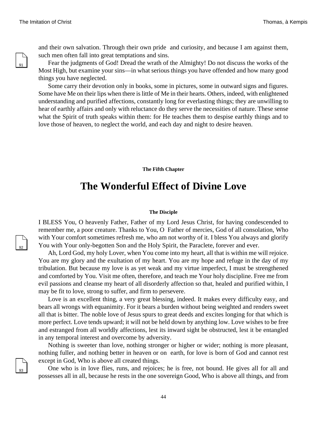and their own salvation. Through their own pride and curiosity, and because I am against them, such men often fall into great temptations and sins.

Fear the judgments of God! Dread the wrath of the Almighty! Do not discuss the works of the Most High, but examine your sins—in what serious things you have offended and how many good things you have neglected.

Some carry their devotion only in books, some in pictures, some in outward signs and figures. Some have Me on their lips when there is little of Me in their hearts. Others, indeed, with enlightened understanding and purified affections, constantly long for everlasting things; they are unwilling to hear of earthly affairs and only with reluctance do they serve the necessities of nature. These sense what the Spirit of truth speaks within them: for He teaches them to despise earthly things and to love those of heaven, to neglect the world, and each day and night to desire heaven.

**The Fifth Chapter**

### **The Wonderful Effect of Divine Love**

#### **The Disciple**

I BLESS You, O heavenly Father, Father of my Lord Jesus Christ, for having condescended to remember me, a poor creature. Thanks to You, O Father of mercies, God of all consolation, Who with Your comfort sometimes refresh me, who am not worthy of it. I bless You always and glorify You with Your only-begotten Son and the Holy Spirit, the Paraclete, forever and ever.

Ah, Lord God, my holy Lover, when You come into my heart, all that is within me will rejoice. You are my glory and the exultation of my heart. You are my hope and refuge in the day of my tribulation. But because my love is as yet weak and my virtue imperfect, I must be strengthened and comforted by You. Visit me often, therefore, and teach me Your holy discipline. Free me from evil passions and cleanse my heart of all disorderly affection so that, healed and purified within, I may be fit to love, strong to suffer, and firm to persevere.

Love is an excellent thing, a very great blessing, indeed. It makes every difficulty easy, and bears all wrongs with equanimity. For it bears a burden without being weighted and renders sweet all that is bitter. The noble love of Jesus spurs to great deeds and excites longing for that which is more perfect. Love tends upward; it will not be held down by anything low. Love wishes to be free and estranged from all worldly affections, lest its inward sight be obstructed, lest it be entangled in any temporal interest and overcome by adversity.

Nothing is sweeter than love, nothing stronger or higher or wider; nothing is more pleasant, nothing fuller, and nothing better in heaven or on earth, for love is born of God and cannot rest except in God, Who is above all created things.

One who is in love flies, runs, and rejoices; he is free, not bound. He gives all for all and possesses all in all, because he rests in the one sovereign Good, Who is above all things, and from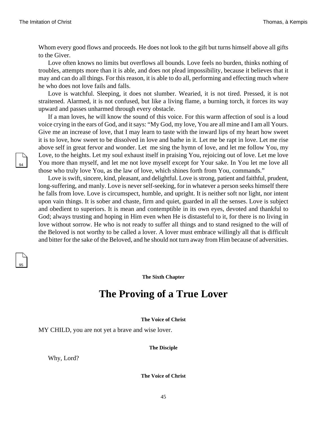$Q_{\mathcal{A}}$ 

95

Whom every good flows and proceeds. He does not look to the gift but turns himself above all gifts to the Giver.

Love often knows no limits but overflows all bounds. Love feels no burden, thinks nothing of troubles, attempts more than it is able, and does not plead impossibility, because it believes that it may and can do all things. For this reason, it is able to do all, performing and effecting much where he who does not love fails and falls.

Love is watchful. Sleeping, it does not slumber. Wearied, it is not tired. Pressed, it is not straitened. Alarmed, it is not confused, but like a living flame, a burning torch, it forces its way upward and passes unharmed through every obstacle.

If a man loves, he will know the sound of this voice. For this warm affection of soul is a loud voice crying in the ears of God, and it says: "My God, my love, You are all mine and I am all Yours. Give me an increase of love, that I may learn to taste with the inward lips of my heart how sweet it is to love, how sweet to be dissolved in love and bathe in it. Let me be rapt in love. Let me rise above self in great fervor and wonder. Let me sing the hymn of love, and let me follow You, my Love, to the heights. Let my soul exhaust itself in praising You, rejoicing out of love. Let me love You more than myself, and let me not love myself except for Your sake. In You let me love all those who truly love You, as the law of love, which shines forth from You, commands."

Love is swift, sincere, kind, pleasant, and delightful. Love is strong, patient and faithful, prudent, long-suffering, and manly. Love is never self-seeking, for in whatever a person seeks himself there he falls from love. Love is circumspect, humble, and upright. It is neither soft nor light, nor intent upon vain things. It is sober and chaste, firm and quiet, guarded in all the senses. Love is subject and obedient to superiors. It is mean and contemptible in its own eyes, devoted and thankful to God; always trusting and hoping in Him even when He is distasteful to it, for there is no living in love without sorrow. He who is not ready to suffer all things and to stand resigned to the will of the Beloved is not worthy to be called a lover. A lover must embrace willingly all that is difficult and bitter for the sake of the Beloved, and he should not turn away from Him because of adversities.

**The Sixth Chapter**

### **The Proving of a True Lover**

**The Voice of Christ**

MY CHILD, you are not yet a brave and wise lover.

**The Disciple**

Why, Lord?

**The Voice of Christ**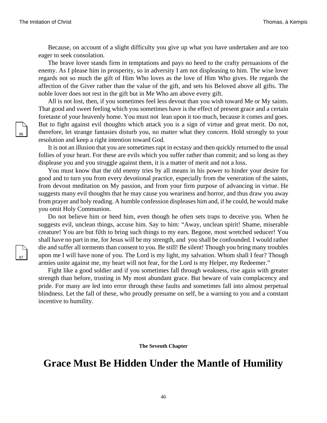97

Because, on account of a slight difficulty you give up what you have undertaken and are too eager to seek consolation.

The brave lover stands firm in temptations and pays no heed to the crafty persuasions of the enemy. As I please him in prosperity, so in adversity I am not displeasing to him. The wise lover regards not so much the gift of Him Who loves as the love of Him Who gives. He regards the affection of the Giver rather than the value of the gift, and sets his Beloved above all gifts. The noble lover does not rest in the gift but in Me Who am above every gift.

All is not lost, then, if you sometimes feel less devout than you wish toward Me or My saints. That good and sweet feeling which you sometimes have is the effect of present grace and a certain foretaste of your heavenly home. You must not lean upon it too much, because it comes and goes. But to fight against evil thoughts which attack you is a sign of virtue and great merit. Do not, therefore, let strange fantasies disturb you, no matter what they concern. Hold strongly to your resolution and keep a right intention toward God.

It is not an illusion that you are sometimes rapt in ecstasy and then quickly returned to the usual follies of your heart. For these are evils which you suffer rather than commit; and so long as they displease you and you struggle against them, it is a matter of merit and not a loss.

You must know that the old enemy tries by all means in his power to hinder your desire for good and to turn you from every devotional practice, especially from the veneration of the saints, from devout meditation on My passion, and from your firm purpose of advancing in virtue. He suggests many evil thoughts that he may cause you weariness and horror, and thus draw you away from prayer and holy reading. A humble confession displeases him and, if he could, he would make you omit Holy Communion.

Do not believe him or heed him, even though he often sets traps to deceive you. When he suggests evil, unclean things, accuse him. Say to him: "Away, unclean spirit! Shame, miserable creature! You are but filth to bring such things to my ears. Begone, most wretched seducer! You shall have no part in me, for Jesus will be my strength, and you shall be confounded. I would rather die and suffer all torments than consent to you. Be still! Be silent! Though you bring many troubles upon me I will have none of you. The Lord is my light, my salvation. Whom shall I fear? Though armies unite against me, my heart will not fear, for the Lord is my Helper, my Redeemer."

Fight like a good soldier and if you sometimes fall through weakness, rise again with greater strength than before, trusting in My most abundant grace. But beware of vain complacency and pride. For many are led into error through these faults and sometimes fall into almost perpetual blindness. Let the fall of these, who proudly presume on self, be a warning to you and a constant incentive to humility.

**The Seventh Chapter**

# **Grace Must Be Hidden Under the Mantle of Humility**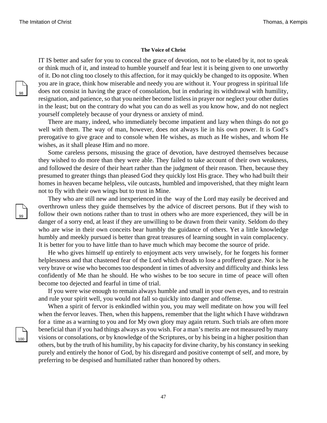#### **The Voice of Christ**

IT IS better and safer for you to conceal the grace of devotion, not to be elated by it, not to speak or think much of it, and instead to humble yourself and fear lest it is being given to one unworthy of it. Do not cling too closely to this affection, for it may quickly be changed to its opposite. When you are in grace, think how miserable and needy you are without it. Your progress in spiritual life does not consist in having the grace of consolation, but in enduring its withdrawal with humility, resignation, and patience, so that you neither become listless in prayer nor neglect your other duties in the least; but on the contrary do what you can do as well as you know how, and do not neglect yourself completely because of your dryness or anxiety of mind.

There are many, indeed, who immediately become impatient and lazy when things do not go well with them. The way of man, however, does not always lie in his own power. It is God's prerogative to give grace and to console when He wishes, as much as He wishes, and whom He wishes, as it shall please Him and no more.

Some careless persons, misusing the grace of devotion, have destroyed themselves because they wished to do more than they were able. They failed to take account of their own weakness, and followed the desire of their heart rather than the judgment of their reason. Then, because they presumed to greater things than pleased God they quickly lost His grace. They who had built their homes in heaven became helpless, vile outcasts, humbled and impoverished, that they might learn not to fly with their own wings but to trust in Mine.

They who are still new and inexperienced in the way of the Lord may easily be deceived and overthrown unless they guide themselves by the advice of discreet persons. But if they wish to follow their own notions rather than to trust in others who are more experienced, they will be in danger of a sorry end, at least if they are unwilling to be drawn from their vanity. Seldom do they who are wise in their own conceits bear humbly the guidance of others. Yet a little knowledge humbly and meekly pursued is better than great treasures of learning sought in vain complacency. It is better for you to have little than to have much which may become the source of pride.

He who gives himself up entirely to enjoyment acts very unwisely, for he forgets his former helplessness and that chastened fear of the Lord which dreads to lose a proffered grace. Nor is he very brave or wise who becomes too despondent in times of adversity and difficulty and thinks less confidently of Me than he should. He who wishes to be too secure in time of peace will often become too dejected and fearful in time of trial.

If you were wise enough to remain always humble and small in your own eyes, and to restrain and rule your spirit well, you would not fall so quickly into danger and offense.

When a spirit of fervor is enkindled within you, you may well meditate on how you will feel when the fervor leaves. Then, when this happens, remember that the light which I have withdrawn for a time as a warning to you and for My own glory may again return. Such trials are often more beneficial than if you had things always as you wish. For a man's merits are not measured by many visions or consolations, or by knowledge of the Scriptures, or by his being in a higher position than others, but by the truth of his humility, by his capacity for divine charity, by his constancy in seeking purely and entirely the honor of God, by his disregard and positive contempt of self, and more, by preferring to be despised and humiliated rather than honored by others.



99

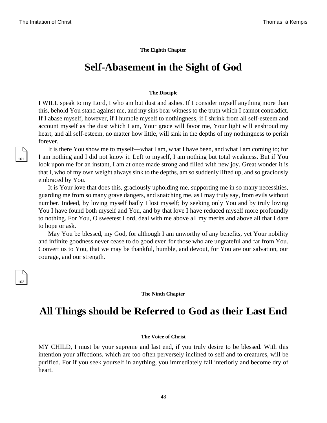102

**The Eighth Chapter**

## **Self-Abasement in the Sight of God**

### **The Disciple**

I WILL speak to my Lord, I who am but dust and ashes. If I consider myself anything more than this, behold You stand against me, and my sins bear witness to the truth which I cannot contradict. If I abase myself, however, if I humble myself to nothingness, if I shrink from all self-esteem and account myself as the dust which I am, Your grace will favor me, Your light will enshroud my heart, and all self-esteem, no matter how little, will sink in the depths of my nothingness to perish forever.

It is there You show me to myself—what I am, what I have been, and what I am coming to; for I am nothing and I did not know it. Left to myself, I am nothing but total weakness. But if You look upon me for an instant, I am at once made strong and filled with new joy. Great wonder it is that I, who of my own weight always sink to the depths, am so suddenly lifted up, and so graciously embraced by You.

It is Your love that does this, graciously upholding me, supporting me in so many necessities, guarding me from so many grave dangers, and snatching me, as I may truly say, from evils without number. Indeed, by loving myself badly I lost myself; by seeking only You and by truly loving You I have found both myself and You, and by that love I have reduced myself more profoundly to nothing. For You, O sweetest Lord, deal with me above all my merits and above all that I dare to hope or ask.

May You be blessed, my God, for although I am unworthy of any benefits, yet Your nobility and infinite goodness never cease to do good even for those who are ungrateful and far from You. Convert us to You, that we may be thankful, humble, and devout, for You are our salvation, our courage, and our strength.

**The Ninth Chapter**

### **All Things should be Referred to God as their Last End**

### **The Voice of Christ**

MY CHILD, I must be your supreme and last end, if you truly desire to be blessed. With this intention your affections, which are too often perversely inclined to self and to creatures, will be purified. For if you seek yourself in anything, you immediately fail interiorly and become dry of heart.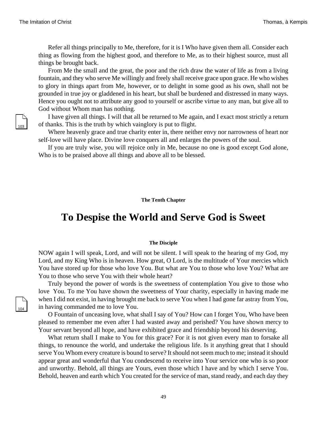Refer all things principally to Me, therefore, for it is I Who have given them all. Consider each thing as flowing from the highest good, and therefore to Me, as to their highest source, must all things be brought back.

From Me the small and the great, the poor and the rich draw the water of life as from a living fountain, and they who serve Me willingly and freely shall receive grace upon grace. He who wishes to glory in things apart from Me, however, or to delight in some good as his own, shall not be grounded in true joy or gladdened in his heart, but shall be burdened and distressed in many ways. Hence you ought not to attribute any good to yourself or ascribe virtue to any man, but give all to God without Whom man has nothing.

I have given all things. I will that all be returned to Me again, and I exact most strictly a return of thanks. This is the truth by which vainglory is put to flight.

Where heavenly grace and true charity enter in, there neither envy nor narrowness of heart nor self-love will have place. Divine love conquers all and enlarges the powers of the soul.

If you are truly wise, you will rejoice only in Me, because no one is good except God alone, Who is to be praised above all things and above all to be blessed.

**The Tenth Chapter**

### **To Despise the World and Serve God is Sweet**

### **The Disciple**

NOW again I will speak, Lord, and will not be silent. I will speak to the hearing of my God, my Lord, and my King Who is in heaven. How great, O Lord, is the multitude of Your mercies which You have stored up for those who love You. But what are You to those who love You? What are You to those who serve You with their whole heart?

Truly beyond the power of words is the sweetness of contemplation You give to those who love You. To me You have shown the sweetness of Your charity, especially in having made me when I did not exist, in having brought me back to serve You when I had gone far astray from You, in having commanded me to love You.

O Fountain of unceasing love, what shall I say of You? How can I forget You, Who have been pleased to remember me even after I had wasted away and perished? You have shown mercy to Your servant beyond all hope, and have exhibited grace and friendship beyond his deserving.

What return shall I make to You for this grace? For it is not given every man to forsake all things, to renounce the world, and undertake the religious life. Is it anything great that I should serve You Whom every creature is bound to serve? It should not seem much to me; instead it should appear great and wonderful that You condescend to receive into Your service one who is so poor and unworthy. Behold, all things are Yours, even those which I have and by which I serve You. Behold, heaven and earth which You created for the service of man, stand ready, and each day they

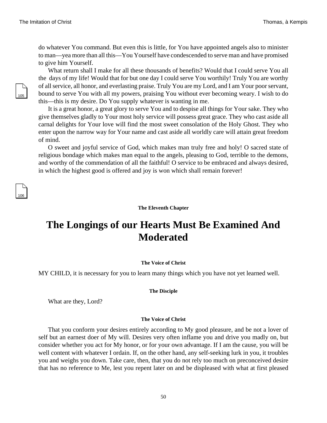106

do whatever You command. But even this is little, for You have appointed angels also to minister to man—yea more than all this—You Yourself have condescended to serve man and have promised to give him Yourself.

What return shall I make for all these thousands of benefits? Would that I could serve You all the days of my life! Would that for but one day I could serve You worthily! Truly You are worthy of all service, all honor, and everlasting praise. Truly You are my Lord, and I am Your poor servant, bound to serve You with all my powers, praising You without ever becoming weary. I wish to do this—this is my desire. Do You supply whatever is wanting in me.

It is a great honor, a great glory to serve You and to despise all things for Your sake. They who give themselves gladly to Your most holy service will possess great grace. They who cast aside all carnal delights for Your love will find the most sweet consolation of the Holy Ghost. They who enter upon the narrow way for Your name and cast aside all worldly care will attain great freedom of mind.

O sweet and joyful service of God, which makes man truly free and holy! O sacred state of religious bondage which makes man equal to the angels, pleasing to God, terrible to the demons, and worthy of the commendation of all the faithful! O service to be embraced and always desired, in which the highest good is offered and joy is won which shall remain forever!

**The Eleventh Chapter**

# **The Longings of our Hearts Must Be Examined And Moderated**

### **The Voice of Christ**

MY CHILD, it is necessary for you to learn many things which you have not yet learned well.

### **The Disciple**

What are they, Lord?

#### **The Voice of Christ**

That you conform your desires entirely according to My good pleasure, and be not a lover of self but an earnest doer of My will. Desires very often inflame you and drive you madly on, but consider whether you act for My honor, or for your own advantage. If I am the cause, you will be well content with whatever I ordain. If, on the other hand, any self-seeking lurk in you, it troubles you and weighs you down. Take care, then, that you do not rely too much on preconceived desire that has no reference to Me, lest you repent later on and be displeased with what at first pleased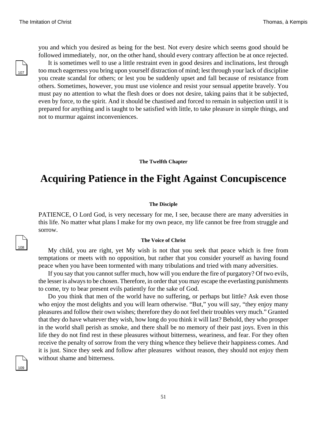you and which you desired as being for the best. Not every desire which seems good should be followed immediately, nor, on the other hand, should every contrary affection be at once rejected.

It is sometimes well to use a little restraint even in good desires and inclinations, lest through too much eagerness you bring upon yourself distraction of mind; lest through your lack of discipline you create scandal for others; or lest you be suddenly upset and fall because of resistance from others. Sometimes, however, you must use violence and resist your sensual appetite bravely. You must pay no attention to what the flesh does or does not desire, taking pains that it be subjected, even by force, to the spirit. And it should be chastised and forced to remain in subjection until it is prepared for anything and is taught to be satisfied with little, to take pleasure in simple things, and not to murmur against inconveniences.

**The Twelfth Chapter**

### **Acquiring Patience in the Fight Against Concupiscence**

### **The Disciple**

PATIENCE, O Lord God, is very necessary for me, I see, because there are many adversities in this life. No matter what plans I make for my own peace, my life cannot be free from struggle and sorrow.

### **The Voice of Christ**

My child, you are right, yet My wish is not that you seek that peace which is free from temptations or meets with no opposition, but rather that you consider yourself as having found peace when you have been tormented with many tribulations and tried with many adversities.

If you say that you cannot suffer much, how will you endure the fire of purgatory? Of two evils, the lesser is always to be chosen. Therefore, in order that you may escape the everlasting punishments to come, try to bear present evils patiently for the sake of God.

Do you think that men of the world have no suffering, or perhaps but little? Ask even those who enjoy the most delights and you will learn otherwise. "But," you will say, "they enjoy many pleasures and follow their own wishes; therefore they do not feel their troubles very much." Granted that they do have whatever they wish, how long do you think it will last? Behold, they who prosper in the world shall perish as smoke, and there shall be no memory of their past joys. Even in this life they do not find rest in these pleasures without bitterness, weariness, and fear. For they often receive the penalty of sorrow from the very thing whence they believe their happiness comes. And it is just. Since they seek and follow after pleasures without reason, they should not enjoy them without shame and bitterness.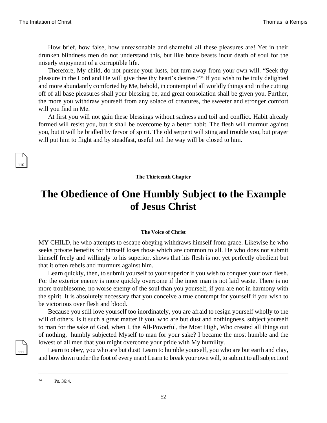111

How brief, how false, how unreasonable and shameful all these pleasures are! Yet in their drunken blindness men do not understand this, but like brute beasts incur death of soul for the miserly enjoyment of a corruptible life.

Therefore, My child, do not pursue your lusts, but turn away from your own will. "Seek thy pleasure in the Lord and He will give thee thy heart's desires."34 If you wish to be truly delighted and more abundantly comforted by Me, behold, in contempt of all worldly things and in the cutting off of all base pleasures shall your blessing be, and great consolation shall be given you. Further, the more you withdraw yourself from any solace of creatures, the sweeter and stronger comfort will you find in Me.

At first you will not gain these blessings without sadness and toil and conflict. Habit already formed will resist you, but it shall be overcome by a better habit. The flesh will murmur against you, but it will be bridled by fervor of spirit. The old serpent will sting and trouble you, but prayer will put him to flight and by steadfast, useful toil the way will be closed to him.

### **The Thirteenth Chapter**

# **The Obedience of One Humbly Subject to the Example of Jesus Christ**

### **The Voice of Christ**

MY CHILD, he who attempts to escape obeying withdraws himself from grace. Likewise he who seeks private benefits for himself loses those which are common to all. He who does not submit himself freely and willingly to his superior, shows that his flesh is not yet perfectly obedient but that it often rebels and murmurs against him.

Learn quickly, then, to submit yourself to your superior if you wish to conquer your own flesh. For the exterior enemy is more quickly overcome if the inner man is not laid waste. There is no more troublesome, no worse enemy of the soul than you yourself, if you are not in harmony with the spirit. It is absolutely necessary that you conceive a true contempt for yourself if you wish to be victorious over flesh and blood.

Because you still love yourself too inordinately, you are afraid to resign yourself wholly to the will of others. Is it such a great matter if you, who are but dust and nothingness, subject yourself to man for the sake of God, when I, the All-Powerful, the Most High, Who created all things out of nothing, humbly subjected Myself to man for your sake? I became the most humble and the lowest of all men that you might overcome your pride with My humility.

Learn to obey, you who are but dust! Learn to humble yourself, you who are but earth and clay, and bow down under the foot of every man! Learn to break your own will, to submit to all subjection!

<sup>34</sup> [Ps. 36:4](http://www.ccel.org/b/bible/asv/xml/asv.Ps.36.xml#Ps.36.4).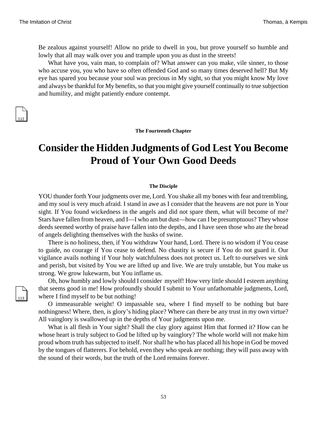Be zealous against yourself! Allow no pride to dwell in you, but prove yourself so humble and lowly that all may walk over you and trample upon you as dust in the streets!

What have you, vain man, to complain of? What answer can you make, vile sinner, to those who accuse you, you who have so often offended God and so many times deserved hell? But My eye has spared you because your soul was precious in My sight, so that you might know My love and always be thankful for My benefits, so that you might give yourself continually to true subjection and humility, and might patiently endure contempt.

# 112

**The Fourteenth Chapter**

# **Consider the Hidden Judgments of God Lest You Become Proud of Your Own Good Deeds**

### **The Disciple**

YOU thunder forth Your judgments over me, Lord. You shake all my bones with fear and trembling, and my soul is very much afraid. I stand in awe as I consider that the heavens are not pure in Your sight. If You found wickedness in the angels and did not spare them, what will become of me? Stars have fallen from heaven, and I—I who am but dust—how can I be presumptuous? They whose deeds seemed worthy of praise have fallen into the depths, and I have seen those who ate the bread of angels delighting themselves with the husks of swine.

There is no holiness, then, if You withdraw Your hand, Lord. There is no wisdom if You cease to guide, no courage if You cease to defend. No chastity is secure if You do not guard it. Our vigilance avails nothing if Your holy watchfulness does not protect us. Left to ourselves we sink and perish, but visited by You we are lifted up and live. We are truly unstable, but You make us strong. We grow lukewarm, but You inflame us.

Oh, how humbly and lowly should I consider myself! How very little should I esteem anything that seems good in me! How profoundly should I submit to Your unfathomable judgments, Lord, where I find myself to be but nothing!

O immeasurable weight! O impassable sea, where I find myself to be nothing but bare nothingness! Where, then, is glory's hiding place? Where can there be any trust in my own virtue? All vainglory is swallowed up in the depths of Your judgments upon me.

What is all flesh in Your sight? Shall the clay glory against Him that formed it? How can he whose heart is truly subject to God be lifted up by vainglory? The whole world will not make him proud whom truth has subjected to itself. Nor shall he who has placed all his hope in God be moved by the tongues of flatterers. For behold, even they who speak are nothing; they will pass away with the sound of their words, but the truth of the Lord remains forever.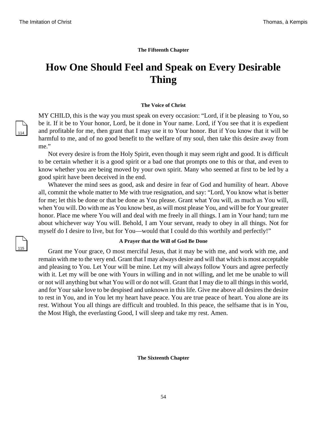**The Fifteenth Chapter**

# **How One Should Feel and Speak on Every Desirable Thing**

### **The Voice of Christ**

MY CHILD, this is the way you must speak on every occasion: "Lord, if it be pleasing to You, so be it. If it be to Your honor, Lord, be it done in Your name. Lord, if You see that it is expedient and profitable for me, then grant that I may use it to Your honor. But if You know that it will be harmful to me, and of no good benefit to the welfare of my soul, then take this desire away from me."

Not every desire is from the Holy Spirit, even though it may seem right and good. It is difficult to be certain whether it is a good spirit or a bad one that prompts one to this or that, and even to know whether you are being moved by your own spirit. Many who seemed at first to be led by a good spirit have been deceived in the end.

Whatever the mind sees as good, ask and desire in fear of God and humility of heart. Above all, commit the whole matter to Me with true resignation, and say: "Lord, You know what is better for me; let this be done or that be done as You please. Grant what You will, as much as You will, when You will. Do with me as You know best, as will most please You, and will be for Your greater honor. Place me where You will and deal with me freely in all things. I am in Your hand; turn me about whichever way You will. Behold, I am Your servant, ready to obey in all things. Not for myself do I desire to live, but for You—would that I could do this worthily and perfectly!"

### **A Prayer that the Will of God Be Done**

Grant me Your grace, O most merciful Jesus, that it may be with me, and work with me, and remain with me to the very end. Grant that I may always desire and will that which is most acceptable and pleasing to You. Let Your will be mine. Let my will always follow Yours and agree perfectly with it. Let my will be one with Yours in willing and in not willing, and let me be unable to will or not will anything but what You will or do not will. Grant that I may die to all things in this world, and for Your sake love to be despised and unknown in this life. Give me above all desires the desire to rest in You, and in You let my heart have peace. You are true peace of heart. You alone are its rest. Without You all things are difficult and troubled. In this peace, the selfsame that is in You, the Most High, the everlasting Good, I will sleep and take my rest. Amen.

**The Sixteenth Chapter**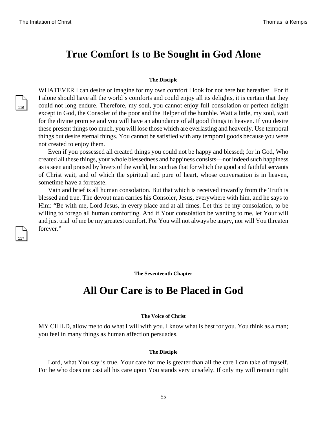117

### **True Comfort Is to Be Sought in God Alone**

### **The Disciple**

WHATEVER I can desire or imagine for my own comfort I look for not here but hereafter. For if I alone should have all the world's comforts and could enjoy all its delights, it is certain that they could not long endure. Therefore, my soul, you cannot enjoy full consolation or perfect delight except in God, the Consoler of the poor and the Helper of the humble. Wait a little, my soul, wait for the divine promise and you will have an abundance of all good things in heaven. If you desire these present things too much, you will lose those which are everlasting and heavenly. Use temporal things but desire eternal things. You cannot be satisfied with any temporal goods because you were not created to enjoy them.

Even if you possessed all created things you could not be happy and blessed; for in God, Who created all these things, your whole blessedness and happiness consists—not indeed such happiness as is seen and praised by lovers of the world, but such as that for which the good and faithful servants of Christ wait, and of which the spiritual and pure of heart, whose conversation is in heaven, sometime have a foretaste.

Vain and brief is all human consolation. But that which is received inwardly from the Truth is blessed and true. The devout man carries his Consoler, Jesus, everywhere with him, and he says to Him: "Be with me, Lord Jesus, in every place and at all times. Let this be my consolation, to be willing to forego all human comforting. And if Your consolation be wanting to me, let Your will and just trial of me be my greatest comfort. For You will not always be angry, nor will You threaten forever."

**The Seventeenth Chapter**

### **All Our Care is to Be Placed in God**

#### **The Voice of Christ**

MY CHILD, allow me to do what I will with you. I know what is best for you. You think as a man; you feel in many things as human affection persuades.

### **The Disciple**

Lord, what You say is true. Your care for me is greater than all the care I can take of myself. For he who does not cast all his care upon You stands very unsafely. If only my will remain right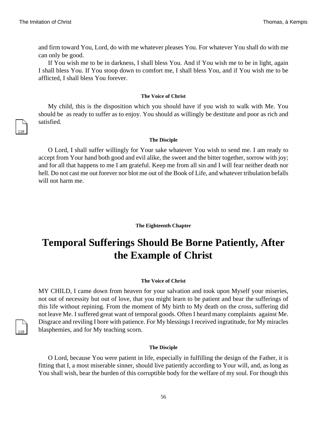and firm toward You, Lord, do with me whatever pleases You. For whatever You shall do with me can only be good.

If You wish me to be in darkness, I shall bless You. And if You wish me to be in light, again I shall bless You. If You stoop down to comfort me, I shall bless You, and if You wish me to be afflicted, I shall bless You forever.

### **The Voice of Christ**

My child, this is the disposition which you should have if you wish to walk with Me. You should be as ready to suffer as to enjoy. You should as willingly be destitute and poor as rich and satisfied.

### **The Disciple**

O Lord, I shall suffer willingly for Your sake whatever You wish to send me. I am ready to accept from Your hand both good and evil alike, the sweet and the bitter together, sorrow with joy; and for all that happens to me I am grateful. Keep me from all sin and I will fear neither death nor hell. Do not cast me out forever nor blot me out of the Book of Life, and whatever tribulation befalls will not harm me.

**The Eighteenth Chapter**

# **Temporal Sufferings Should Be Borne Patiently, After the Example of Christ**

### **The Voice of Christ**

MY CHILD, I came down from heaven for your salvation and took upon Myself your miseries, not out of necessity but out of love, that you might learn to be patient and bear the sufferings of this life without repining. From the moment of My birth to My death on the cross, suffering did not leave Me. I suffered great want of temporal goods. Often I heard many complaints against Me. Disgrace and reviling I bore with patience. For My blessings I received ingratitude, for My miracles blasphemies, and for My teaching scorn.

### **The Disciple**

O Lord, because You were patient in life, especially in fulfilling the design of the Father, it is fitting that I, a most miserable sinner, should live patiently according to Your will, and, as long as You shall wish, bear the burden of this corruptible body for the welfare of my soul. For though this

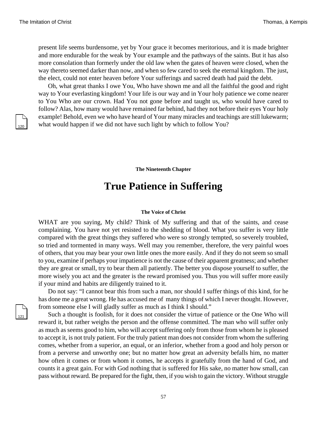121

present life seems burdensome, yet by Your grace it becomes meritorious, and it is made brighter and more endurable for the weak by Your example and the pathways of the saints. But it has also more consolation than formerly under the old law when the gates of heaven were closed, when the way thereto seemed darker than now, and when so few cared to seek the eternal kingdom. The just, the elect, could not enter heaven before Your sufferings and sacred death had paid the debt.

Oh, what great thanks I owe You, Who have shown me and all the faithful the good and right way to Your everlasting kingdom! Your life is our way and in Your holy patience we come nearer to You Who are our crown. Had You not gone before and taught us, who would have cared to follow? Alas, how many would have remained far behind, had they not before their eyes Your holy example! Behold, even we who have heard of Your many miracles and teachings are still lukewarm; what would happen if we did not have such light by which to follow You?

**The Nineteenth Chapter**

### **True Patience in Suffering**

#### **The Voice of Christ**

WHAT are you saying, My child? Think of My suffering and that of the saints, and cease complaining. You have not yet resisted to the shedding of blood. What you suffer is very little compared with the great things they suffered who were so strongly tempted, so severely troubled, so tried and tormented in many ways. Well may you remember, therefore, the very painful woes of others, that you may bear your own little ones the more easily. And if they do not seem so small to you, examine if perhaps your impatience is not the cause of their apparent greatness; and whether they are great or small, try to bear them all patiently. The better you dispose yourself to suffer, the more wisely you act and the greater is the reward promised you. Thus you will suffer more easily if your mind and habits are diligently trained to it.

Do not say: "I cannot bear this from such a man, nor should I suffer things of this kind, for he has done me a great wrong. He has accused me of many things of which I never thought. However, from someone else I will gladly suffer as much as I think I should."

Such a thought is foolish, for it does not consider the virtue of patience or the One Who will reward it, but rather weighs the person and the offense committed. The man who will suffer only as much as seems good to him, who will accept suffering only from those from whom he is pleased to accept it, is not truly patient. For the truly patient man does not consider from whom the suffering comes, whether from a superior, an equal, or an inferior, whether from a good and holy person or from a perverse and unworthy one; but no matter how great an adversity befalls him, no matter how often it comes or from whom it comes, he accepts it gratefully from the hand of God, and counts it a great gain. For with God nothing that is suffered for His sake, no matter how small, can pass without reward. Be prepared for the fight, then, if you wish to gain the victory. Without struggle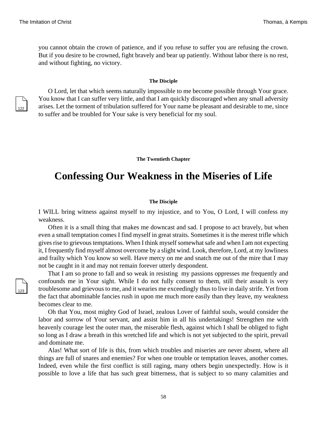you cannot obtain the crown of patience, and if you refuse to suffer you are refusing the crown. But if you desire to be crowned, fight bravely and bear up patiently. Without labor there is no rest, and without fighting, no victory.

#### **The Disciple**

O Lord, let that which seems naturally impossible to me become possible through Your grace. You know that I can suffer very little, and that I am quickly discouraged when any small adversity arises. Let the torment of tribulation suffered for Your name be pleasant and desirable to me, since to suffer and be troubled for Your sake is very beneficial for my soul.

**The Twentieth Chapter**

### **Confessing Our Weakness in the Miseries of Life**

### **The Disciple**

I WILL bring witness against myself to my injustice, and to You, O Lord, I will confess my weakness.

Often it is a small thing that makes me downcast and sad. I propose to act bravely, but when even a small temptation comes I find myself in great straits. Sometimes it is the merest trifle which gives rise to grievous temptations. When I think myself somewhat safe and when I am not expecting it, I frequently find myself almost overcome by a slight wind. Look, therefore, Lord, at my lowliness and frailty which You know so well. Have mercy on me and snatch me out of the mire that I may not be caught in it and may not remain forever utterly despondent.

That I am so prone to fall and so weak in resisting my passions oppresses me frequently and confounds me in Your sight. While I do not fully consent to them, still their assault is very troublesome and grievous to me, and it wearies me exceedingly thus to live in daily strife. Yet from the fact that abominable fancies rush in upon me much more easily than they leave, my weakness becomes clear to me.

Oh that You, most mighty God of Israel, zealous Lover of faithful souls, would consider the labor and sorrow of Your servant, and assist him in all his undertakings! Strengthen me with heavenly courage lest the outer man, the miserable flesh, against which I shall be obliged to fight so long as I draw a breath in this wretched life and which is not yet subjected to the spirit, prevail and dominate me.

Alas! What sort of life is this, from which troubles and miseries are never absent, where all things are full of snares and enemies? For when one trouble or temptation leaves, another comes. Indeed, even while the first conflict is still raging, many others begin unexpectedly. How is it possible to love a life that has such great bitterness, that is subject to so many calamities and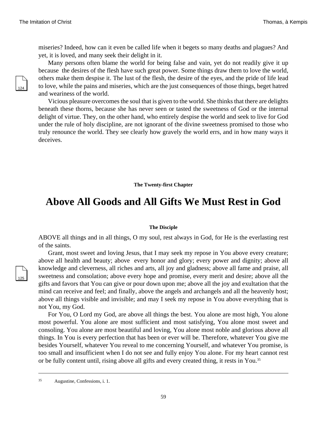miseries? Indeed, how can it even be called life when it begets so many deaths and plagues? And yet, it is loved, and many seek their delight in it.

Many persons often blame the world for being false and vain, yet do not readily give it up because the desires of the flesh have such great power. Some things draw them to love the world, others make them despise it. The lust of the flesh, the desire of the eyes, and the pride of life lead to love, while the pains and miseries, which are the just consequences of those things, beget hatred and weariness of the world.

Vicious pleasure overcomes the soul that is given to the world. She thinks that there are delights beneath these thorns, because she has never seen or tasted the sweetness of God or the internal delight of virtue. They, on the other hand, who entirely despise the world and seek to live for God under the rule of holy discipline, are not ignorant of the divine sweetness promised to those who truly renounce the world. They see clearly how gravely the world errs, and in how many ways it deceives.

**The Twenty-first Chapter**

# **Above All Goods and All Gifts We Must Rest in God**

### **The Disciple**

ABOVE all things and in all things, O my soul, rest always in God, for He is the everlasting rest of the saints.

Grant, most sweet and loving Jesus, that I may seek my repose in You above every creature; above all health and beauty; above every honor and glory; every power and dignity; above all knowledge and cleverness, all riches and arts, all joy and gladness; above all fame and praise, all sweetness and consolation; above every hope and promise, every merit and desire; above all the gifts and favors that You can give or pour down upon me; above all the joy and exultation that the mind can receive and feel; and finally, above the angels and archangels and all the heavenly host; above all things visible and invisible; and may I seek my repose in You above everything that is not You, my God.

For You, O Lord my God, are above all things the best. You alone are most high, You alone most powerful. You alone are most sufficient and most satisfying, You alone most sweet and consoling. You alone are most beautiful and loving, You alone most noble and glorious above all things. In You is every perfection that has been or ever will be. Therefore, whatever You give me besides Yourself, whatever You reveal to me concerning Yourself, and whatever You promise, is too small and insufficient when I do not see and fully enjoy You alone. For my heart cannot rest or be fully content until, rising above all gifts and every created thing, it rests in You.<sup>35</sup>



<sup>35</sup> Augustine, Confessions, i. 1.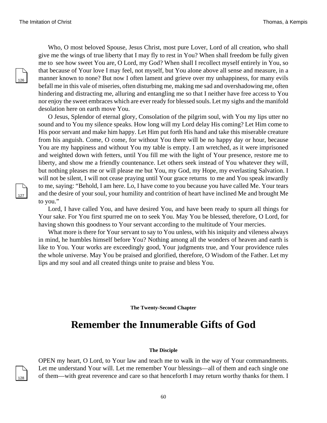Who, O most beloved Spouse, Jesus Christ, most pure Lover, Lord of all creation, who shall give me the wings of true liberty that I may fly to rest in You? When shall freedom be fully given me to see how sweet You are, O Lord, my God? When shall I recollect myself entirely in You, so that because of Your love I may feel, not myself, but You alone above all sense and measure, in a manner known to none? But now I often lament and grieve over my unhappiness, for many evils befall me in this vale of miseries, often disturbing me, making me sad and overshadowing me, often hindering and distracting me, alluring and entangling me so that I neither have free access to You nor enjoy the sweet embraces which are ever ready for blessed souls. Let my sighs and the manifold desolation here on earth move You.

O Jesus, Splendor of eternal glory, Consolation of the pilgrim soul, with You my lips utter no sound and to You my silence speaks. How long will my Lord delay His coming? Let Him come to His poor servant and make him happy. Let Him put forth His hand and take this miserable creature from his anguish. Come, O come, for without You there will be no happy day or hour, because You are my happiness and without You my table is empty. I am wretched, as it were imprisoned and weighted down with fetters, until You fill me with the light of Your presence, restore me to liberty, and show me a friendly countenance. Let others seek instead of You whatever they will, but nothing pleases me or will please me but You, my God, my Hope, my everlasting Salvation. I will not be silent, I will not cease praying until Your grace returns to me and You speak inwardly to me, saying: "Behold, I am here. Lo, I have come to you because you have called Me. Your tears and the desire of your soul, your humility and contrition of heart have inclined Me and brought Me to you."

Lord, I have called You, and have desired You, and have been ready to spurn all things for Your sake. For You first spurred me on to seek You. May You be blessed, therefore, O Lord, for having shown this goodness to Your servant according to the multitude of Your mercies.

What more is there for Your servant to say to You unless, with his iniquity and vileness always in mind, he humbles himself before You? Nothing among all the wonders of heaven and earth is like to You. Your works are exceedingly good, Your judgments true, and Your providence rules the whole universe. May You be praised and glorified, therefore, O Wisdom of the Father. Let my lips and my soul and all created things unite to praise and bless You.

**The Twenty-Second Chapter**

### **Remember the Innumerable Gifts of God**

#### **The Disciple**

OPEN my heart, O Lord, to Your law and teach me to walk in the way of Your commandments. Let me understand Your will. Let me remember Your blessings—all of them and each single one of them—with great reverence and care so that henceforth I may return worthy thanks for them. I

60

128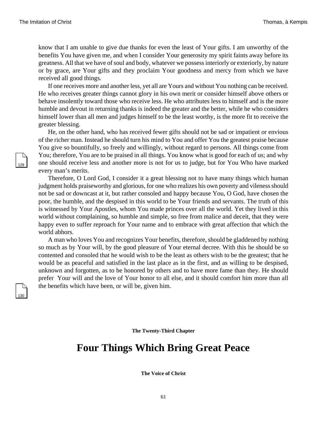know that I am unable to give due thanks for even the least of Your gifts. I am unworthy of the benefits You have given me, and when I consider Your generosity my spirit faints away before its greatness. All that we have of soul and body, whatever we possess interiorly or exteriorly, by nature or by grace, are Your gifts and they proclaim Your goodness and mercy from which we have received all good things.

If one receives more and another less, yet all are Yours and without You nothing can be received. He who receives greater things cannot glory in his own merit or consider himself above others or behave insolently toward those who receive less. He who attributes less to himself and is the more humble and devout in returning thanks is indeed the greater and the better, while he who considers himself lower than all men and judges himself to be the least worthy, is the more fit to receive the greater blessing.

He, on the other hand, who has received fewer gifts should not be sad or impatient or envious of the richer man. Instead he should turn his mind to You and offer You the greatest praise because You give so bountifully, so freely and willingly, without regard to persons. All things come from You; therefore, You are to be praised in all things. You know what is good for each of us; and why one should receive less and another more is not for us to judge, but for You Who have marked every man's merits.

Therefore, O Lord God, I consider it a great blessing not to have many things which human judgment holds praiseworthy and glorious, for one who realizes his own poverty and vileness should not be sad or downcast at it, but rather consoled and happy because You, O God, have chosen the poor, the humble, and the despised in this world to be Your friends and servants. The truth of this is witnessed by Your Apostles, whom You made princes over all the world. Yet they lived in this world without complaining, so humble and simple, so free from malice and deceit, that they were happy even to suffer reproach for Your name and to embrace with great affection that which the world abhors.

A man who loves You and recognizes Your benefits, therefore, should be gladdened by nothing so much as by Your will, by the good pleasure of Your eternal decree. With this he should be so contented and consoled that he would wish to be the least as others wish to be the greatest; that he would be as peaceful and satisfied in the last place as in the first, and as willing to be despised, unknown and forgotten, as to be honored by others and to have more fame than they. He should prefer Your will and the love of Your honor to all else, and it should comfort him more than all the benefits which have been, or will be, given him.

130

129

**The Twenty-Third Chapter**

### **Four Things Which Bring Great Peace**

**The Voice of Christ**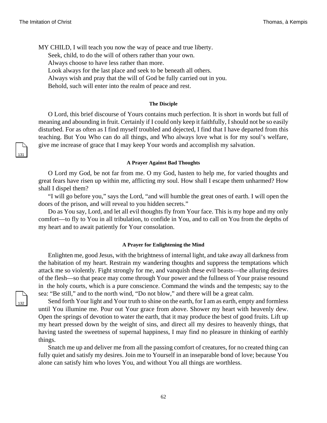MY CHILD, I will teach you now the way of peace and true liberty. Seek, child, to do the will of others rather than your own. Always choose to have less rather than more. Look always for the last place and seek to be beneath all others. Always wish and pray that the will of God be fully carried out in you. Behold, such will enter into the realm of peace and rest.

#### **The Disciple**

O Lord, this brief discourse of Yours contains much perfection. It is short in words but full of meaning and abounding in fruit. Certainly if I could only keep it faithfully, I should not be so easily disturbed. For as often as I find myself troubled and dejected, I find that I have departed from this teaching. But You Who can do all things, and Who always love what is for my soul's welfare, give me increase of grace that I may keep Your words and accomplish my salvation.

#### **A Prayer Against Bad Thoughts**

O Lord my God, be not far from me. O my God, hasten to help me, for varied thoughts and great fears have risen up within me, afflicting my soul. How shall I escape them unharmed? How shall I dispel them?

"I will go before you," says the Lord, "and will humble the great ones of earth. I will open the doors of the prison, and will reveal to you hidden secrets."

Do as You say, Lord, and let all evil thoughts fly from Your face. This is my hope and my only comfort—to fly to You in all tribulation, to confide in You, and to call on You from the depths of my heart and to await patiently for Your consolation.

#### **A Prayer for Enlightening the Mind**

Enlighten me, good Jesus, with the brightness of internal light, and take away all darkness from the habitation of my heart. Restrain my wandering thoughts and suppress the temptations which attack me so violently. Fight strongly for me, and vanquish these evil beasts—the alluring desires of the flesh—so that peace may come through Your power and the fullness of Your praise resound in the holy courts, which is a pure conscience. Command the winds and the tempests; say to the sea: "Be still," and to the north wind, "Do not blow," and there will be a great calm.

132

131

Send forth Your light and Your truth to shine on the earth, for I am as earth, empty and formless until You illumine me. Pour out Your grace from above. Shower my heart with heavenly dew. Open the springs of devotion to water the earth, that it may produce the best of good fruits. Lift up my heart pressed down by the weight of sins, and direct all my desires to heavenly things, that having tasted the sweetness of supernal happiness, I may find no pleasure in thinking of earthly things.

Snatch me up and deliver me from all the passing comfort of creatures, for no created thing can fully quiet and satisfy my desires. Join me to Yourself in an inseparable bond of love; because You alone can satisfy him who loves You, and without You all things are worthless.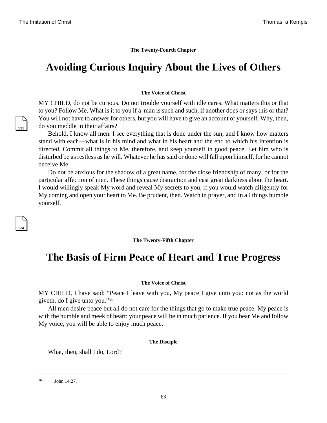**The Twenty-Fourth Chapter**

# **Avoiding Curious Inquiry About the Lives of Others**

### **The Voice of Christ**

MY CHILD, do not be curious. Do not trouble yourself with idle cares. What matters this or that to you? Follow Me. What is it to you if a man is such and such, if another does or says this or that? You will not have to answer for others, but you will have to give an account of yourself. Why, then, do you meddle in their affairs?

Behold, I know all men. I see everything that is done under the sun, and I know how matters stand with each—what is in his mind and what in his heart and the end to which his intention is directed. Commit all things to Me, therefore, and keep yourself in good peace. Let him who is disturbed be as restless as he will. Whatever he has said or done will fall upon himself, for he cannot deceive Me.

Do not be anxious for the shadow of a great name, for the close friendship of many, or for the particular affection of men. These things cause distraction and cast great darkness about the heart. I would willingly speak My word and reveal My secrets to you, if you would watch diligently for My coming and open your heart to Me. Be prudent, then. Watch in prayer, and in all things humble yourself.

**The Twenty-Fifth Chapter**

## **The Basis of Firm Peace of Heart and True Progress**

### **The Voice of Christ**

MY CHILD, I have said: "Peace I leave with you, My peace I give unto you: not as the world giveth, do I give unto you."<sup>36</sup>

All men desire peace but all do not care for the things that go to make true peace. My peace is with the humble and meek of heart: your peace will be in much patience. If you hear Me and follow My voice, you will be able to enjoy much peace.

### **The Disciple**

What, then, shall I do, Lord?



<sup>36</sup> [John 14:27.](http://www.ccel.org/b/bible/asv/xml/asv.John.14.xml#John.14.27)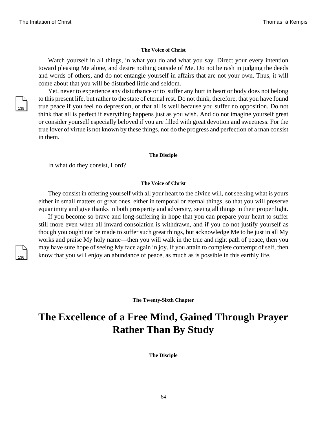136

### **The Voice of Christ**

Watch yourself in all things, in what you do and what you say. Direct your every intention toward pleasing Me alone, and desire nothing outside of Me. Do not be rash in judging the deeds and words of others, and do not entangle yourself in affairs that are not your own. Thus, it will come about that you will be disturbed little and seldom.

Yet, never to experience any disturbance or to suffer any hurt in heart or body does not belong to this present life, but rather to the state of eternal rest. Do not think, therefore, that you have found true peace if you feel no depression, or that all is well because you suffer no opposition. Do not think that all is perfect if everything happens just as you wish. And do not imagine yourself great or consider yourself especially beloved if you are filled with great devotion and sweetness. For the true lover of virtue is not known by these things, nor do the progress and perfection of a man consist in them.

### **The Disciple**

In what do they consist, Lord?

### **The Voice of Christ**

They consist in offering yourself with all your heart to the divine will, not seeking what is yours either in small matters or great ones, either in temporal or eternal things, so that you will preserve equanimity and give thanks in both prosperity and adversity, seeing all things in their proper light.

If you become so brave and long-suffering in hope that you can prepare your heart to suffer still more even when all inward consolation is withdrawn, and if you do not justify yourself as though you ought not be made to suffer such great things, but acknowledge Me to be just in all My works and praise My holy name—then you will walk in the true and right path of peace, then you may have sure hope of seeing My face again in joy. If you attain to complete contempt of self, then know that you will enjoy an abundance of peace, as much as is possible in this earthly life.

**The Twenty-Sixth Chapter**

# **The Excellence of a Free Mind, Gained Through Prayer Rather Than By Study**

**The Disciple**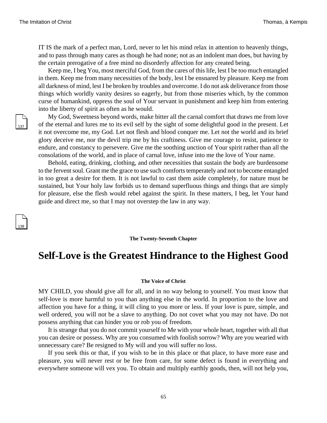IT IS the mark of a perfect man, Lord, never to let his mind relax in attention to heavenly things, and to pass through many cares as though he had none; not as an indolent man does, but having by the certain prerogative of a free mind no disorderly affection for any created being.

Keep me, I beg You, most merciful God, from the cares of this life, lest I be too much entangled in them. Keep me from many necessities of the body, lest I be ensnared by pleasure. Keep me from all darkness of mind, lest I be broken by troubles and overcome. I do not ask deliverance from those things which worldly vanity desires so eagerly, but from those miseries which, by the common curse of humankind, oppress the soul of Your servant in punishment and keep him from entering into the liberty of spirit as often as he would.

137

138

My God, Sweetness beyond words, make bitter all the carnal comfort that draws me from love of the eternal and lures me to its evil self by the sight of some delightful good in the present. Let it not overcome me, my God. Let not flesh and blood conquer me. Let not the world and its brief glory deceive me, nor the devil trip me by his craftiness. Give me courage to resist, patience to endure, and constancy to persevere. Give me the soothing unction of Your spirit rather than all the consolations of the world, and in place of carnal love, infuse into me the love of Your name.

Behold, eating, drinking, clothing, and other necessities that sustain the body are burdensome to the fervent soul. Grant me the grace to use such comforts temperately and not to become entangled in too great a desire for them. It is not lawful to cast them aside completely, for nature must be sustained, but Your holy law forbids us to demand superfluous things and things that are simply for pleasure, else the flesh would rebel against the spirit. In these matters, I beg, let Your hand guide and direct me, so that I may not overstep the law in any way.

**The Twenty-Seventh Chapter**

## **Self-Love is the Greatest Hindrance to the Highest Good**

#### **The Voice of Christ**

MY CHILD, you should give all for all, and in no way belong to yourself. You must know that self-love is more harmful to you than anything else in the world. In proportion to the love and affection you have for a thing, it will cling to you more or less. If your love is pure, simple, and well ordered, you will not be a slave to anything. Do not covet what you may not have. Do not possess anything that can hinder you or rob you of freedom.

It is strange that you do not commit yourself to Me with your whole heart, together with all that you can desire or possess. Why are you consumed with foolish sorrow? Why are you wearied with unnecessary care? Be resigned to My will and you will suffer no loss.

If you seek this or that, if you wish to be in this place or that place, to have more ease and pleasure, you will never rest or be free from care, for some defect is found in everything and everywhere someone will vex you. To obtain and multiply earthly goods, then, will not help you,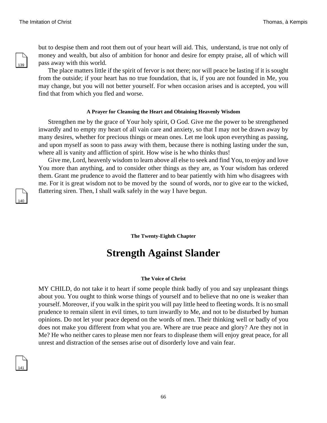

141

but to despise them and root them out of your heart will aid. This, understand, is true not only of money and wealth, but also of ambition for honor and desire for empty praise, all of which will pass away with this world.

The place matters little if the spirit of fervor is not there; nor will peace be lasting if it is sought from the outside; if your heart has no true foundation, that is, if you are not founded in Me, you may change, but you will not better yourself. For when occasion arises and is accepted, you will find that from which you fled and worse.

### **A Prayer for Cleansing the Heart and Obtaining Heavenly Wisdom**

Strengthen me by the grace of Your holy spirit, O God. Give me the power to be strengthened inwardly and to empty my heart of all vain care and anxiety, so that I may not be drawn away by many desires, whether for precious things or mean ones. Let me look upon everything as passing, and upon myself as soon to pass away with them, because there is nothing lasting under the sun, where all is vanity and affliction of spirit. How wise is he who thinks thus!

Give me, Lord, heavenly wisdom to learn above all else to seek and find You, to enjoy and love You more than anything, and to consider other things as they are, as Your wisdom has ordered them. Grant me prudence to avoid the flatterer and to bear patiently with him who disagrees with me. For it is great wisdom not to be moved by the sound of words, nor to give ear to the wicked, flattering siren. Then, I shall walk safely in the way I have begun.

**The Twenty-Eighth Chapter**

# **Strength Against Slander**

### **The Voice of Christ**

MY CHILD, do not take it to heart if some people think badly of you and say unpleasant things about you. You ought to think worse things of yourself and to believe that no one is weaker than yourself. Moreover, if you walk in the spirit you will pay little heed to fleeting words. It is no small prudence to remain silent in evil times, to turn inwardly to Me, and not to be disturbed by human opinions. Do not let your peace depend on the words of men. Their thinking well or badly of you does not make you different from what you are. Where are true peace and glory? Are they not in Me? He who neither cares to please men nor fears to displease them will enjoy great peace, for all unrest and distraction of the senses arise out of disorderly love and vain fear.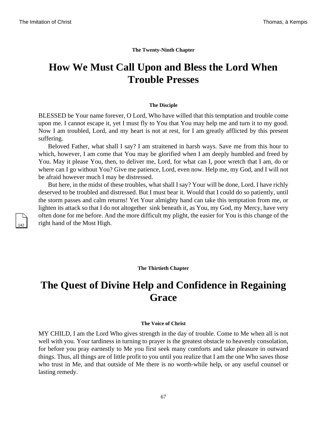**The Twenty-Ninth Chapter**

# **How We Must Call Upon and Bless the Lord When Trouble Presses**

### **The Disciple**

BLESSED be Your name forever, O Lord, Who have willed that this temptation and trouble come upon me. I cannot escape it, yet I must fly to You that You may help me and turn it to my good. Now I am troubled, Lord, and my heart is not at rest, for I am greatly afflicted by this present suffering.

Beloved Father, what shall I say? I am straitened in harsh ways. Save me from this hour to which, however, I am come that You may be glorified when I am deeply humbled and freed by You. May it please You, then, to deliver me, Lord, for what can I, poor wretch that I am, do or where can I go without You? Give me patience, Lord, even now. Help me, my God, and I will not be afraid however much I may be distressed.

But here, in the midst of these troubles, what shall I say? Your will be done, Lord. I have richly deserved to be troubled and distressed. But I must bear it. Would that I could do so patiently, until the storm passes and calm returns! Yet Your almighty hand can take this temptation from me, or lighten its attack so that I do not altogether sink beneath it, as You, my God, my Mercy, have very often done for me before. And the more difficult my plight, the easier for You is this change of the right hand of the Most High.

**The Thirtieth Chapter**

# **The Quest of Divine Help and Confidence in Regaining Grace**

### **The Voice of Christ**

MY CHILD, I am the Lord Who gives strength in the day of trouble. Come to Me when all is not well with you. Your tardiness in turning to prayer is the greatest obstacle to heavenly consolation, for before you pray earnestly to Me you first seek many comforts and take pleasure in outward things. Thus, all things are of little profit to you until you realize that I am the one Who saves those who trust in Me, and that outside of Me there is no worth-while help, or any useful counsel or lasting remedy.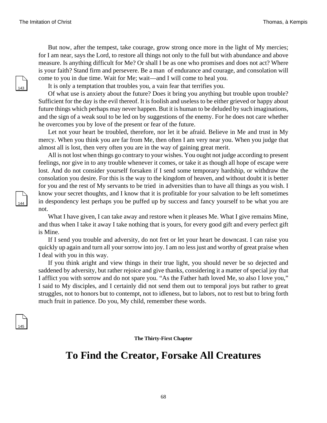But now, after the tempest, take courage, grow strong once more in the light of My mercies; for I am near, says the Lord, to restore all things not only to the full but with abundance and above measure. Is anything difficult for Me? Or shall I be as one who promises and does not act? Where is your faith? Stand firm and persevere. Be a man of endurance and courage, and consolation will come to you in due time. Wait for Me; wait—and I will come to heal you.

143

144

It is only a temptation that troubles you, a vain fear that terrifies you.

Of what use is anxiety about the future? Does it bring you anything but trouble upon trouble? Sufficient for the day is the evil thereof. It is foolish and useless to be either grieved or happy about future things which perhaps may never happen. But it is human to be deluded by such imaginations, and the sign of a weak soul to be led on by suggestions of the enemy. For he does not care whether he overcomes you by love of the present or fear of the future.

Let not your heart be troubled, therefore, nor let it be afraid. Believe in Me and trust in My mercy. When you think you are far from Me, then often I am very near you. When you judge that almost all is lost, then very often you are in the way of gaining great merit.

All is not lost when things go contrary to your wishes. You ought not judge according to present feelings, nor give in to any trouble whenever it comes, or take it as though all hope of escape were lost. And do not consider yourself forsaken if I send some temporary hardship, or withdraw the consolation you desire. For this is the way to the kingdom of heaven, and without doubt it is better for you and the rest of My servants to be tried in adversities than to have all things as you wish. I know your secret thoughts, and I know that it is profitable for your salvation to be left sometimes in despondency lest perhaps you be puffed up by success and fancy yourself to be what you are not.

What I have given, I can take away and restore when it pleases Me. What I give remains Mine, and thus when I take it away I take nothing that is yours, for every good gift and every perfect gift is Mine.

If I send you trouble and adversity, do not fret or let your heart be downcast. I can raise you quickly up again and turn all your sorrow into joy. I am no less just and worthy of great praise when I deal with you in this way.

If you think aright and view things in their true light, you should never be so dejected and saddened by adversity, but rather rejoice and give thanks, considering it a matter of special joy that I afflict you with sorrow and do not spare you. "As the Father hath loved Me, so also I love you," I said to My disciples, and I certainly did not send them out to temporal joys but rather to great struggles, not to honors but to contempt, not to idleness, but to labors, not to rest but to bring forth much fruit in patience. Do you, My child, remember these words.

**The Thirty-First Chapter**

### **To Find the Creator, Forsake All Creatures**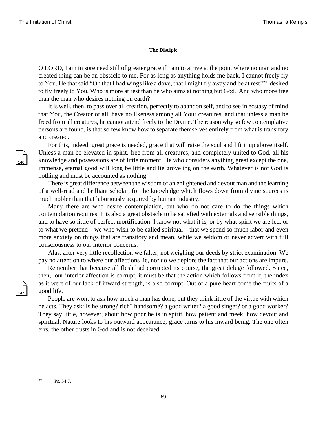### **The Disciple**

O LORD, I am in sore need still of greater grace if I am to arrive at the point where no man and no created thing can be an obstacle to me. For as long as anything holds me back, I cannot freely fly to You. He that said "Oh that I had wings like a dove, that I might fly away and be at rest!"37 desired to fly freely to You. Who is more at rest than he who aims at nothing but God? And who more free than the man who desires nothing on earth?

It is well, then, to pass over all creation, perfectly to abandon self, and to see in ecstasy of mind that You, the Creator of all, have no likeness among all Your creatures, and that unless a man be freed from all creatures, he cannot attend freely to the Divine. The reason why so few contemplative persons are found, is that so few know how to separate themselves entirely from what is transitory and created.

For this, indeed, great grace is needed, grace that will raise the soul and lift it up above itself. Unless a man be elevated in spirit, free from all creatures, and completely united to God, all his knowledge and possessions are of little moment. He who considers anything great except the one, immense, eternal good will long be little and lie groveling on the earth. Whatever is not God is nothing and must be accounted as nothing.

There is great difference between the wisdom of an enlightened and devout man and the learning of a well-read and brilliant scholar, for the knowledge which flows down from divine sources is much nobler than that laboriously acquired by human industry.

Many there are who desire contemplation, but who do not care to do the things which contemplation requires. It is also a great obstacle to be satisfied with externals and sensible things, and to have so little of perfect mortification. I know not what it is, or by what spirit we are led, or to what we pretend—we who wish to be called spiritual—that we spend so much labor and even more anxiety on things that are transitory and mean, while we seldom or never advert with full consciousness to our interior concerns.

Alas, after very little recollection we falter, not weighing our deeds by strict examination. We pay no attention to where our affections lie, nor do we deplore the fact that our actions are impure.

Remember that because all flesh had corrupted its course, the great deluge followed. Since, then, our interior affection is corrupt, it must be that the action which follows from it, the index as it were of our lack of inward strength, is also corrupt. Out of a pure heart come the fruits of a good life.

People are wont to ask how much a man has done, but they think little of the virtue with which he acts. They ask: Is he strong? rich? handsome? a good writer? a good singer? or a good worker? They say little, however, about how poor he is in spirit, how patient and meek, how devout and spiritual. Nature looks to his outward appearance; grace turns to his inward being. The one often errs, the other trusts in God and is not deceived.





<sup>37</sup> [Ps. 54:7](http://www.ccel.org/b/bible/asv/xml/asv.Ps.54.xml#Ps.54.7).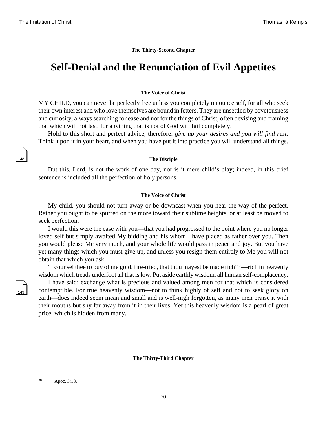149

**The Thirty-Second Chapter**

# **Self-Denial and the Renunciation of Evil Appetites**

### **The Voice of Christ**

MY CHILD, you can never be perfectly free unless you completely renounce self, for all who seek their own interest and who love themselves are bound in fetters. They are unsettled by covetousness and curiosity, always searching for ease and not for the things of Christ, often devising and framing that which will not last, for anything that is not of God will fail completely.

Hold to this short and perfect advice, therefore: *give up your desires and you will find rest*. Think upon it in your heart, and when you have put it into practice you will understand all things.

**The Disciple**

But this, Lord, is not the work of one day, nor is it mere child's play; indeed, in this brief sentence is included all the perfection of holy persons.

### **The Voice of Christ**

My child, you should not turn away or be downcast when you hear the way of the perfect. Rather you ought to be spurred on the more toward their sublime heights, or at least be moved to seek perfection.

I would this were the case with you—that you had progressed to the point where you no longer loved self but simply awaited My bidding and his whom I have placed as father over you. Then you would please Me very much, and your whole life would pass in peace and joy. But you have yet many things which you must give up, and unless you resign them entirely to Me you will not obtain that which you ask.

"I counsel thee to buy of me gold, fire-tried, that thou mayest be made rich"38—rich in heavenly wisdom which treads underfoot all that is low. Put aside earthly wisdom, all human self-complacency.

I have said: exchange what is precious and valued among men for that which is considered contemptible. For true heavenly wisdom—not to think highly of self and not to seek glory on earth—does indeed seem mean and small and is well-nigh forgotten, as many men praise it with their mouths but shy far away from it in their lives. Yet this heavenly wisdom is a pearl of great price, which is hidden from many.

### **The Thirty-Third Chapter**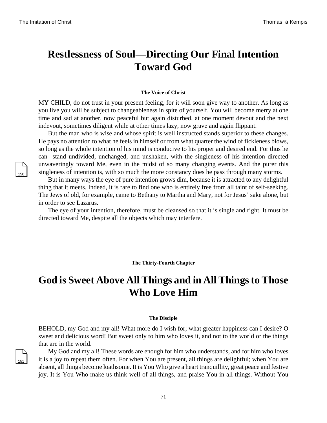# **Restlessness of Soul—Directing Our Final Intention Toward God**

### **The Voice of Christ**

MY CHILD, do not trust in your present feeling, for it will soon give way to another. As long as you live you will be subject to changeableness in spite of yourself. You will become merry at one time and sad at another, now peaceful but again disturbed, at one moment devout and the next indevout, sometimes diligent while at other times lazy, now grave and again flippant.

But the man who is wise and whose spirit is well instructed stands superior to these changes. He pays no attention to what he feels in himself or from what quarter the wind of fickleness blows, so long as the whole intention of his mind is conducive to his proper and desired end. For thus he can stand undivided, unchanged, and unshaken, with the singleness of his intention directed unwaveringly toward Me, even in the midst of so many changing events. And the purer this singleness of intention is, with so much the more constancy does he pass through many storms.

But in many ways the eye of pure intention grows dim, because it is attracted to any delightful thing that it meets. Indeed, it is rare to find one who is entirely free from all taint of self-seeking. The Jews of old, for example, came to Bethany to Martha and Mary, not for Jesus' sake alone, but in order to see Lazarus.

The eye of your intention, therefore, must be cleansed so that it is single and right. It must be directed toward Me, despite all the objects which may interfere.

**The Thirty-Fourth Chapter**

# **God is Sweet Above All Things and in All Things to Those Who Love Him**

#### **The Disciple**

BEHOLD, my God and my all! What more do I wish for; what greater happiness can I desire? O sweet and delicious word! But sweet only to him who loves it, and not to the world or the things that are in the world.

My God and my all! These words are enough for him who understands, and for him who loves it is a joy to repeat them often. For when You are present, all things are delightful; when You are absent, all things become loathsome. It is You Who give a heart tranquillity, great peace and festive joy. It is You Who make us think well of all things, and praise You in all things. Without You

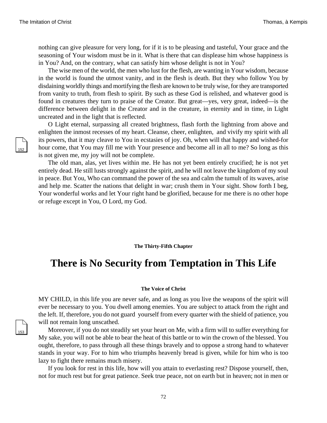nothing can give pleasure for very long, for if it is to be pleasing and tasteful, Your grace and the seasoning of Your wisdom must be in it. What is there that can displease him whose happiness is in You? And, on the contrary, what can satisfy him whose delight is not in You?

The wise men of the world, the men who lust for the flesh, are wanting in Your wisdom, because in the world is found the utmost vanity, and in the flesh is death. But they who follow You by disdaining worldly things and mortifying the flesh are known to be truly wise, for they are transported from vanity to truth, from flesh to spirit. By such as these God is relished, and whatever good is found in creatures they turn to praise of the Creator. But great—yes, very great, indeed—is the difference between delight in the Creator and in the creature, in eternity and in time, in Light uncreated and in the light that is reflected.

O Light eternal, surpassing all created brightness, flash forth the lightning from above and enlighten the inmost recesses of my heart. Cleanse, cheer, enlighten, and vivify my spirit with all its powers, that it may cleave to You in ecstasies of joy. Oh, when will that happy and wished-for hour come, that You may fill me with Your presence and become all in all to me? So long as this is not given me, my joy will not be complete.

The old man, alas, yet lives within me. He has not yet been entirely crucified; he is not yet entirely dead. He still lusts strongly against the spirit, and he will not leave the kingdom of my soul in peace. But You, Who can command the power of the sea and calm the tumult of its waves, arise and help me. Scatter the nations that delight in war; crush them in Your sight. Show forth I beg, Your wonderful works and let Your right hand be glorified, because for me there is no other hope or refuge except in You, O Lord, my God.

**The Thirty-Fifth Chapter**

### **There is No Security from Temptation in This Life**

### **The Voice of Christ**

MY CHILD, in this life you are never safe, and as long as you live the weapons of the spirit will ever be necessary to you. You dwell among enemies. You are subject to attack from the right and the left. If, therefore, you do not guard yourself from every quarter with the shield of patience, you will not remain long unscathed.

Moreover, if you do not steadily set your heart on Me, with a firm will to suffer everything for My sake, you will not be able to bear the heat of this battle or to win the crown of the blessed. You ought, therefore, to pass through all these things bravely and to oppose a strong hand to whatever stands in your way. For to him who triumphs heavenly bread is given, while for him who is too lazy to fight there remains much misery.

If you look for rest in this life, how will you attain to everlasting rest? Dispose yourself, then, not for much rest but for great patience. Seek true peace, not on earth but in heaven; not in men or

152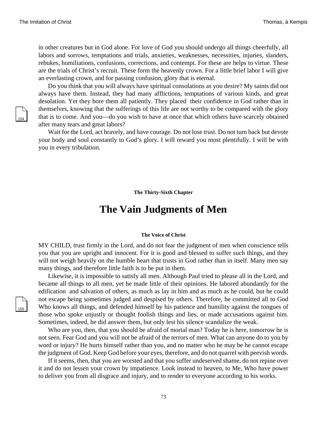in other creatures but in God alone. For love of God you should undergo all things cheerfully, all labors and sorrows, temptations and trials, anxieties, weaknesses, necessities, injuries, slanders, rebukes, humiliations, confusions, corrections, and contempt. For these are helps to virtue. These are the trials of Christ's recruit. These form the heavenly crown. For a little brief labor I will give an everlasting crown, and for passing confusion, glory that is eternal.

Do you think that you will always have spiritual consolations as you desire? My saints did not always have them. Instead, they had many afflictions, temptations of various kinds, and great desolation. Yet they bore them all patiently. They placed their confidence in God rather than in themselves, knowing that the sufferings of this life are not worthy to be compared with the glory that is to come. And you—do you wish to have at once that which others have scarcely obtained after many tears and great labors?

Wait for the Lord, act bravely, and have courage. Do not lose trust. Do not turn back but devote your body and soul constantly to God's glory. I will reward you most plentifully. I will be with you in every tribulation.

**The Thirty-Sixth Chapter**

### **The Vain Judgments of Men**

#### **The Voice of Christ**

MY CHILD, trust firmly in the Lord, and do not fear the judgment of men when conscience tells you that you are upright and innocent. For it is good and blessed to suffer such things, and they will not weigh heavily on the humble heart that trusts in God rather than in itself. Many men say many things, and therefore little faith is to be put in them.

Likewise, it is impossible to satisfy all men. Although Paul tried to please all in the Lord, and became all things to all men, yet he made little of their opinions. He labored abundantly for the edification and salvation of others, as much as lay in him and as much as he could, but he could not escape being sometimes judged and despised by others. Therefore, he committed all to God Who knows all things, and defended himself by his patience and humility against the tongues of those who spoke unjustly or thought foolish things and lies, or made accusations against him. Sometimes, indeed, he did answer them, but only lest his silence scandalize the weak.

Who are you, then, that you should be afraid of mortal man? Today he is here, tomorrow he is not seen. Fear God and you will not be afraid of the terrors of men. What can anyone do to you by word or injury? He hurts himself rather than you, and no matter who he may be he cannot escape the judgment of God. Keep God before your eyes, therefore, and do not quarrel with peevish words.

If it seems, then, that you are worsted and that you suffer undeserved shame, do not repine over it and do not lessen your crown by impatience. Look instead to heaven, to Me, Who have power to deliver you from all disgrace and injury, and to render to everyone according to his works.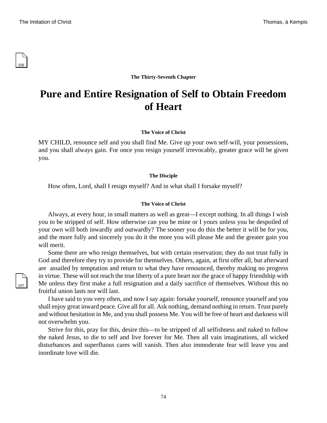

**The Thirty-Seventh Chapter**

# **Pure and Entire Resignation of Self to Obtain Freedom of Heart**

### **The Voice of Christ**

MY CHILD, renounce self and you shall find Me. Give up your own self-will, your possessions, and you shall always gain. For once you resign yourself irrevocably, greater grace will be given you.

### **The Disciple**

How often, Lord, shall I resign myself? And in what shall I forsake myself?

### **The Voice of Christ**

Always, at every hour, in small matters as well as great—I except nothing. In all things I wish you to be stripped of self. How otherwise can you be mine or I yours unless you be despoiled of your own will both inwardly and outwardly? The sooner you do this the better it will be for you, and the more fully and sincerely you do it the more you will please Me and the greater gain you will merit.

Some there are who resign themselves, but with certain reservation; they do not trust fully in God and therefore they try to provide for themselves. Others, again, at first offer all, but afterward are assailed by temptation and return to what they have renounced, thereby making no progress in virtue. These will not reach the true liberty of a pure heart nor the grace of happy friendship with Me unless they first make a full resignation and a daily sacrifice of themselves. Without this no fruitful union lasts nor will last.

I have said to you very often, and now I say again: forsake yourself, renounce yourself and you shall enjoy great inward peace. Give all for all. Ask nothing, demand nothing in return. Trust purely and without hesitation in Me, and you shall possess Me. You will be free of heart and darkness will not overwhelm you.

Strive for this, pray for this, desire this—to be stripped of all selfishness and naked to follow the naked Jesus, to die to self and live forever for Me. Then all vain imaginations, all wicked disturbances and superfluous cares will vanish. Then also immoderate fear will leave you and inordinate love will die.

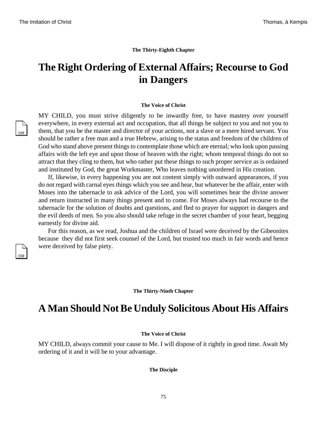159

**The Thirty-Eighth Chapter**

# **The Right Ordering of External Affairs; Recourse to God in Dangers**

### **The Voice of Christ**

MY CHILD, you must strive diligently to be inwardly free, to have mastery over yourself everywhere, in every external act and occupation, that all things be subject to you and not you to them, that you be the master and director of your actions, not a slave or a mere hired servant. You should be rather a free man and a true Hebrew, arising to the status and freedom of the children of God who stand above present things to contemplate those which are eternal; who look upon passing affairs with the left eye and upon those of heaven with the right; whom temporal things do not so attract that they cling to them, but who rather put these things to such proper service as is ordained and instituted by God, the great Workmaster, Who leaves nothing unordered in His creation.

If, likewise, in every happening you are not content simply with outward appearances, if you do not regard with carnal eyes things which you see and hear, but whatever be the affair, enter with Moses into the tabernacle to ask advice of the Lord, you will sometimes hear the divine answer and return instructed in many things present and to come. For Moses always had recourse to the tabernacle for the solution of doubts and questions, and fled to prayer for support in dangers and the evil deeds of men. So you also should take refuge in the secret chamber of your heart, begging earnestly for divine aid.

For this reason, as we read, Joshua and the children of Israel were deceived by the Gibeonites because they did not first seek counsel of the Lord, but trusted too much in fair words and hence were deceived by false piety.

**The Thirty-Ninth Chapter**

### **A Man Should Not Be Unduly Solicitous About His Affairs**

### **The Voice of Christ**

MY CHILD, always commit your cause to Me. I will dispose of it rightly in good time. Await My ordering of it and it will be to your advantage.

### **The Disciple**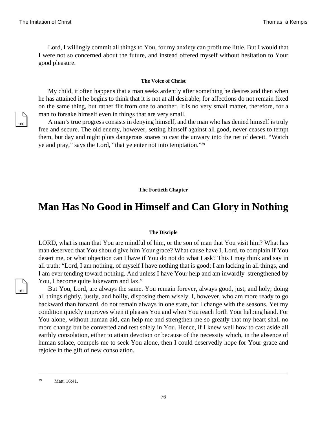Lord, I willingly commit all things to You, for my anxiety can profit me little. But I would that I were not so concerned about the future, and instead offered myself without hesitation to Your good pleasure.

### **The Voice of Christ**

My child, it often happens that a man seeks ardently after something he desires and then when he has attained it he begins to think that it is not at all desirable; for affections do not remain fixed on the same thing, but rather flit from one to another. It is no very small matter, therefore, for a man to forsake himself even in things that are very small.

A man's true progress consists in denying himself, and the man who has denied himself is truly free and secure. The old enemy, however, setting himself against all good, never ceases to tempt them, but day and night plots dangerous snares to cast the unwary into the net of deceit. "Watch ye and pray," says the Lord, "that ye enter not into temptation."<sup>39</sup>

**The Fortieth Chapter**

### **Man Has No Good in Himself and Can Glory in Nothing**

### **The Disciple**

LORD, what is man that You are mindful of him, or the son of man that You visit him? What has man deserved that You should give him Your grace? What cause have I, Lord, to complain if You desert me, or what objection can I have if You do not do what I ask? This I may think and say in all truth: "Lord, I am nothing, of myself I have nothing that is good; I am lacking in all things, and I am ever tending toward nothing. And unless I have Your help and am inwardly strengthened by You, I become quite lukewarm and lax."



But You, Lord, are always the same. You remain forever, always good, just, and holy; doing all things rightly, justly, and holily, disposing them wisely. I, however, who am more ready to go backward than forward, do not remain always in one state, for I change with the seasons. Yet my condition quickly improves when it pleases You and when You reach forth Your helping hand. For You alone, without human aid, can help me and strengthen me so greatly that my heart shall no more change but be converted and rest solely in You. Hence, if I knew well how to cast aside all earthly consolation, either to attain devotion or because of the necessity which, in the absence of human solace, compels me to seek You alone, then I could deservedly hope for Your grace and rejoice in the gift of new consolation.

<sup>39</sup> [Matt. 16:41](http://www.ccel.org/b/bible/asv/xml/asv.Matt.16.xml#Matt.16.41).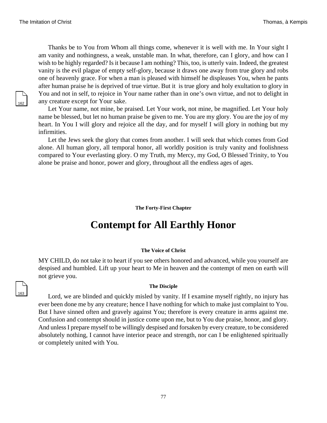Thanks be to You from Whom all things come, whenever it is well with me. In Your sight I am vanity and nothingness, a weak, unstable man. In what, therefore, can I glory, and how can I wish to be highly regarded? Is it because I am nothing? This, too, is utterly vain. Indeed, the greatest vanity is the evil plague of empty self-glory, because it draws one away from true glory and robs one of heavenly grace. For when a man is pleased with himself he displeases You, when he pants after human praise he is deprived of true virtue. But it is true glory and holy exultation to glory in You and not in self, to rejoice in Your name rather than in one's own virtue, and not to delight in any creature except for Your sake.



Let Your name, not mine, be praised. Let Your work, not mine, be magnified. Let Your holy name be blessed, but let no human praise be given to me. You are my glory. You are the joy of my heart. In You I will glory and rejoice all the day, and for myself I will glory in nothing but my infirmities.

Let the Jews seek the glory that comes from another. I will seek that which comes from God alone. All human glory, all temporal honor, all worldly position is truly vanity and foolishness compared to Your everlasting glory. O my Truth, my Mercy, my God, O Blessed Trinity, to You alone be praise and honor, power and glory, throughout all the endless ages of ages.

**The Forty-First Chapter**

# **Contempt for All Earthly Honor**

### **The Voice of Christ**

MY CHILD, do not take it to heart if you see others honored and advanced, while you yourself are despised and humbled. Lift up your heart to Me in heaven and the contempt of men on earth will not grieve you.

### **The Disciple**

Lord, we are blinded and quickly misled by vanity. If I examine myself rightly, no injury has ever been done me by any creature; hence I have nothing for which to make just complaint to You. But I have sinned often and gravely against You; therefore is every creature in arms against me. Confusion and contempt should in justice come upon me, but to You due praise, honor, and glory. And unless I prepare myself to be willingly despised and forsaken by every creature, to be considered absolutely nothing, I cannot have interior peace and strength, nor can I be enlightened spiritually or completely united with You.

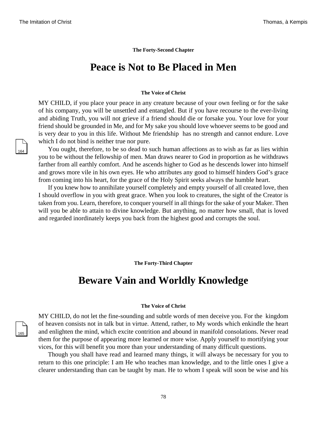**The Forty-Second Chapter**

### **Peace is Not to Be Placed in Men**

#### **The Voice of Christ**

MY CHILD, if you place your peace in any creature because of your own feeling or for the sake of his company, you will be unsettled and entangled. But if you have recourse to the ever-living and abiding Truth, you will not grieve if a friend should die or forsake you. Your love for your friend should be grounded in Me, and for My sake you should love whoever seems to be good and is very dear to you in this life. Without Me friendship has no strength and cannot endure. Love which I do not bind is neither true nor pure.

You ought, therefore, to be so dead to such human affections as to wish as far as lies within you to be without the fellowship of men. Man draws nearer to God in proportion as he withdraws farther from all earthly comfort. And he ascends higher to God as he descends lower into himself and grows more vile in his own eyes. He who attributes any good to himself hinders God's grace from coming into his heart, for the grace of the Holy Spirit seeks always the humble heart.

If you knew how to annihilate yourself completely and empty yourself of all created love, then I should overflow in you with great grace. When you look to creatures, the sight of the Creator is taken from you. Learn, therefore, to conquer yourself in all things for the sake of your Maker. Then will you be able to attain to divine knowledge. But anything, no matter how small, that is loved and regarded inordinately keeps you back from the highest good and corrupts the soul.

**The Forty-Third Chapter**

### **Beware Vain and Worldly Knowledge**

### **The Voice of Christ**

MY CHILD, do not let the fine-sounding and subtle words of men deceive you. For the kingdom of heaven consists not in talk but in virtue. Attend, rather, to My words which enkindle the heart and enlighten the mind, which excite contrition and abound in manifold consolations. Never read them for the purpose of appearing more learned or more wise. Apply yourself to mortifying your vices, for this will benefit you more than your understanding of many difficult questions.

Though you shall have read and learned many things, it will always be necessary for you to return to this one principle: I am He who teaches man knowledge, and to the little ones I give a clearer understanding than can be taught by man. He to whom I speak will soon be wise and his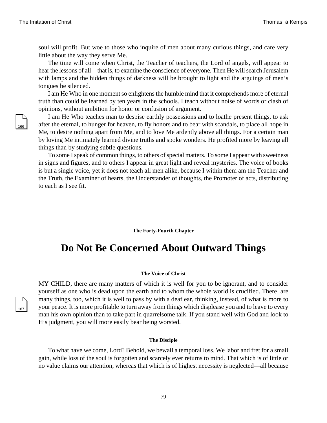167

soul will profit. But woe to those who inquire of men about many curious things, and care very little about the way they serve Me.

The time will come when Christ, the Teacher of teachers, the Lord of angels, will appear to hear the lessons of all—that is, to examine the conscience of everyone. Then He will search Jerusalem with lamps and the hidden things of darkness will be brought to light and the arguings of men's tongues be silenced.

I am He Who in one moment so enlightens the humble mind that it comprehends more of eternal truth than could be learned by ten years in the schools. I teach without noise of words or clash of opinions, without ambition for honor or confusion of argument.

I am He Who teaches man to despise earthly possessions and to loathe present things, to ask after the eternal, to hunger for heaven, to fly honors and to bear with scandals, to place all hope in Me, to desire nothing apart from Me, and to love Me ardently above all things. For a certain man by loving Me intimately learned divine truths and spoke wonders. He profited more by leaving all things than by studying subtle questions.

To some I speak of common things, to others of special matters. To some I appear with sweetness in signs and figures, and to others I appear in great light and reveal mysteries. The voice of books is but a single voice, yet it does not teach all men alike, because I within them am the Teacher and the Truth, the Examiner of hearts, the Understander of thoughts, the Promoter of acts, distributing to each as I see fit.

**The Forty-Fourth Chapter**

### **Do Not Be Concerned About Outward Things**

### **The Voice of Christ**

MY CHILD, there are many matters of which it is well for you to be ignorant, and to consider yourself as one who is dead upon the earth and to whom the whole world is crucified. There are many things, too, which it is well to pass by with a deaf ear, thinking, instead, of what is more to your peace. It is more profitable to turn away from things which displease you and to leave to every man his own opinion than to take part in quarrelsome talk. If you stand well with God and look to His judgment, you will more easily bear being worsted.

### **The Disciple**

To what have we come, Lord? Behold, we bewail a temporal loss. We labor and fret for a small gain, while loss of the soul is forgotten and scarcely ever returns to mind. That which is of little or no value claims our attention, whereas that which is of highest necessity is neglected—all because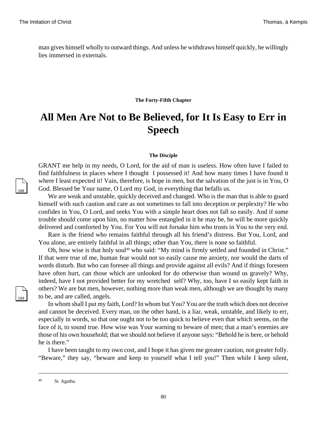man gives himself wholly to outward things. And unless he withdraws himself quickly, he willingly lies immersed in externals.

### **The Forty-Fifth Chapter**

# **All Men Are Not to Be Believed, for It Is Easy to Err in Speech**

#### **The Disciple**

GRANT me help in my needs, O Lord, for the aid of man is useless. How often have I failed to find faithfulness in places where I thought I possessed it! And how many times I have found it where I least expected it! Vain, therefore, is hope in men, but the salvation of the just is in You, O God. Blessed be Your name, O Lord my God, in everything that befalls us.

We are weak and unstable, quickly deceived and changed. Who is the man that is able to guard himself with such caution and care as not sometimes to fall into deception or perplexity? He who confides in You, O Lord, and seeks You with a simple heart does not fall so easily. And if some trouble should come upon him, no matter how entangled in it he may be, he will be more quickly delivered and comforted by You. For You will not forsake him who trusts in You to the very end.

Rare is the friend who remains faithful through all his friend's distress. But You, Lord, and You alone, are entirely faithful in all things; other than You, there is none so faithful.

Oh, how wise is that holy soul<sup>40</sup> who said: "My mind is firmly settled and founded in Christ." If that were true of me, human fear would not so easily cause me anxiety, nor would the darts of words disturb. But who can foresee all things and provide against all evils? And if things foreseen have often hurt, can those which are unlooked for do otherwise than wound us gravely? Why, indeed, have I not provided better for my wretched self? Why, too, have I so easily kept faith in others? We are but men, however, nothing more than weak men, although we are thought by many to be, and are called, angels.

In whom shall I put my faith, Lord? In whom but You? You are the truth which does not deceive and cannot be deceived. Every man, on the other hand, is a liar, weak, unstable, and likely to err, especially in words, so that one ought not to be too quick to believe even that which seems, on the face of it, to sound true. How wise was Your warning to beware of men; that a man's enemies are those of his own household; that we should not believe if anyone says: "Behold he is here, or behold he is there."

I have been taught to my own cost, and I hope it has given me greater caution, not greater folly. "Beware," they say, "beware and keep to yourself what I tell you!" Then while I keep silent,

168



<sup>40</sup> St. Agatha.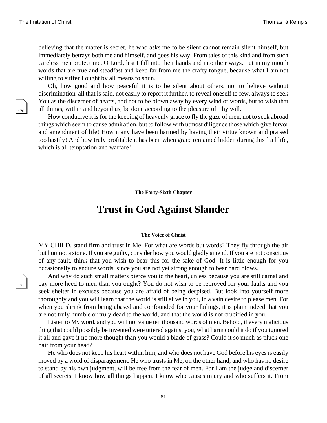believing that the matter is secret, he who asks me to be silent cannot remain silent himself, but immediately betrays both me and himself, and goes his way. From tales of this kind and from such careless men protect me, O Lord, lest I fall into their hands and into their ways. Put in my mouth words that are true and steadfast and keep far from me the crafty tongue, because what I am not willing to suffer I ought by all means to shun.

Oh, how good and how peaceful it is to be silent about others, not to believe without discrimination all that is said, not easily to report it further, to reveal oneself to few, always to seek You as the discerner of hearts, and not to be blown away by every wind of words, but to wish that all things, within and beyond us, be done according to the pleasure of Thy will.

How conducive it is for the keeping of heavenly grace to fly the gaze of men, not to seek abroad things which seem to cause admiration, but to follow with utmost diligence those which give fervor and amendment of life! How many have been harmed by having their virtue known and praised too hastily! And how truly profitable it has been when grace remained hidden during this frail life, which is all temptation and warfare!

**The Forty-Sixth Chapter**

### **Trust in God Against Slander**

#### **The Voice of Christ**

MY CHILD, stand firm and trust in Me. For what are words but words? They fly through the air but hurt not a stone. If you are guilty, consider how you would gladly amend. If you are not conscious of any fault, think that you wish to bear this for the sake of God. It is little enough for you occasionally to endure words, since you are not yet strong enough to bear hard blows.

And why do such small matters pierce you to the heart, unless because you are still carnal and pay more heed to men than you ought? You do not wish to be reproved for your faults and you seek shelter in excuses because you are afraid of being despised. But look into yourself more thoroughly and you will learn that the world is still alive in you, in a vain desire to please men. For when you shrink from being abased and confounded for your failings, it is plain indeed that you are not truly humble or truly dead to the world, and that the world is not crucified in you.

Listen to My word, and you will not value ten thousand words of men. Behold, if every malicious thing that could possibly be invented were uttered against you, what harm could it do if you ignored it all and gave it no more thought than you would a blade of grass? Could it so much as pluck one hair from your head?

He who does not keep his heart within him, and who does not have God before his eyes is easily moved by a word of disparagement. He who trusts in Me, on the other hand, and who has no desire to stand by his own judgment, will be free from the fear of men. For I am the judge and discerner of all secrets. I know how all things happen. I know who causes injury and who suffers it. From

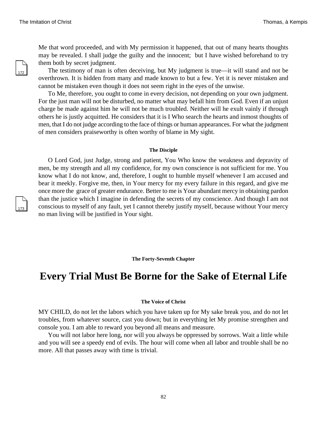173

Me that word proceeded, and with My permission it happened, that out of many hearts thoughts may be revealed. I shall judge the guilty and the innocent; but I have wished beforehand to try them both by secret judgment.

The testimony of man is often deceiving, but My judgment is true—it will stand and not be overthrown. It is hidden from many and made known to but a few. Yet it is never mistaken and cannot be mistaken even though it does not seem right in the eyes of the unwise.

To Me, therefore, you ought to come in every decision, not depending on your own judgment. For the just man will not be disturbed, no matter what may befall him from God. Even if an unjust charge be made against him he will not be much troubled. Neither will he exult vainly if through others he is justly acquitted. He considers that it is I Who search the hearts and inmost thoughts of men, that I do not judge according to the face of things or human appearances. For what the judgment of men considers praiseworthy is often worthy of blame in My sight.

### **The Disciple**

O Lord God, just Judge, strong and patient, You Who know the weakness and depravity of men, be my strength and all my confidence, for my own conscience is not sufficient for me. You know what I do not know, and, therefore, I ought to humble myself whenever I am accused and bear it meekly. Forgive me, then, in Your mercy for my every failure in this regard, and give me once more the grace of greater endurance. Better to me is Your abundant mercy in obtaining pardon than the justice which I imagine in defending the secrets of my conscience. And though I am not conscious to myself of any fault, yet I cannot thereby justify myself, because without Your mercy no man living will be justified in Your sight.

**The Forty-Seventh Chapter**

# **Every Trial Must Be Borne for the Sake of Eternal Life**

#### **The Voice of Christ**

MY CHILD, do not let the labors which you have taken up for My sake break you, and do not let troubles, from whatever source, cast you down; but in everything let My promise strengthen and console you. I am able to reward you beyond all means and measure.

You will not labor here long, nor will you always be oppressed by sorrows. Wait a little while and you will see a speedy end of evils. The hour will come when all labor and trouble shall be no more. All that passes away with time is trivial.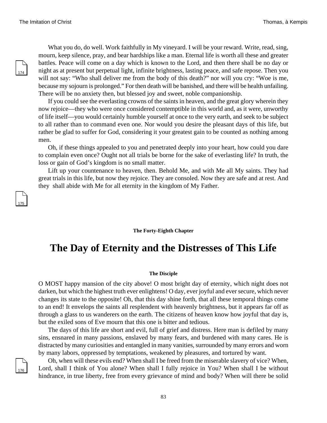What you do, do well. Work faithfully in My vineyard. I will be your reward. Write, read, sing, mourn, keep silence, pray, and bear hardships like a man. Eternal life is worth all these and greater battles. Peace will come on a day which is known to the Lord, and then there shall be no day or night as at present but perpetual light, infinite brightness, lasting peace, and safe repose. Then you will not say: "Who shall deliver me from the body of this death?" nor will you cry: "Woe is me, because my sojourn is prolonged." For then death will be banished, and there will be health unfailing. There will be no anxiety then, but blessed joy and sweet, noble companionship.

If you could see the everlasting crowns of the saints in heaven, and the great glory wherein they now rejoice—they who were once considered contemptible in this world and, as it were, unworthy of life itself—you would certainly humble yourself at once to the very earth, and seek to be subject to all rather than to command even one. Nor would you desire the pleasant days of this life, but rather be glad to suffer for God, considering it your greatest gain to be counted as nothing among men.

Oh, if these things appealed to you and penetrated deeply into your heart, how could you dare to complain even once? Ought not all trials be borne for the sake of everlasting life? In truth, the loss or gain of God's kingdom is no small matter.

Lift up your countenance to heaven, then. Behold Me, and with Me all My saints. They had great trials in this life, but now they rejoice. They are consoled. Now they are safe and at rest. And they shall abide with Me for all eternity in the kingdom of My Father.

**The Forty-Eighth Chapter**

# **The Day of Eternity and the Distresses of This Life**

#### **The Disciple**

O MOST happy mansion of the city above! O most bright day of eternity, which night does not darken, but which the highest truth ever enlightens! O day, ever joyful and ever secure, which never changes its state to the opposite! Oh, that this day shine forth, that all these temporal things come to an end! It envelops the saints all resplendent with heavenly brightness, but it appears far off as through a glass to us wanderers on the earth. The citizens of heaven know how joyful that day is, but the exiled sons of Eve mourn that this one is bitter and tedious.

The days of this life are short and evil, full of grief and distress. Here man is defiled by many sins, ensnared in many passions, enslaved by many fears, and burdened with many cares. He is distracted by many curiosities and entangled in many vanities, surrounded by many errors and worn by many labors, oppressed by temptations, weakened by pleasures, and tortured by want.

Oh, when will these evils end? When shall I be freed from the miserable slavery of vice? When, Lord, shall I think of You alone? When shall I fully rejoice in You? When shall I be without hindrance, in true liberty, free from every grievance of mind and body? When will there be solid



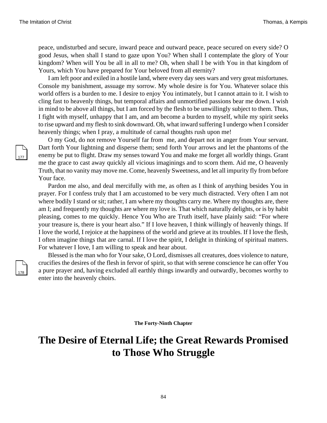178

peace, undisturbed and secure, inward peace and outward peace, peace secured on every side? O good Jesus, when shall I stand to gaze upon You? When shall I contemplate the glory of Your kingdom? When will You be all in all to me? Oh, when shall I be with You in that kingdom of Yours, which You have prepared for Your beloved from all eternity?

I am left poor and exiled in a hostile land, where every day sees wars and very great misfortunes. Console my banishment, assuage my sorrow. My whole desire is for You. Whatever solace this world offers is a burden to me. I desire to enjoy You intimately, but I cannot attain to it. I wish to cling fast to heavenly things, but temporal affairs and unmortified passions bear me down. I wish in mind to be above all things, but I am forced by the flesh to be unwillingly subject to them. Thus, I fight with myself, unhappy that I am, and am become a burden to myself, while my spirit seeks to rise upward and my flesh to sink downward. Oh, what inward suffering I undergo when I consider heavenly things; when I pray, a multitude of carnal thoughts rush upon me!

O my God, do not remove Yourself far from me, and depart not in anger from Your servant. Dart forth Your lightning and disperse them; send forth Your arrows and let the phantoms of the enemy be put to flight. Draw my senses toward You and make me forget all worldly things. Grant me the grace to cast away quickly all vicious imaginings and to scorn them. Aid me, O heavenly Truth, that no vanity may move me. Come, heavenly Sweetness, and let all impurity fly from before Your face.

Pardon me also, and deal mercifully with me, as often as I think of anything besides You in prayer. For I confess truly that I am accustomed to be very much distracted. Very often I am not where bodily I stand or sit; rather, I am where my thoughts carry me. Where my thoughts are, there am I; and frequently my thoughts are where my love is. That which naturally delights, or is by habit pleasing, comes to me quickly. Hence You Who are Truth itself, have plainly said: "For where your treasure is, there is your heart also." If I love heaven, I think willingly of heavenly things. If I love the world, I rejoice at the happiness of the world and grieve at its troubles. If I love the flesh, I often imagine things that are carnal. If I love the spirit, I delight in thinking of spiritual matters. For whatever I love, I am willing to speak and hear about.

Blessed is the man who for Your sake, O Lord, dismisses all creatures, does violence to nature, crucifies the desires of the flesh in fervor of spirit, so that with serene conscience he can offer You a pure prayer and, having excluded all earthly things inwardly and outwardly, becomes worthy to enter into the heavenly choirs.

**The Forty-Ninth Chapter**

# **The Desire of Eternal Life; the Great Rewards Promised to Those Who Struggle**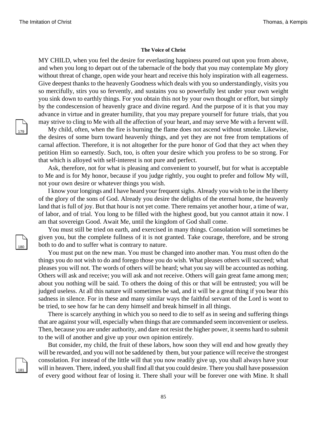### **The Voice of Christ**

MY CHILD, when you feel the desire for everlasting happiness poured out upon you from above, and when you long to depart out of the tabernacle of the body that you may contemplate My glory without threat of change, open wide your heart and receive this holy inspiration with all eagerness. Give deepest thanks to the heavenly Goodness which deals with you so understandingly, visits you so mercifully, stirs you so fervently, and sustains you so powerfully lest under your own weight you sink down to earthly things. For you obtain this not by your own thought or effort, but simply by the condescension of heavenly grace and divine regard. And the purpose of it is that you may advance in virtue and in greater humility, that you may prepare yourself for future trials, that you may strive to cling to Me with all the affection of your heart, and may serve Me with a fervent will.

My child, often, when the fire is burning the flame does not ascend without smoke. Likewise, the desires of some burn toward heavenly things, and yet they are not free from temptations of carnal affection. Therefore, it is not altogether for the pure honor of God that they act when they petition Him so earnestly. Such, too, is often your desire which you profess to be so strong. For that which is alloyed with self-interest is not pure and perfect.

Ask, therefore, not for what is pleasing and convenient to yourself, but for what is acceptable to Me and is for My honor, because if you judge rightly, you ought to prefer and follow My will, not your own desire or whatever things you wish.

I know your longings and I have heard your frequent sighs. Already you wish to be in the liberty of the glory of the sons of God. Already you desire the delights of the eternal home, the heavenly land that is full of joy. But that hour is not yet come. There remains yet another hour, a time of war, of labor, and of trial. You long to be filled with the highest good, but you cannot attain it now. I am that sovereign Good. Await Me, until the kingdom of God shall come.

You must still be tried on earth, and exercised in many things. Consolation will sometimes be given you, but the complete fullness of it is not granted. Take courage, therefore, and be strong both to do and to suffer what is contrary to nature.

You must put on the new man. You must be changed into another man. You must often do the things you do not wish to do and forego those you do wish. What pleases others will succeed; what pleases you will not. The words of others will be heard; what you say will be accounted as nothing. Others will ask and receive; you will ask and not receive. Others will gain great fame among men; about you nothing will be said. To others the doing of this or that will be entrusted; you will be judged useless. At all this nature will sometimes be sad, and it will be a great thing if you bear this sadness in silence. For in these and many similar ways the faithful servant of the Lord is wont to be tried, to see how far he can deny himself and break himself in all things.

There is scarcely anything in which you so need to die to self as in seeing and suffering things that are against your will, especially when things that are commanded seem inconvenient or useless. Then, because you are under authority, and dare not resist the higher power, it seems hard to submit to the will of another and give up your own opinion entirely.

But consider, my child, the fruit of these labors, how soon they will end and how greatly they will be rewarded, and you will not be saddened by them, but your patience will receive the strongest consolation. For instead of the little will that you now readily give up, you shall always have your will in heaven. There, indeed, you shall find all that you could desire. There you shall have possession of every good without fear of losing it. There shall your will be forever one with Mine. It shall



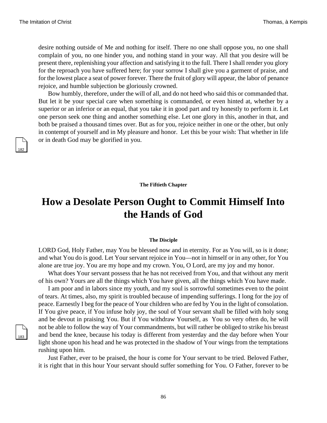desire nothing outside of Me and nothing for itself. There no one shall oppose you, no one shall complain of you, no one hinder you, and nothing stand in your way. All that you desire will be present there, replenishing your affection and satisfying it to the full. There I shall render you glory for the reproach you have suffered here; for your sorrow I shall give you a garment of praise, and for the lowest place a seat of power forever. There the fruit of glory will appear, the labor of penance rejoice, and humble subjection be gloriously crowned.

Bow humbly, therefore, under the will of all, and do not heed who said this or commanded that. But let it be your special care when something is commanded, or even hinted at, whether by a superior or an inferior or an equal, that you take it in good part and try honestly to perform it. Let one person seek one thing and another something else. Let one glory in this, another in that, and both be praised a thousand times over. But as for you, rejoice neither in one or the other, but only in contempt of yourself and in My pleasure and honor. Let this be your wish: That whether in life or in death God may be glorified in you.

**The Fiftieth Chapter**

# **How a Desolate Person Ought to Commit Himself Into the Hands of God**

### **The Disciple**

LORD God, Holy Father, may You be blessed now and in eternity. For as You will, so is it done; and what You do is good. Let Your servant rejoice in You—not in himself or in any other, for You alone are true joy. You are my hope and my crown. You, O Lord, are my joy and my honor.

What does Your servant possess that he has not received from You, and that without any merit of his own? Yours are all the things which You have given, all the things which You have made.

I am poor and in labors since my youth, and my soul is sorrowful sometimes even to the point of tears. At times, also, my spirit is troubled because of impending sufferings. I long for the joy of peace. Earnestly I beg for the peace of Your children who are fed by You in the light of consolation. If You give peace, if You infuse holy joy, the soul of Your servant shall be filled with holy song and be devout in praising You. But if You withdraw Yourself, as You so very often do, he will not be able to follow the way of Your commandments, but will rather be obliged to strike his breast and bend the knee, because his today is different from yesterday and the day before when Your light shone upon his head and he was protected in the shadow of Your wings from the temptations rushing upon him.

Just Father, ever to be praised, the hour is come for Your servant to be tried. Beloved Father, it is right that in this hour Your servant should suffer something for You. O Father, forever to be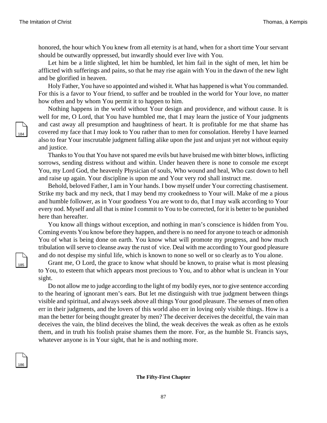honored, the hour which You knew from all eternity is at hand, when for a short time Your servant should be outwardly oppressed, but inwardly should ever live with You.

Let him be a little slighted, let him be humbled, let him fail in the sight of men, let him be afflicted with sufferings and pains, so that he may rise again with You in the dawn of the new light and be glorified in heaven.

Holy Father, You have so appointed and wished it. What has happened is what You commanded. For this is a favor to Your friend, to suffer and be troubled in the world for Your love, no matter how often and by whom You permit it to happen to him.

Nothing happens in the world without Your design and providence, and without cause. It is well for me, O Lord, that You have humbled me, that I may learn the justice of Your judgments and cast away all presumption and haughtiness of heart. It is profitable for me that shame has covered my face that I may look to You rather than to men for consolation. Hereby I have learned also to fear Your inscrutable judgment falling alike upon the just and unjust yet not without equity and justice.

Thanks to You that You have not spared me evils but have bruised me with bitter blows, inflicting sorrows, sending distress without and within. Under heaven there is none to console me except You, my Lord God, the heavenly Physician of souls, Who wound and heal, Who cast down to hell and raise up again. Your discipline is upon me and Your very rod shall instruct me.

Behold, beloved Father, I am in Your hands. I bow myself under Your correcting chastisement. Strike my back and my neck, that I may bend my crookedness to Your will. Make of me a pious and humble follower, as in Your goodness You are wont to do, that I may walk according to Your every nod. Myself and all that is mine I commit to You to be corrected, for it is better to be punished here than hereafter.

You know all things without exception, and nothing in man's conscience is hidden from You. Coming events You know before they happen, and there is no need for anyone to teach or admonish You of what is being done on earth. You know what will promote my progress, and how much tribulation will serve to cleanse away the rust of vice. Deal with me according to Your good pleasure and do not despise my sinful life, which is known to none so well or so clearly as to You alone.

Grant me, O Lord, the grace to know what should be known, to praise what is most pleasing to You, to esteem that which appears most precious to You, and to abhor what is unclean in Your sight.

Do not allow me to judge according to the light of my bodily eyes, nor to give sentence according to the hearing of ignorant men's ears. But let me distinguish with true judgment between things visible and spiritual, and always seek above all things Your good pleasure. The senses of men often err in their judgments, and the lovers of this world also err in loving only visible things. How is a man the better for being thought greater by men? The deceiver deceives the deceitful, the vain man deceives the vain, the blind deceives the blind, the weak deceives the weak as often as he extols them, and in truth his foolish praise shames them the more. For, as the humble St. Francis says, whatever anyone is in Your sight, that he is and nothing more.

185

**The Fifty-First Chapter**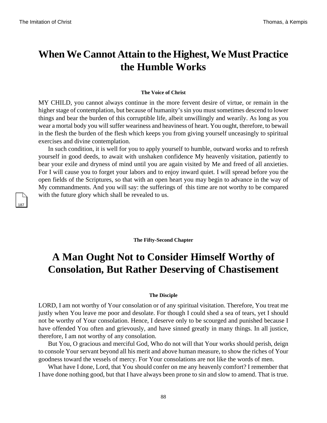# **When We Cannot Attain to the Highest, We Must Practice the Humble Works**

### **The Voice of Christ**

MY CHILD, you cannot always continue in the more fervent desire of virtue, or remain in the higher stage of contemplation, but because of humanity's sin you must sometimes descend to lower things and bear the burden of this corruptible life, albeit unwillingly and wearily. As long as you wear a mortal body you will suffer weariness and heaviness of heart. You ought, therefore, to bewail in the flesh the burden of the flesh which keeps you from giving yourself unceasingly to spiritual exercises and divine contemplation.

In such condition, it is well for you to apply yourself to humble, outward works and to refresh yourself in good deeds, to await with unshaken confidence My heavenly visitation, patiently to bear your exile and dryness of mind until you are again visited by Me and freed of all anxieties. For I will cause you to forget your labors and to enjoy inward quiet. I will spread before you the open fields of the Scriptures, so that with an open heart you may begin to advance in the way of My commandments. And you will say: the sufferings of this time are not worthy to be compared with the future glory which shall be revealed to us.

**The Fifty-Second Chapter**

# **A Man Ought Not to Consider Himself Worthy of Consolation, But Rather Deserving of Chastisement**

### **The Disciple**

LORD, I am not worthy of Your consolation or of any spiritual visitation. Therefore, You treat me justly when You leave me poor and desolate. For though I could shed a sea of tears, yet I should not be worthy of Your consolation. Hence, I deserve only to be scourged and punished because I have offended You often and grievously, and have sinned greatly in many things. In all justice, therefore, I am not worthy of any consolation.

But You, O gracious and merciful God, Who do not will that Your works should perish, deign to console Your servant beyond all his merit and above human measure, to show the riches of Your goodness toward the vessels of mercy. For Your consolations are not like the words of men.

What have I done, Lord, that You should confer on me any heavenly comfort? I remember that I have done nothing good, but that I have always been prone to sin and slow to amend. That is true.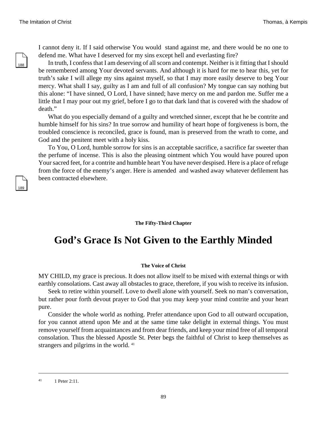

I cannot deny it. If I said otherwise You would stand against me, and there would be no one to defend me. What have I deserved for my sins except hell and everlasting fire?

In truth, I confess that I am deserving of all scorn and contempt. Neither is it fitting that I should be remembered among Your devoted servants. And although it is hard for me to hear this, yet for truth's sake I will allege my sins against myself, so that I may more easily deserve to beg Your mercy. What shall I say, guilty as I am and full of all confusion? My tongue can say nothing but this alone: "I have sinned, O Lord, I have sinned; have mercy on me and pardon me. Suffer me a little that I may pour out my grief, before I go to that dark land that is covered with the shadow of death."

What do you especially demand of a guilty and wretched sinner, except that he be contrite and humble himself for his sins? In true sorrow and humility of heart hope of forgiveness is born, the troubled conscience is reconciled, grace is found, man is preserved from the wrath to come, and God and the penitent meet with a holy kiss.

To You, O Lord, humble sorrow for sins is an acceptable sacrifice, a sacrifice far sweeter than the perfume of incense. This is also the pleasing ointment which You would have poured upon Your sacred feet, for a contrite and humble heart You have never despised. Here is a place of refuge from the force of the enemy's anger. Here is amended and washed away whatever defilement has been contracted elsewhere.

### **The Fifty-Third Chapter**

# **God's Grace Is Not Given to the Earthly Minded**

### **The Voice of Christ**

MY CHILD, my grace is precious. It does not allow itself to be mixed with external things or with earthly consolations. Cast away all obstacles to grace, therefore, if you wish to receive its infusion.

Seek to retire within yourself. Love to dwell alone with yourself. Seek no man's conversation, but rather pour forth devout prayer to God that you may keep your mind contrite and your heart pure.

Consider the whole world as nothing. Prefer attendance upon God to all outward occupation, for you cannot attend upon Me and at the same time take delight in external things. You must remove yourself from acquaintances and from dear friends, and keep your mind free of all temporal consolation. Thus the blessed Apostle St. Peter begs the faithful of Christ to keep themselves as strangers and pilgrims in the world. <sup>41</sup>



<sup>41</sup> [1 Peter 2:11.](http://www.ccel.org/b/bible/asv/xml/asv.iPet.2.xml#iPet.2.11)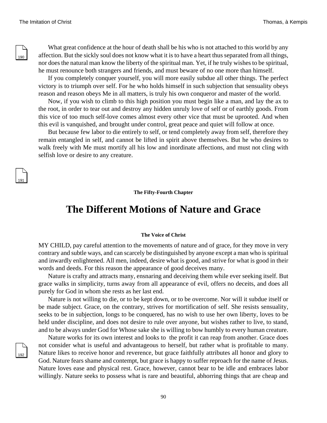

What great confidence at the hour of death shall be his who is not attached to this world by any affection. But the sickly soul does not know what it is to have a heart thus separated from all things, nor does the natural man know the liberty of the spiritual man. Yet, if he truly wishes to be spiritual, he must renounce both strangers and friends, and must beware of no one more than himself.

If you completely conquer yourself, you will more easily subdue all other things. The perfect victory is to triumph over self. For he who holds himself in such subjection that sensuality obeys reason and reason obeys Me in all matters, is truly his own conqueror and master of the world.

Now, if you wish to climb to this high position you must begin like a man, and lay the ax to the root, in order to tear out and destroy any hidden unruly love of self or of earthly goods. From this vice of too much self-love comes almost every other vice that must be uprooted. And when this evil is vanquished, and brought under control, great peace and quiet will follow at once.

But because few labor to die entirely to self, or tend completely away from self, therefore they remain entangled in self, and cannot be lifted in spirit above themselves. But he who desires to walk freely with Me must mortify all his low and inordinate affections, and must not cling with selfish love or desire to any creature.

**The Fifty-Fourth Chapter**

### **The Different Motions of Nature and Grace**

### **The Voice of Christ**

MY CHILD, pay careful attention to the movements of nature and of grace, for they move in very contrary and subtle ways, and can scarcely be distinguished by anyone except a man who is spiritual and inwardly enlightened. All men, indeed, desire what is good, and strive for what is good in their words and deeds. For this reason the appearance of good deceives many.

Nature is crafty and attracts many, ensnaring and deceiving them while ever seeking itself. But grace walks in simplicity, turns away from all appearance of evil, offers no deceits, and does all purely for God in whom she rests as her last end.

Nature is not willing to die, or to be kept down, or to be overcome. Nor will it subdue itself or be made subject. Grace, on the contrary, strives for mortification of self. She resists sensuality, seeks to be in subjection, longs to be conquered, has no wish to use her own liberty, loves to be held under discipline, and does not desire to rule over anyone, but wishes rather to live, to stand, and to be always under God for Whose sake she is willing to bow humbly to every human creature.



Nature works for its own interest and looks to the profit it can reap from another. Grace does not consider what is useful and advantageous to herself, but rather what is profitable to many. Nature likes to receive honor and reverence, but grace faithfully attributes all honor and glory to God. Nature fears shame and contempt, but grace is happy to suffer reproach for the name of Jesus. Nature loves ease and physical rest. Grace, however, cannot bear to be idle and embraces labor willingly. Nature seeks to possess what is rare and beautiful, abhorring things that are cheap and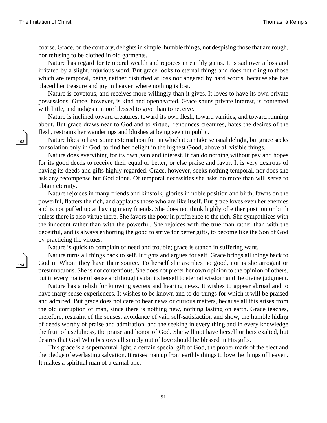194

coarse. Grace, on the contrary, delights in simple, humble things, not despising those that are rough, nor refusing to be clothed in old garments.

Nature has regard for temporal wealth and rejoices in earthly gains. It is sad over a loss and irritated by a slight, injurious word. But grace looks to eternal things and does not cling to those which are temporal, being neither disturbed at loss nor angered by hard words, because she has placed her treasure and joy in heaven where nothing is lost.

Nature is covetous, and receives more willingly than it gives. It loves to have its own private possessions. Grace, however, is kind and openhearted. Grace shuns private interest, is contented with little, and judges it more blessed to give than to receive.

Nature is inclined toward creatures, toward its own flesh, toward vanities, and toward running about. But grace draws near to God and to virtue, renounces creatures, hates the desires of the flesh, restrains her wanderings and blushes at being seen in public.

Nature likes to have some external comfort in which it can take sensual delight, but grace seeks consolation only in God, to find her delight in the highest Good, above all visible things.

Nature does everything for its own gain and interest. It can do nothing without pay and hopes for its good deeds to receive their equal or better, or else praise and favor. It is very desirous of having its deeds and gifts highly regarded. Grace, however, seeks nothing temporal, nor does she ask any recompense but God alone. Of temporal necessities she asks no more than will serve to obtain eternity.

Nature rejoices in many friends and kinsfolk, glories in noble position and birth, fawns on the powerful, flatters the rich, and applauds those who are like itself. But grace loves even her enemies and is not puffed up at having many friends. She does not think highly of either position or birth unless there is also virtue there. She favors the poor in preference to the rich. She sympathizes with the innocent rather than with the powerful. She rejoices with the true man rather than with the deceitful, and is always exhorting the good to strive for better gifts, to become like the Son of God by practicing the virtues.

Nature is quick to complain of need and trouble; grace is stanch in suffering want.

Nature turns all things back to self. It fights and argues for self. Grace brings all things back to God in Whom they have their source. To herself she ascribes no good, nor is she arrogant or presumptuous. She is not contentious. She does not prefer her own opinion to the opinion of others, but in every matter of sense and thought submits herself to eternal wisdom and the divine judgment.

Nature has a relish for knowing secrets and hearing news. It wishes to appear abroad and to have many sense experiences. It wishes to be known and to do things for which it will be praised and admired. But grace does not care to hear news or curious matters, because all this arises from the old corruption of man, since there is nothing new, nothing lasting on earth. Grace teaches, therefore, restraint of the senses, avoidance of vain self-satisfaction and show, the humble hiding of deeds worthy of praise and admiration, and the seeking in every thing and in every knowledge the fruit of usefulness, the praise and honor of God. She will not have herself or hers exalted, but desires that God Who bestows all simply out of love should be blessed in His gifts.

This grace is a supernatural light, a certain special gift of God, the proper mark of the elect and the pledge of everlasting salvation. It raises man up from earthly things to love the things of heaven. It makes a spiritual man of a carnal one.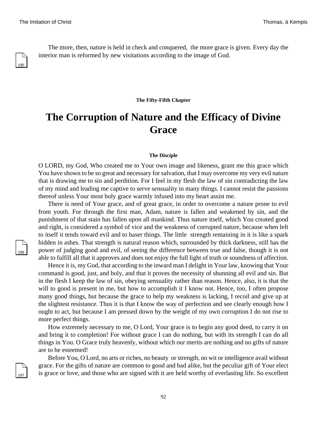The more, then, nature is held in check and conquered, the more grace is given. Every day the interior man is reformed by new visitations according to the image of God.



# **The Corruption of Nature and the Efficacy of Divine Grace**

#### **The Disciple**

O LORD, my God, Who created me to Your own image and likeness, grant me this grace which You have shown to be so great and necessary for salvation, that I may overcome my very evil nature that is drawing me to sin and perdition. For I feel in my flesh the law of sin contradicting the law of my mind and leading me captive to serve sensuality in many things. I cannot resist the passions thereof unless Your most holy grace warmly infused into my heart assist me.

There is need of Your grace, and of great grace, in order to overcome a nature prone to evil from youth. For through the first man, Adam, nature is fallen and weakened by sin, and the punishment of that stain has fallen upon all mankind. Thus nature itself, which You created good and right, is considered a symbol of vice and the weakness of corrupted nature, because when left to itself it tends toward evil and to baser things. The little strength remaining in it is like a spark hidden in ashes. That strength is natural reason which, surrounded by thick darkness, still has the power of judging good and evil, of seeing the difference between true and false, though it is not able to fulfill all that it approves and does not enjoy the full light of truth or soundness of affection.

Hence it is, my God, that according to the inward man I delight in Your law, knowing that Your command is good, just, and holy, and that it proves the necessity of shunning all evil and sin. But in the flesh I keep the law of sin, obeying sensuality rather than reason. Hence, also, it is that the will to good is present in me, but how to accomplish it I know not. Hence, too, I often propose many good things, but because the grace to help my weakness is lacking, I recoil and give up at the slightest resistance. Thus it is that I know the way of perfection and see clearly enough how I ought to act, but because I am pressed down by the weight of my own corruption I do not rise to more perfect things.

How extremely necessary to me, O Lord, Your grace is to begin any good deed, to carry it on and bring it to completion! For without grace I can do nothing, but with its strength I can do all things in You. O Grace truly heavenly, without which our merits are nothing and no gifts of nature are to be esteemed!

Before You, O Lord, no arts or riches, no beauty or strength, no wit or intelligence avail without grace. For the gifts of nature are common to good and bad alike, but the peculiar gift of Your elect is grace or love, and those who are signed with it are held worthy of everlasting life. So excellent

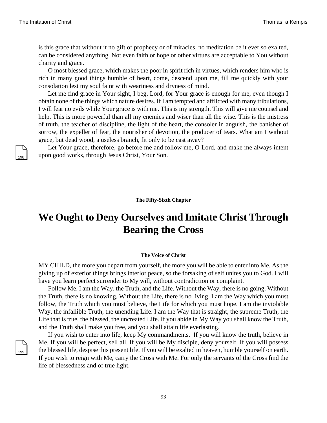is this grace that without it no gift of prophecy or of miracles, no meditation be it ever so exalted, can be considered anything. Not even faith or hope or other virtues are acceptable to You without charity and grace.

O most blessed grace, which makes the poor in spirit rich in virtues, which renders him who is rich in many good things humble of heart, come, descend upon me, fill me quickly with your consolation lest my soul faint with weariness and dryness of mind.

Let me find grace in Your sight, I beg, Lord, for Your grace is enough for me, even though I obtain none of the things which nature desires. If I am tempted and afflicted with many tribulations, I will fear no evils while Your grace is with me. This is my strength. This will give me counsel and help. This is more powerful than all my enemies and wiser than all the wise. This is the mistress of truth, the teacher of discipline, the light of the heart, the consoler in anguish, the banisher of sorrow, the expeller of fear, the nourisher of devotion, the producer of tears. What am I without grace, but dead wood, a useless branch, fit only to be cast away?

Let Your grace, therefore, go before me and follow me, O Lord, and make me always intent upon good works, through Jesus Christ, Your Son.

**The Fifty-Sixth Chapter**

# **We Ought to Deny Ourselves and Imitate Christ Through Bearing the Cross**

### **The Voice of Christ**

MY CHILD, the more you depart from yourself, the more you will be able to enter into Me. As the giving up of exterior things brings interior peace, so the forsaking of self unites you to God. I will have you learn perfect surrender to My will, without contradiction or complaint.

Follow Me. I am the Way, the Truth, and the Life. Without the Way, there is no going. Without the Truth, there is no knowing. Without the Life, there is no living. I am the Way which you must follow, the Truth which you must believe, the Life for which you must hope. I am the inviolable Way, the infallible Truth, the unending Life. I am the Way that is straight, the supreme Truth, the Life that is true, the blessed, the uncreated Life. If you abide in My Way you shall know the Truth, and the Truth shall make you free, and you shall attain life everlasting.

If you wish to enter into life, keep My commandments. If you will know the truth, believe in Me. If you will be perfect, sell all. If you will be My disciple, deny yourself. If you will possess the blessed life, despise this present life. If you will be exalted in heaven, humble yourself on earth. If you wish to reign with Me, carry the Cross with Me. For only the servants of the Cross find the life of blessedness and of true light.

93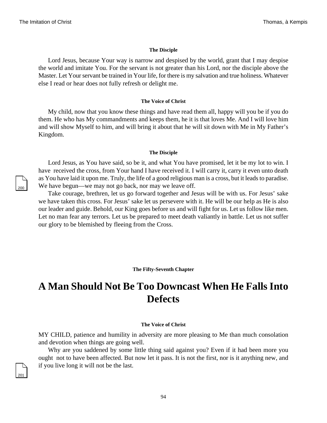### **The Disciple**

Lord Jesus, because Your way is narrow and despised by the world, grant that I may despise the world and imitate You. For the servant is not greater than his Lord, nor the disciple above the Master. Let Your servant be trained in Your life, for there is my salvation and true holiness. Whatever else I read or hear does not fully refresh or delight me.

### **The Voice of Christ**

My child, now that you know these things and have read them all, happy will you be if you do them. He who has My commandments and keeps them, he it is that loves Me. And I will love him and will show Myself to him, and will bring it about that he will sit down with Me in My Father's Kingdom.

### **The Disciple**

Lord Jesus, as You have said, so be it, and what You have promised, let it be my lot to win. I have received the cross, from Your hand I have received it. I will carry it, carry it even unto death as You have laid it upon me. Truly, the life of a good religious man is a cross, but it leads to paradise. We have begun—we may not go back, nor may we leave off.

Take courage, brethren, let us go forward together and Jesus will be with us. For Jesus' sake we have taken this cross. For Jesus' sake let us persevere with it. He will be our help as He is also our leader and guide. Behold, our King goes before us and will fight for us. Let us follow like men. Let no man fear any terrors. Let us be prepared to meet death valiantly in battle. Let us not suffer our glory to be blemished by fleeing from the Cross.

**The Fifty-Seventh Chapter**

# **A Man Should Not Be Too Downcast When He Falls Into Defects**

### **The Voice of Christ**

MY CHILD, patience and humility in adversity are more pleasing to Me than much consolation and devotion when things are going well.

Why are you saddened by some little thing said against you? Even if it had been more you ought not to have been affected. But now let it pass. It is not the first, nor is it anything new, and if you live long it will not be the last.

200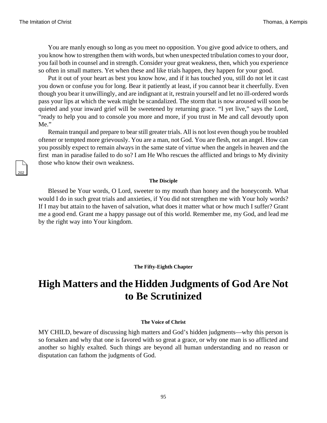You are manly enough so long as you meet no opposition. You give good advice to others, and you know how to strengthen them with words, but when unexpected tribulation comes to your door, you fail both in counsel and in strength. Consider your great weakness, then, which you experience so often in small matters. Yet when these and like trials happen, they happen for your good.

Put it out of your heart as best you know how, and if it has touched you, still do not let it cast you down or confuse you for long. Bear it patiently at least, if you cannot bear it cheerfully. Even though you bear it unwillingly, and are indignant at it, restrain yourself and let no ill-ordered words pass your lips at which the weak might be scandalized. The storm that is now aroused will soon be quieted and your inward grief will be sweetened by returning grace. "I yet live," says the Lord, "ready to help you and to console you more and more, if you trust in Me and call devoutly upon Me."

Remain tranquil and prepare to bear still greater trials. All is not lost even though you be troubled oftener or tempted more grievously. You are a man, not God. You are flesh, not an angel. How can you possibly expect to remain always in the same state of virtue when the angels in heaven and the first man in paradise failed to do so? I am He Who rescues the afflicted and brings to My divinity those who know their own weakness.

### **The Disciple**

Blessed be Your words, O Lord, sweeter to my mouth than honey and the honeycomb. What would I do in such great trials and anxieties, if You did not strengthen me with Your holy words? If I may but attain to the haven of salvation, what does it matter what or how much I suffer? Grant me a good end. Grant me a happy passage out of this world. Remember me, my God, and lead me by the right way into Your kingdom.

**The Fifty-Eighth Chapter**

# **High Matters and the Hidden Judgments of God Are Not to Be Scrutinized**

### **The Voice of Christ**

MY CHILD, beware of discussing high matters and God's hidden judgments—why this person is so forsaken and why that one is favored with so great a grace, or why one man is so afflicted and another so highly exalted. Such things are beyond all human understanding and no reason or disputation can fathom the judgments of God.

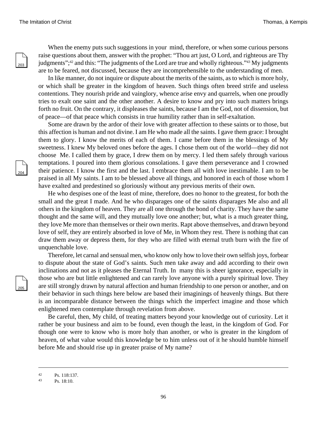204

205

When the enemy puts such suggestions in your mind, therefore, or when some curious persons raise questions about them, answer with the prophet: "Thou art just, O Lord, and righteous are Thy judgments";<sup>42</sup> and this: "The judgments of the Lord are true and wholly righteous."<sup>43</sup> My judgments are to be feared, not discussed, because they are incomprehensible to the understanding of men.

In like manner, do not inquire or dispute about the merits of the saints, as to which is more holy, or which shall be greater in the kingdom of heaven. Such things often breed strife and useless contentions. They nourish pride and vainglory, whence arise envy and quarrels, when one proudly tries to exalt one saint and the other another. A desire to know and pry into such matters brings forth no fruit. On the contrary, it displeases the saints, because I am the God, not of dissension, but of peace—of that peace which consists in true humility rather than in self-exaltation.

Some are drawn by the ardor of their love with greater affection to these saints or to those, but this affection is human and not divine. I am He who made all the saints. I gave them grace: I brought them to glory. I know the merits of each of them. I came before them in the blessings of My sweetness. I knew My beloved ones before the ages. I chose them out of the world—they did not choose Me. I called them by grace, I drew them on by mercy. I led them safely through various temptations. I poured into them glorious consolations. I gave them perseverance and I crowned their patience. I know the first and the last. I embrace them all with love inestimable. I am to be praised in all My saints. I am to be blessed above all things, and honored in each of those whom I have exalted and predestined so gloriously without any previous merits of their own.

He who despises one of the least of mine, therefore, does no honor to the greatest, for both the small and the great I made. And he who disparages one of the saints disparages Me also and all others in the kingdom of heaven. They are all one through the bond of charity. They have the same thought and the same will, and they mutually love one another; but, what is a much greater thing, they love Me more than themselves or their own merits. Rapt above themselves, and drawn beyond love of self, they are entirely absorbed in love of Me, in Whom they rest. There is nothing that can draw them away or depress them, for they who are filled with eternal truth burn with the fire of unquenchable love.

Therefore, let carnal and sensual men, who know only how to love their own selfish joys, forbear to dispute about the state of God's saints. Such men take away and add according to their own inclinations and not as it pleases the Eternal Truth. In many this is sheer ignorance, especially in those who are but little enlightened and can rarely love anyone with a purely spiritual love. They are still strongly drawn by natural affection and human friendship to one person or another, and on their behavior in such things here below are based their imaginings of heavenly things. But there is an incomparable distance between the things which the imperfect imagine and those which enlightened men contemplate through revelation from above.

Be careful, then, My child, of treating matters beyond your knowledge out of curiosity. Let it rather be your business and aim to be found, even though the least, in the kingdom of God. For though one were to know who is more holy than another, or who is greater in the kingdom of heaven, of what value would this knowledge be to him unless out of it he should humble himself before Me and should rise up in greater praise of My name?



<sup>42</sup> [Ps. 118:137](http://www.ccel.org/b/bible/asv/xml/asv.Ps.118.xml#Ps.118.137).

<sup>43</sup> [Ps. 18:10.](http://www.ccel.org/b/bible/asv/xml/asv.Ps.18.xml#Ps.18.10)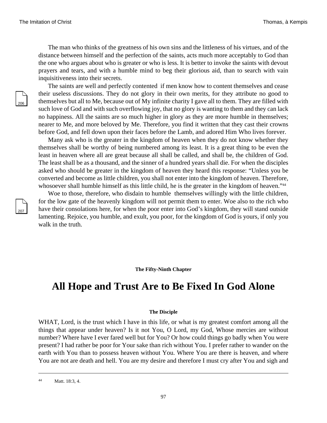207

The man who thinks of the greatness of his own sins and the littleness of his virtues, and of the distance between himself and the perfection of the saints, acts much more acceptably to God than the one who argues about who is greater or who is less. It is better to invoke the saints with devout prayers and tears, and with a humble mind to beg their glorious aid, than to search with vain inquisitiveness into their secrets.

The saints are well and perfectly contented if men know how to content themselves and cease their useless discussions. They do not glory in their own merits, for they attribute no good to themselves but all to Me, because out of My infinite charity I gave all to them. They are filled with such love of God and with such overflowing joy, that no glory is wanting to them and they can lack no happiness. All the saints are so much higher in glory as they are more humble in themselves; nearer to Me, and more beloved by Me. Therefore, you find it written that they cast their crowns before God, and fell down upon their faces before the Lamb, and adored Him Who lives forever.

Many ask who is the greater in the kingdom of heaven when they do not know whether they themselves shall be worthy of being numbered among its least. It is a great thing to be even the least in heaven where all are great because all shall be called, and shall be, the children of God. The least shall be as a thousand, and the sinner of a hundred years shall die. For when the disciples asked who should be greater in the kingdom of heaven they heard this response: "Unless you be converted and become as little children, you shall not enter into the kingdom of heaven. Therefore, whosoever shall humble himself as this little child, he is the greater in the kingdom of heaven."<sup>44</sup>

Woe to those, therefore, who disdain to humble themselves willingly with the little children, for the low gate of the heavenly kingdom will not permit them to enter. Woe also to the rich who have their consolations here, for when the poor enter into God's kingdom, they will stand outside lamenting. Rejoice, you humble, and exult, you poor, for the kingdom of God is yours, if only you walk in the truth.

**The Fifty-Ninth Chapter**

### **All Hope and Trust Are to Be Fixed In God Alone**

#### **The Disciple**

WHAT, Lord, is the trust which I have in this life, or what is my greatest comfort among all the things that appear under heaven? Is it not You, O Lord, my God, Whose mercies are without number? Where have I ever fared well but for You? Or how could things go badly when You were present? I had rather be poor for Your sake than rich without You. I prefer rather to wander on the earth with You than to possess heaven without You. Where You are there is heaven, and where You are not are death and hell. You are my desire and therefore I must cry after You and sigh and



<sup>44</sup> [Matt. 18:3, 4](http://www.ccel.org/b/bible/asv/xml/asv.Matt.18.xml#Matt.18.3 Bible:Matt.18.4).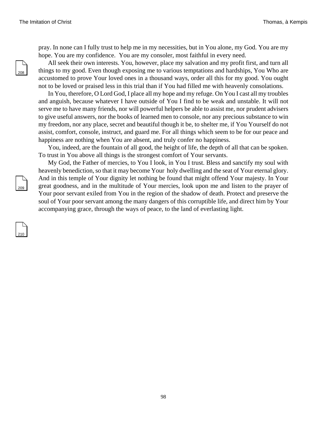pray. In none can I fully trust to help me in my necessities, but in You alone, my God. You are my hope. You are my confidence. You are my consoler, most faithful in every need.

All seek their own interests. You, however, place my salvation and my profit first, and turn all things to my good. Even though exposing me to various temptations and hardships, You Who are accustomed to prove Your loved ones in a thousand ways, order all this for my good. You ought not to be loved or praised less in this trial than if You had filled me with heavenly consolations.

In You, therefore, O Lord God, I place all my hope and my refuge. On You I cast all my troubles and anguish, because whatever I have outside of You I find to be weak and unstable. It will not serve me to have many friends, nor will powerful helpers be able to assist me, nor prudent advisers to give useful answers, nor the books of learned men to console, nor any precious substance to win my freedom, nor any place, secret and beautiful though it be, to shelter me, if You Yourself do not assist, comfort, console, instruct, and guard me. For all things which seem to be for our peace and happiness are nothing when You are absent, and truly confer no happiness.

You, indeed, are the fountain of all good, the height of life, the depth of all that can be spoken. To trust in You above all things is the strongest comfort of Your servants.

My God, the Father of mercies, to You I look, in You I trust. Bless and sanctify my soul with heavenly benediction, so that it may become Your holy dwelling and the seat of Your eternal glory. And in this temple of Your dignity let nothing be found that might offend Your majesty. In Your great goodness, and in the multitude of Your mercies, look upon me and listen to the prayer of Your poor servant exiled from You in the region of the shadow of death. Protect and preserve the soul of Your poor servant among the many dangers of this corruptible life, and direct him by Your accompanying grace, through the ways of peace, to the land of everlasting light.





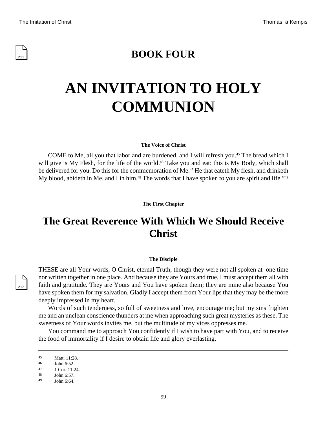

# **BOOK FOUR**

# **AN INVITATION TO HOLY COMMUNION**

### **The Voice of Christ**

COME to Me, all you that labor and are burdened, and I will refresh you.<sup>45</sup> The bread which I will give is My Flesh, for the life of the world.<sup>46</sup> Take you and eat: this is My Body, which shall be delivered for you. Do this for the commemoration of Me.<sup>47</sup> He that eateth My flesh, and drinketh My blood, abideth in Me, and I in him.<sup>48</sup> The words that I have spoken to you are spirit and life.<sup>749</sup>

**The First Chapter**

# **The Great Reverence With Which We Should Receive Christ**

#### **The Disciple**

THESE are all Your words, O Christ, eternal Truth, though they were not all spoken at one time nor written together in one place. And because they are Yours and true, I must accept them all with faith and gratitude. They are Yours and You have spoken them; they are mine also because You have spoken them for my salvation. Gladly I accept them from Your lips that they may be the more deeply impressed in my heart.

Words of such tenderness, so full of sweetness and love, encourage me; but my sins frighten me and an unclean conscience thunders at me when approaching such great mysteries as these. The sweetness of Your words invites me, but the multitude of my vices oppresses me.

You command me to approach You confidently if I wish to have part with You, and to receive the food of immortality if I desire to obtain life and glory everlasting.

<sup>45</sup> [Matt. 11:28](http://www.ccel.org/b/bible/asv/xml/asv.Matt.11.xml#Matt.11.28).

 $\frac{46}{47}$  [John 6:52](http://www.ccel.org/b/bible/asv/xml/asv.John.6.xml#John.6.52).

[<sup>1</sup> Cor. 11:24](http://www.ccel.org/b/bible/asv/xml/asv.iCor.11.xml#iCor.11.24).

<sup>48</sup> [John 6:57](http://www.ccel.org/b/bible/asv/xml/asv.John.6.xml#John.6.57).

<sup>49</sup> [John 6:64](http://www.ccel.org/b/bible/asv/xml/asv.John.6.xml#John.6.64).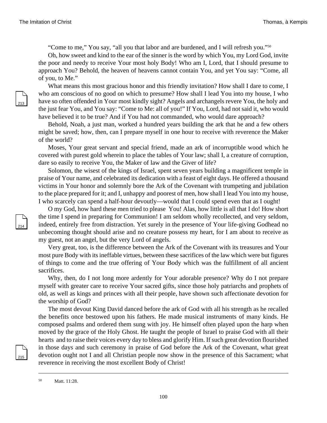"Come to me," You say, "all you that labor and are burdened, and I will refresh you."<sup>50</sup>

Oh, how sweet and kind to the ear of the sinner is the word by which You, my Lord God, invite the poor and needy to receive Your most holy Body! Who am I, Lord, that I should presume to approach You? Behold, the heaven of heavens cannot contain You, and yet You say: "Come, all of you, to Me."

What means this most gracious honor and this friendly invitation? How shall I dare to come, I who am conscious of no good on which to presume? How shall I lead You into my house, I who have so often offended in Your most kindly sight? Angels and archangels revere You, the holy and the just fear You, and You say: "Come to Me: all of you!" If You, Lord, had not said it, who would have believed it to be true? And if You had not commanded, who would dare approach?

Behold, Noah, a just man, worked a hundred years building the ark that he and a few others might be saved; how, then, can I prepare myself in one hour to receive with reverence the Maker of the world?

Moses, Your great servant and special friend, made an ark of incorruptible wood which he covered with purest gold wherein to place the tables of Your law; shall I, a creature of corruption, dare so easily to receive You, the Maker of law and the Giver of life?

Solomon, the wisest of the kings of Israel, spent seven years building a magnificent temple in praise of Your name, and celebrated its dedication with a feast of eight days. He offered a thousand victims in Your honor and solemnly bore the Ark of the Covenant with trumpeting and jubilation to the place prepared for it; and I, unhappy and poorest of men, how shall I lead You into my house, I who scarcely can spend a half-hour devoutly—would that I could spend even that as I ought!

O my God, how hard these men tried to please You! Alas, how little is all that I do! How short the time I spend in preparing for Communion! I am seldom wholly recollected, and very seldom, indeed, entirely free from distraction. Yet surely in the presence of Your life-giving Godhead no unbecoming thought should arise and no creature possess my heart, for I am about to receive as my guest, not an angel, but the very Lord of angels.

Very great, too, is the difference between the Ark of the Covenant with its treasures and Your most pure Body with its ineffable virtues, between these sacrifices of the law which were but figures of things to come and the true offering of Your Body which was the fulfillment of all ancient sacrifices.

Why, then, do I not long more ardently for Your adorable presence? Why do I not prepare myself with greater care to receive Your sacred gifts, since those holy patriarchs and prophets of old, as well as kings and princes with all their people, have shown such affectionate devotion for the worship of God?

The most devout King David danced before the ark of God with all his strength as he recalled the benefits once bestowed upon his fathers. He made musical instruments of many kinds. He composed psalms and ordered them sung with joy. He himself often played upon the harp when moved by the grace of the Holy Ghost. He taught the people of Israel to praise God with all their hearts and to raise their voices every day to bless and glorify Him. If such great devotion flourished in those days and such ceremony in praise of God before the Ark of the Covenant, what great devotion ought not I and all Christian people now show in the presence of this Sacrament; what reverence in receiving the most excellent Body of Christ!



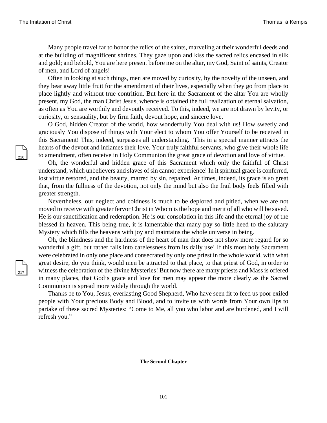Many people travel far to honor the relics of the saints, marveling at their wonderful deeds and at the building of magnificent shrines. They gaze upon and kiss the sacred relics encased in silk and gold; and behold, You are here present before me on the altar, my God, Saint of saints, Creator of men, and Lord of angels!

Often in looking at such things, men are moved by curiosity, by the novelty of the unseen, and they bear away little fruit for the amendment of their lives, especially when they go from place to place lightly and without true contrition. But here in the Sacrament of the altar You are wholly present, my God, the man Christ Jesus, whence is obtained the full realization of eternal salvation, as often as You are worthily and devoutly received. To this, indeed, we are not drawn by levity, or curiosity, or sensuality, but by firm faith, devout hope, and sincere love.

O God, hidden Creator of the world, how wonderfully You deal with us! How sweetly and graciously You dispose of things with Your elect to whom You offer Yourself to be received in this Sacrament! This, indeed, surpasses all understanding. This in a special manner attracts the hearts of the devout and inflames their love. Your truly faithful servants, who give their whole life to amendment, often receive in Holy Communion the great grace of devotion and love of virtue.

Oh, the wonderful and hidden grace of this Sacrament which only the faithful of Christ understand, which unbelievers and slaves of sin cannot experience! In it spiritual grace is conferred, lost virtue restored, and the beauty, marred by sin, repaired. At times, indeed, its grace is so great that, from the fullness of the devotion, not only the mind but also the frail body feels filled with greater strength.

Nevertheless, our neglect and coldness is much to be deplored and pitied, when we are not moved to receive with greater fervor Christ in Whom is the hope and merit of all who will be saved. He is our sanctification and redemption. He is our consolation in this life and the eternal joy of the blessed in heaven. This being true, it is lamentable that many pay so little heed to the salutary Mystery which fills the heavens with joy and maintains the whole universe in being.

Oh, the blindness and the hardness of the heart of man that does not show more regard for so wonderful a gift, but rather falls into carelessness from its daily use! If this most holy Sacrament were celebrated in only one place and consecrated by only one priest in the whole world, with what great desire, do you think, would men be attracted to that place, to that priest of God, in order to witness the celebration of the divine Mysteries! But now there are many priests and Mass is offered in many places, that God's grace and love for men may appear the more clearly as the Sacred Communion is spread more widely through the world.

Thanks be to You, Jesus, everlasting Good Shepherd, Who have seen fit to feed us poor exiled people with Your precious Body and Blood, and to invite us with words from Your own lips to partake of these sacred Mysteries: "Come to Me, all you who labor and are burdened, and I will refresh you."

216

217

### **The Second Chapter**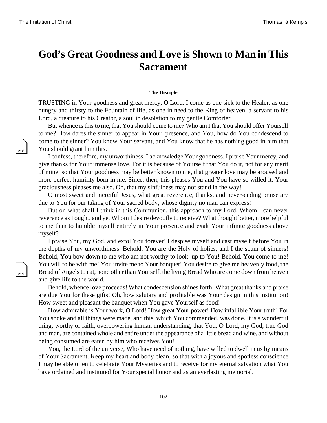# **God's Great Goodness and Love is Shown to Man in This Sacrament**

### **The Disciple**

TRUSTING in Your goodness and great mercy, O Lord, I come as one sick to the Healer, as one hungry and thirsty to the Fountain of life, as one in need to the King of heaven, a servant to his Lord, a creature to his Creator, a soul in desolation to my gentle Comforter.

But whence is this to me, that You should come to me? Who am I that You should offer Yourself to me? How dares the sinner to appear in Your presence, and You, how do You condescend to come to the sinner? You know Your servant, and You know that he has nothing good in him that You should grant him this.

I confess, therefore, my unworthiness. I acknowledge Your goodness. I praise Your mercy, and give thanks for Your immense love. For it is because of Yourself that You do it, not for any merit of mine; so that Your goodness may be better known to me, that greater love may be aroused and more perfect humility born in me. Since, then, this pleases You and You have so willed it, Your graciousness pleases me also. Oh, that my sinfulness may not stand in the way!

O most sweet and merciful Jesus, what great reverence, thanks, and never-ending praise are due to You for our taking of Your sacred body, whose dignity no man can express!

But on what shall I think in this Communion, this approach to my Lord, Whom I can never reverence as I ought, and yet Whom I desire devoutly to receive? What thought better, more helpful to me than to humble myself entirely in Your presence and exalt Your infinite goodness above myself?

I praise You, my God, and extol You forever! I despise myself and cast myself before You in the depths of my unworthiness. Behold, You are the Holy of holies, and I the scum of sinners! Behold, You bow down to me who am not worthy to look up to You! Behold, You come to me! You will to be with me! You invite me to Your banquet! You desire to give me heavenly food, the Bread of Angels to eat, none other than Yourself, the living Bread Who are come down from heaven and give life to the world.

Behold, whence love proceeds! What condescension shines forth! What great thanks and praise are due You for these gifts! Oh, how salutary and profitable was Your design in this institution! How sweet and pleasant the banquet when You gave Yourself as food!

How admirable is Your work, O Lord! How great Your power! How infallible Your truth! For You spoke and all things were made, and this, which You commanded, was done. It is a wonderful thing, worthy of faith, overpowering human understanding, that You, O Lord, my God, true God and man, are contained whole and entire under the appearance of a little bread and wine, and without being consumed are eaten by him who receives You!

You, the Lord of the universe, Who have need of nothing, have willed to dwell in us by means of Your Sacrament. Keep my heart and body clean, so that with a joyous and spotless conscience I may be able often to celebrate Your Mysteries and to receive for my eternal salvation what You have ordained and instituted for Your special honor and as an everlasting memorial.

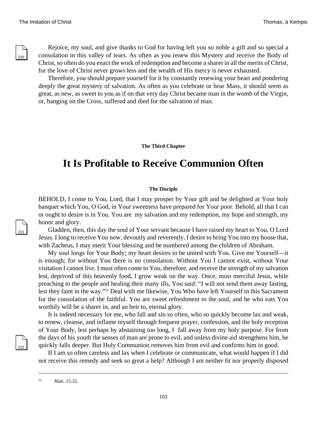

<span id="page-108-1"></span>Rejoice, my soul, and give thanks to God for having left you so noble a gift and so special a consolation in this valley of tears. As often as you renew this Mystery and receive the Body of Christ, so often do you enact the work of redemption and become a sharer in all the merits of Christ, for the love of Christ never grows less and the wealth of His mercy is never exhausted.

Therefore, you should prepare yourself for it by constantly renewing your heart and pondering deeply the great mystery of salvation. As often as you celebrate or hear Mass, it should seem as great, as new, as sweet to you as if on that very day Christ became man in the womb of the Virgin, or, hanging on the Cross, suffered and died for the salvation of man.

**The Third Chapter**

### **It Is Profitable to Receive Communion Often**

#### **The Disciple**

<span id="page-108-2"></span>BEHOLD, I come to You, Lord, that I may prosper by Your gift and be delighted at Your holy banquet which You, O God, in Your sweetness have prepared for Your poor. Behold, all that I can or ought to desire is in You. You are my salvation and my redemption, my hope and strength, my honor and glory.

Gladden, then, this day the soul of Your servant because I have raised my heart to You, O Lord Jesus. I long to receive You now, devoutly and reverently. I desire to bring You into my house that, with Zacheus, I may merit Your blessing and be numbered among the children of Abraham.

My soul longs for Your Body; my heart desires to be united with You. Give me Yourself—it is enough; for without You there is no consolation. Without You I cannot exist, without Your visitation I cannot live. I must often come to You, therefore, and receive the strength of my salvation lest, deprived of this heavenly food, I grow weak on the way. Once, most merciful Jesus, while preaching to the people and healing their many ills, You said: "I will not send them away fasting, lest they faint in the way."51 Deal with me likewise, You Who have left Yourself in this Sacrament for the consolation of the faithful. You are sweet refreshment to the soul, and he who eats You worthily will be a sharer in, and an heir to, eternal glory.

<span id="page-108-3"></span>It is indeed necessary for me, who fall and sin so often, who so quickly become lax and weak, to renew, cleanse, and inflame myself through frequent prayer, confession, and the holy reception of Your Body, lest perhaps by abstaining too long, I fall away from my holy purpose. For from the days of his youth the senses of man are prone to evil, and unless divine aid strengthens him, he quickly falls deeper. But Holy Communion removes him from evil and confirms him in good.

<span id="page-108-0"></span>If I am so often careless and lax when I celebrate or communicate, what would happen if I did not receive this remedy and seek so great a help? Although I am neither fit nor properly disposed



<sup>51</sup> [Matt. 15:32](http://www.ccel.org/b/bible/asv/xml/asv.Matt.15.xml#Matt.15.32).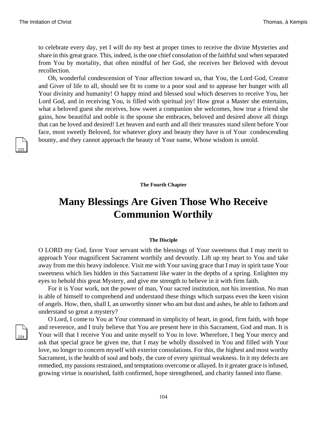to celebrate every day, yet I will do my best at proper times to receive the divine Mysteries and share in this great grace. This, indeed, is the one chief consolation of the faithful soul when separated from You by mortality, that often mindful of her God, she receives her Beloved with devout recollection.

Oh, wonderful condescension of Your affection toward us, that You, the Lord God, Creator and Giver of life to all, should see fit to come to a poor soul and to appease her hunger with all Your divinity and humanity! O happy mind and blessed soul which deserves to receive You, her Lord God, and in receiving You, is filled with spiritual joy! How great a Master she entertains, what a beloved guest she receives, how sweet a companion she welcomes, how true a friend she gains, how beautiful and noble is the spouse she embraces, beloved and desired above all things that can be loved and desired! Let heaven and earth and all their treasures stand silent before Your face, most sweetly Beloved, for whatever glory and beauty they have is of Your condescending bounty, and they cannot approach the beauty of Your name, Whose wisdom is untold.

**The Fourth Chapter**

# **Many Blessings Are Given Those Who Receive Communion Worthily**

#### **The Disciple**

O LORD my God, favor Your servant with the blessings of Your sweetness that I may merit to approach Your magnificent Sacrament worthily and devoutly. Lift up my heart to You and take away from me this heavy indolence. Visit me with Your saving grace that I may in spirit taste Your sweetness which lies hidden in this Sacrament like water in the depths of a spring. Enlighten my eyes to behold this great Mystery, and give me strength to believe in it with firm faith.

<span id="page-109-1"></span>For it is Your work, not the power of man, Your sacred institution, not his invention. No man is able of himself to comprehend and understand these things which surpass even the keen vision of angels. How, then, shall I, an unworthy sinner who am but dust and ashes, be able to fathom and understand so great a mystery?



<span id="page-109-0"></span>223

O Lord, I come to You at Your command in simplicity of heart, in good, firm faith, with hope and reverence, and I truly believe that You are present here in this Sacrament, God and man. It is Your will that I receive You and unite myself to You in love. Wherefore, I beg Your mercy and ask that special grace be given me, that I may be wholly dissolved in You and filled with Your love, no longer to concern myself with exterior consolations. For this, the highest and most worthy Sacrament, is the health of soul and body, the cure of every spiritual weakness. In it my defects are remedied, my passions restrained, and temptations overcome or allayed. In it greater grace is infused, growing virtue is nourished, faith confirmed, hope strengthened, and charity fanned into flame.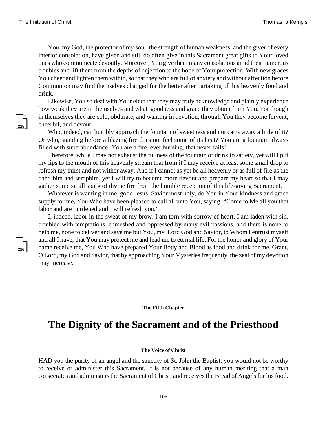226

You, my God, the protector of my soul, the strength of human weakness, and the giver of every interior consolation, have given and still do often give in this Sacrament great gifts to Your loved ones who communicate devoutly. Moreover, You give them many consolations amid their numerous troubles and lift them from the depths of dejection to the hope of Your protection. With new graces You cheer and lighten them within, so that they who are full of anxiety and without affection before Communion may find themselves changed for the better after partaking of this heavenly food and drink.

<span id="page-110-0"></span>Likewise, You so deal with Your elect that they may truly acknowledge and plainly experience how weak they are in themselves and what goodness and grace they obtain from You. For though in themselves they are cold, obdurate, and wanting in devotion, through You they become fervent, cheerful, and devout.

Who, indeed, can humbly approach the fountain of sweetness and not carry away a little of it? Or who, standing before a blazing fire does not feel some of its heat? You are a fountain always filled with superabundance! You are a fire, ever burning, that never fails!

Therefore, while I may not exhaust the fullness of the fountain or drink to satiety, yet will I put my lips to the mouth of this heavenly stream that from it I may receive at least some small drop to refresh my thirst and not wither away. And if I cannot as yet be all heavenly or as full of fire as the cherubim and seraphim, yet I will try to become more devout and prepare my heart so that I may gather some small spark of divine fire from the humble reception of this life-giving Sacrament.

Whatever is wanting in me, good Jesus, Savior most holy, do You in Your kindness and grace supply for me, You Who have been pleased to call all unto You, saying: "Come to Me all you that labor and are burdened and I will refresh you."

<span id="page-110-1"></span>I, indeed, labor in the sweat of my brow. I am torn with sorrow of heart. I am laden with sin, troubled with temptations, enmeshed and oppressed by many evil passions, and there is none to help me, none to deliver and save me but You, my Lord God and Savior, to Whom I entrust myself and all I have, that You may protect me and lead me to eternal life. For the honor and glory of Your name receive me, You Who have prepared Your Body and Blood as food and drink for me. Grant, O Lord, my God and Savior, that by approaching Your Mysteries frequently, the zeal of my devotion may increase.

**The Fifth Chapter**

### **The Dignity of the Sacrament and of the Priesthood**

#### **The Voice of Christ**

HAD you the purity of an angel and the sanctity of St. John the Baptist, you would not be worthy to receive or administer this Sacrament. It is not because of any human meriting that a man consecrates and administers the Sacrament of Christ, and receives the Bread of Angels for his food.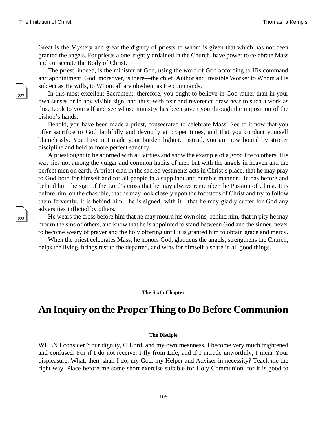Great is the Mystery and great the dignity of priests to whom is given that which has not been granted the angels. For priests alone, rightly ordained in the Church, have power to celebrate Mass and consecrate the Body of Christ.

<span id="page-111-0"></span>The priest, indeed, is the minister of God, using the word of God according to His command and appointment. God, moreover, is there—the chief Author and invisible Worker to Whom all is subject as He wills, to Whom all are obedient as He commands.

In this most excellent Sacrament, therefore, you ought to believe in God rather than in your own senses or in any visible sign, and thus, with fear and reverence draw near to such a work as this. Look to yourself and see whose ministry has been given you through the imposition of the bishop's hands.

Behold, you have been made a priest, consecrated to celebrate Mass! See to it now that you offer sacrifice to God faithfully and devoutly at proper times, and that you conduct yourself blamelessly. You have not made your burden lighter. Instead, you are now bound by stricter discipline and held to more perfect sanctity.

A priest ought to be adorned with all virtues and show the example of a good life to others. His way lies not among the vulgar and common habits of men but with the angels in heaven and the perfect men on earth. A priest clad in the sacred vestments acts in Christ's place, that he may pray to God both for himself and for all people in a suppliant and humble manner. He has before and behind him the sign of the Lord's cross that he may always remember the Passion of Christ. It is before him, on the chasuble, that he may look closely upon the footsteps of Christ and try to follow them fervently. It is behind him—he is signed with it—that he may gladly suffer for God any adversities inflicted by others.

<span id="page-111-1"></span>228

227

He wears the cross before him that he may mourn his own sins, behind him, that in pity he may mourn the sins of others, and know that he is appointed to stand between God and the sinner, never to become weary of prayer and the holy offering until it is granted him to obtain grace and mercy.

When the priest celebrates Mass, he honors God, gladdens the angels, strengthens the Church, helps the living, brings rest to the departed, and wins for himself a share in all good things.

#### **The Sixth Chapter**

### **An Inquiry on the Proper Thing to Do Before Communion**

#### **The Disciple**

WHEN I consider Your dignity, O Lord, and my own meanness, I become very much frightened and confused. For if I do not receive, I fly from Life, and if I intrude unworthily, I incur Your displeasure. What, then, shall I do, my God, my Helper and Adviser in necessity? Teach me the right way. Place before me some short exercise suitable for Holy Communion, for it is good to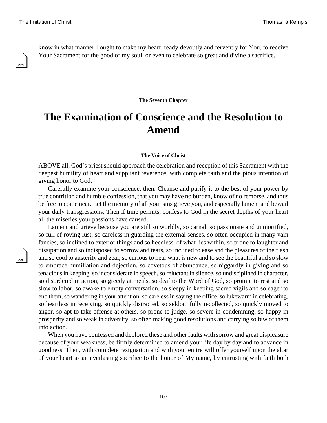<span id="page-112-0"></span>know in what manner I ought to make my heart ready devoutly and fervently for You, to receive Your Sacrament for the good of my soul, or even to celebrate so great and divine a sacrifice.

**The Seventh Chapter**

# **The Examination of Conscience and the Resolution to Amend**

#### **The Voice of Christ**

ABOVE all, God's priest should approach the celebration and reception of this Sacrament with the deepest humility of heart and suppliant reverence, with complete faith and the pious intention of giving honor to God.

Carefully examine your conscience, then. Cleanse and purify it to the best of your power by true contrition and humble confession, that you may have no burden, know of no remorse, and thus be free to come near. Let the memory of all your sins grieve you, and especially lament and bewail your daily transgressions. Then if time permits, confess to God in the secret depths of your heart all the miseries your passions have caused.

<span id="page-112-1"></span>Lament and grieve because you are still so worldly, so carnal, so passionate and unmortified, so full of roving lust, so careless in guarding the external senses, so often occupied in many vain fancies, so inclined to exterior things and so heedless of what lies within, so prone to laughter and dissipation and so indisposed to sorrow and tears, so inclined to ease and the pleasures of the flesh and so cool to austerity and zeal, so curious to hear what is new and to see the beautiful and so slow to embrace humiliation and dejection, so covetous of abundance, so niggardly in giving and so tenacious in keeping, so inconsiderate in speech, so reluctant in silence, so undisciplined in character, so disordered in action, so greedy at meals, so deaf to the Word of God, so prompt to rest and so slow to labor, so awake to empty conversation, so sleepy in keeping sacred vigils and so eager to end them, so wandering in your attention, so careless in saying the office, so lukewarm in celebrating, so heartless in receiving, so quickly distracted, so seldom fully recollected, so quickly moved to anger, so apt to take offense at others, so prone to judge, so severe in condemning, so happy in prosperity and so weak in adversity, so often making good resolutions and carrying so few of them into action.

When you have confessed and deplored these and other faults with sorrow and great displeasure because of your weakness, be firmly determined to amend your life day by day and to advance in goodness. Then, with complete resignation and with your entire will offer yourself upon the altar of your heart as an everlasting sacrifice to the honor of My name, by entrusting with faith both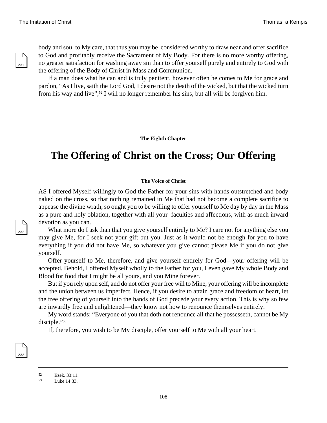

<span id="page-113-2"></span>body and soul to My care, that thus you may be considered worthy to draw near and offer sacrifice to God and profitably receive the Sacrament of My Body. For there is no more worthy offering, no greater satisfaction for washing away sin than to offer yourself purely and entirely to God with the offering of the Body of Christ in Mass and Communion.

If a man does what he can and is truly penitent, however often he comes to Me for grace and pardon, "As I live, saith the Lord God, I desire not the death of the wicked, but that the wicked turn from his way and live";52 I will no longer remember his sins, but all will be forgiven him.

**The Eighth Chapter**

## **The Offering of Christ on the Cross; Our Offering**

#### **The Voice of Christ**

<span id="page-113-3"></span>AS I offered Myself willingly to God the Father for your sins with hands outstretched and body naked on the cross, so that nothing remained in Me that had not become a complete sacrifice to appease the divine wrath, so ought you to be willing to offer yourself to Me day by day in the Mass as a pure and holy oblation, together with all your faculties and affections, with as much inward devotion as you can.

What more do I ask than that you give yourself entirely to Me? I care not for anything else you may give Me, for I seek not your gift but you. Just as it would not be enough for you to have everything if you did not have Me, so whatever you give cannot please Me if you do not give yourself.

Offer yourself to Me, therefore, and give yourself entirely for God—your offering will be accepted. Behold, I offered Myself wholly to the Father for you, I even gave My whole Body and Blood for food that I might be all yours, and you Mine forever.

But if you rely upon self, and do not offer your free will to Mine, your offering will be incomplete and the union between us imperfect. Hence, if you desire to attain grace and freedom of heart, let the free offering of yourself into the hands of God precede your every action. This is why so few are inwardly free and enlightened—they know not how to renounce themselves entirely.

<span id="page-113-4"></span>My word stands: "Everyone of you that doth not renounce all that he possesseth, cannot be My disciple."<sup>53</sup>

<span id="page-113-1"></span><span id="page-113-0"></span>If, therefore, you wish to be My disciple, offer yourself to Me with all your heart.



<sup>52</sup> [Ezek. 33:11.](http://www.ccel.org/b/bible/asv/xml/asv.Ezek.33.xml#Ezek.33.11)

<sup>53</sup> [Luke 14:33](http://www.ccel.org/b/bible/asv/xml/asv.Luke.14.xml#Luke.14.33).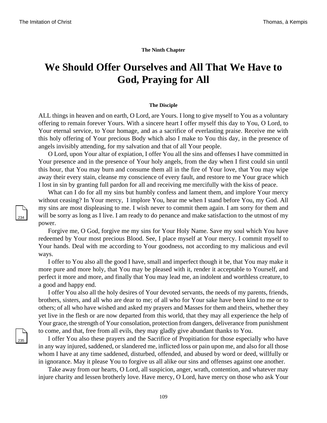**The Ninth Chapter**

### **We Should Offer Ourselves and All That We Have to God, Praying for All**

#### **The Disciple**

ALL things in heaven and on earth, O Lord, are Yours. I long to give myself to You as a voluntary offering to remain forever Yours. With a sincere heart I offer myself this day to You, O Lord, to Your eternal service, to Your homage, and as a sacrifice of everlasting praise. Receive me with this holy offering of Your precious Body which also I make to You this day, in the presence of angels invisibly attending, for my salvation and that of all Your people.

O Lord, upon Your altar of expiation, I offer You all the sins and offenses I have committed in Your presence and in the presence of Your holy angels, from the day when I first could sin until this hour, that You may burn and consume them all in the fire of Your love, that You may wipe away their every stain, cleanse my conscience of every fault, and restore to me Your grace which I lost in sin by granting full pardon for all and receiving me mercifully with the kiss of peace.

<span id="page-114-0"></span>What can I do for all my sins but humbly confess and lament them, and implore Your mercy without ceasing? In Your mercy, I implore You, hear me when I stand before You, my God. All my sins are most displeasing to me. I wish never to commit them again. I am sorry for them and will be sorry as long as I live. I am ready to do penance and make satisfaction to the utmost of my power.

Forgive me, O God, forgive me my sins for Your Holy Name. Save my soul which You have redeemed by Your most precious Blood. See, I place myself at Your mercy. I commit myself to Your hands. Deal with me according to Your goodness, not according to my malicious and evil ways.

I offer to You also all the good I have, small and imperfect though it be, that You may make it more pure and more holy, that You may be pleased with it, render it acceptable to Yourself, and perfect it more and more, and finally that You may lead me, an indolent and worthless creature, to a good and happy end.

<span id="page-114-1"></span>I offer You also all the holy desires of Your devoted servants, the needs of my parents, friends, brothers, sisters, and all who are dear to me; of all who for Your sake have been kind to me or to others; of all who have wished and asked my prayers and Masses for them and theirs, whether they yet live in the flesh or are now departed from this world, that they may all experience the help of Your grace, the strength of Your consolation, protection from dangers, deliverance from punishment to come, and that, free from all evils, they may gladly give abundant thanks to You.

I offer You also these prayers and the Sacrifice of Propitiation for those especially who have in any way injured, saddened, or slandered me, inflicted loss or pain upon me, and also for all those whom I have at any time saddened, disturbed, offended, and abused by word or deed, willfully or in ignorance. May it please You to forgive us all alike our sins and offenses against one another.

Take away from our hearts, O Lord, all suspicion, anger, wrath, contention, and whatever may injure charity and lessen brotherly love. Have mercy, O Lord, have mercy on those who ask Your



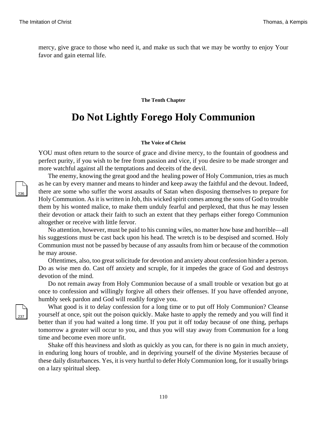mercy, give grace to those who need it, and make us such that we may be worthy to enjoy Your favor and gain eternal life.

**The Tenth Chapter**

### **Do Not Lightly Forego Holy Communion**

#### **The Voice of Christ**

<span id="page-115-0"></span>YOU must often return to the source of grace and divine mercy, to the fountain of goodness and perfect purity, if you wish to be free from passion and vice, if you desire to be made stronger and more watchful against all the temptations and deceits of the devil.

The enemy, knowing the great good and the healing power of Holy Communion, tries as much as he can by every manner and means to hinder and keep away the faithful and the devout. Indeed, there are some who suffer the worst assaults of Satan when disposing themselves to prepare for Holy Communion. As it is written in Job, this wicked spirit comes among the sons of God to trouble them by his wonted malice, to make them unduly fearful and perplexed, that thus he may lessen their devotion or attack their faith to such an extent that they perhaps either forego Communion altogether or receive with little fervor.

No attention, however, must be paid to his cunning wiles, no matter how base and horrible—all his suggestions must be cast back upon his head. The wretch is to be despised and scorned. Holy Communion must not be passed by because of any assaults from him or because of the commotion he may arouse.

Oftentimes, also, too great solicitude for devotion and anxiety about confession hinder a person. Do as wise men do. Cast off anxiety and scruple, for it impedes the grace of God and destroys devotion of the mind.

<span id="page-115-1"></span>Do not remain away from Holy Communion because of a small trouble or vexation but go at once to confession and willingly forgive all others their offenses. If you have offended anyone, humbly seek pardon and God will readily forgive you.

What good is it to delay confession for a long time or to put off Holy Communion? Cleanse yourself at once, spit out the poison quickly. Make haste to apply the remedy and you will find it better than if you had waited a long time. If you put it off today because of one thing, perhaps tomorrow a greater will occur to you, and thus you will stay away from Communion for a long time and become even more unfit.

Shake off this heaviness and sloth as quickly as you can, for there is no gain in much anxiety, in enduring long hours of trouble, and in depriving yourself of the divine Mysteries because of these daily disturbances. Yes, it is very hurtful to defer Holy Communion long, for it usually brings on a lazy spiritual sleep.

236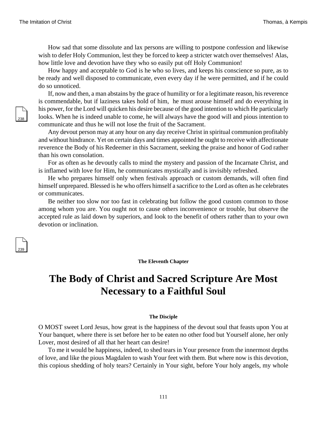How sad that some dissolute and lax persons are willing to postpone confession and likewise wish to defer Holy Communion, lest they be forced to keep a stricter watch over themselves! Alas, how little love and devotion have they who so easily put off Holy Communion!

How happy and acceptable to God is he who so lives, and keeps his conscience so pure, as to be ready and well disposed to communicate, even every day if he were permitted, and if he could do so unnoticed.

<span id="page-116-0"></span>If, now and then, a man abstains by the grace of humility or for a legitimate reason, his reverence is commendable, but if laziness takes hold of him, he must arouse himself and do everything in his power, for the Lord will quicken his desire because of the good intention to which He particularly looks. When he is indeed unable to come, he will always have the good will and pious intention to communicate and thus he will not lose the fruit of the Sacrament.

Any devout person may at any hour on any day receive Christ in spiritual communion profitably and without hindrance. Yet on certain days and times appointed he ought to receive with affectionate reverence the Body of his Redeemer in this Sacrament, seeking the praise and honor of God rather than his own consolation.

For as often as he devoutly calls to mind the mystery and passion of the Incarnate Christ, and is inflamed with love for Him, he communicates mystically and is invisibly refreshed.

He who prepares himself only when festivals approach or custom demands, will often find himself unprepared. Blessed is he who offers himself a sacrifice to the Lord as often as he celebrates or communicates.

<span id="page-116-1"></span>Be neither too slow nor too fast in celebrating but follow the good custom common to those among whom you are. You ought not to cause others inconvenience or trouble, but observe the accepted rule as laid down by superiors, and look to the benefit of others rather than to your own devotion or inclination.

**The Eleventh Chapter**

## **The Body of Christ and Sacred Scripture Are Most Necessary to a Faithful Soul**

#### **The Disciple**

O MOST sweet Lord Jesus, how great is the happiness of the devout soul that feasts upon You at Your banquet, where there is set before her to be eaten no other food but Yourself alone, her only Lover, most desired of all that her heart can desire!

To me it would be happiness, indeed, to shed tears in Your presence from the innermost depths of love, and like the pious Magdalen to wash Your feet with them. But where now is this devotion, this copious shedding of holy tears? Certainly in Your sight, before Your holy angels, my whole

238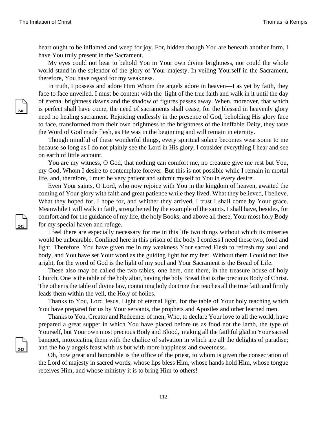heart ought to be inflamed and weep for joy. For, hidden though You are beneath another form, I have You truly present in the Sacrament.

My eyes could not bear to behold You in Your own divine brightness, nor could the whole world stand in the splendor of the glory of Your majesty. In veiling Yourself in the Sacrament, therefore, You have regard for my weakness.

<span id="page-117-0"></span>In truth, I possess and adore Him Whom the angels adore in heaven—I as yet by faith, they face to face unveiled. I must be content with the light of the true faith and walk in it until the day of eternal brightness dawns and the shadow of figures passes away. When, moreover, that which is perfect shall have come, the need of sacraments shall cease, for the blessed in heavenly glory need no healing sacrament. Rejoicing endlessly in the presence of God, beholding His glory face to face, transformed from their own brightness to the brightness of the ineffable Deity, they taste the Word of God made flesh, as He was in the beginning and will remain in eternity.

Though mindful of these wonderful things, every spiritual solace becomes wearisome to me because so long as I do not plainly see the Lord in His glory, I consider everything I hear and see on earth of little account.

You are my witness, O God, that nothing can comfort me, no creature give me rest but You, my God, Whom I desire to contemplate forever. But this is not possible while I remain in mortal life, and, therefore, I must be very patient and submit myself to You in every desire.

<span id="page-117-1"></span>Even Your saints, O Lord, who now rejoice with You in the kingdom of heaven, awaited the coming of Your glory with faith and great patience while they lived. What they believed, I believe. What they hoped for, I hope for, and whither they arrived, I trust I shall come by Your grace. Meanwhile I will walk in faith, strengthened by the example of the saints. I shall have, besides, for comfort and for the guidance of my life, the holy Books, and above all these, Your most holy Body for my special haven and refuge.

I feel there are especially necessary for me in this life two things without which its miseries would be unbearable. Confined here in this prison of the body I confess I need these two, food and light. Therefore, You have given me in my weakness Your sacred Flesh to refresh my soul and body, and You have set Your word as the guiding light for my feet. Without them I could not live aright, for the word of God is the light of my soul and Your Sacrament is the Bread of Life.

These also may be called the two tables, one here, one there, in the treasure house of holy Church. One is the table of the holy altar, having the holy Bread that is the precious Body of Christ. The other is the table of divine law, containing holy doctrine that teaches all the true faith and firmly leads them within the veil, the Holy of holies.

<span id="page-117-2"></span>Thanks to You, Lord Jesus, Light of eternal light, for the table of Your holy teaching which You have prepared for us by Your servants, the prophets and Apostles and other learned men.

Thanks to You, Creator and Redeemer of men, Who, to declare Your love to all the world, have prepared a great supper in which You have placed before us as food not the lamb, the type of Yourself, but Your own most precious Body and Blood, making all the faithful glad in Your sacred banquet, intoxicating them with the chalice of salvation in which are all the delights of paradise; and the holy angels feast with us but with more happiness and sweetness.

Oh, how great and honorable is the office of the priest, to whom is given the consecration of the Lord of majesty in sacred words, whose lips bless Him, whose hands hold Him, whose tongue receives Him, and whose ministry it is to bring Him to others!





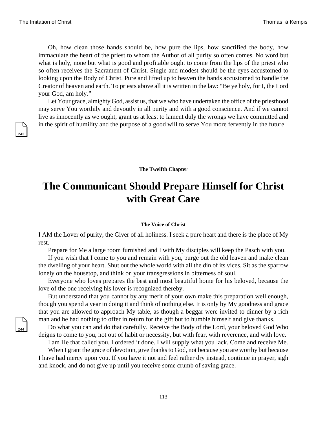Oh, how clean those hands should be, how pure the lips, how sanctified the body, how immaculate the heart of the priest to whom the Author of all purity so often comes. No word but what is holy, none but what is good and profitable ought to come from the lips of the priest who so often receives the Sacrament of Christ. Single and modest should be the eyes accustomed to looking upon the Body of Christ. Pure and lifted up to heaven the hands accustomed to handle the Creator of heaven and earth. To priests above all it is written in the law: "Be ye holy, for I, the Lord your God, am holy."

<span id="page-118-0"></span>Let Your grace, almighty God, assist us, that we who have undertaken the office of the priesthood may serve You worthily and devoutly in all purity and with a good conscience. And if we cannot live as innocently as we ought, grant us at least to lament duly the wrongs we have committed and in the spirit of humility and the purpose of a good will to serve You more fervently in the future.



# **The Communicant Should Prepare Himself for Christ with Great Care**

#### **The Voice of Christ**

I AM the Lover of purity, the Giver of all holiness. I seek a pure heart and there is the place of My rest.

Prepare for Me a large room furnished and I with My disciples will keep the Pasch with you.

If you wish that I come to you and remain with you, purge out the old leaven and make clean the dwelling of your heart. Shut out the whole world with all the din of its vices. Sit as the sparrow lonely on the housetop, and think on your transgressions in bitterness of soul.

<span id="page-118-1"></span>Everyone who loves prepares the best and most beautiful home for his beloved, because the love of the one receiving his lover is recognized thereby.

But understand that you cannot by any merit of your own make this preparation well enough, though you spend a year in doing it and think of nothing else. It is only by My goodness and grace that you are allowed to approach My table, as though a beggar were invited to dinner by a rich man and he had nothing to offer in return for the gift but to humble himself and give thanks.

Do what you can and do that carefully. Receive the Body of the Lord, your beloved God Who deigns to come to you, not out of habit or necessity, but with fear, with reverence, and with love.

I am He that called you. I ordered it done. I will supply what you lack. Come and receive Me. When I grant the grace of devotion, give thanks to God, not because you are worthy but because I have had mercy upon you. If you have it not and feel rather dry instead, continue in prayer, sigh and knock, and do not give up until you receive some crumb of saving grace.

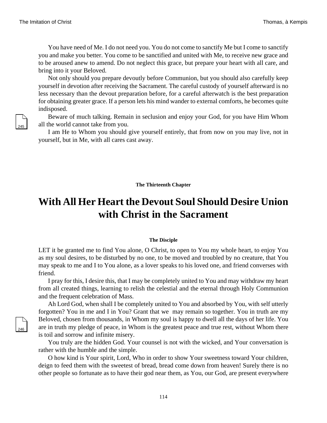You have need of Me. I do not need you. You do not come to sanctify Me but I come to sanctify you and make you better. You come to be sanctified and united with Me, to receive new grace and to be aroused anew to amend. Do not neglect this grace, but prepare your heart with all care, and bring into it your Beloved.

Not only should you prepare devoutly before Communion, but you should also carefully keep yourself in devotion after receiving the Sacrament. The careful custody of yourself afterward is no less necessary than the devout preparation before, for a careful afterwatch is the best preparation for obtaining greater grace. If a person lets his mind wander to external comforts, he becomes quite indisposed.



<span id="page-119-0"></span>Beware of much talking. Remain in seclusion and enjoy your God, for you have Him Whom all the world cannot take from you.

I am He to Whom you should give yourself entirely, that from now on you may live, not in yourself, but in Me, with all cares cast away.

**The Thirteenth Chapter**

## **With All Her Heart the Devout Soul Should Desire Union with Christ in the Sacrament**

#### **The Disciple**

LET it be granted me to find You alone, O Christ, to open to You my whole heart, to enjoy You as my soul desires, to be disturbed by no one, to be moved and troubled by no creature, that You may speak to me and I to You alone, as a lover speaks to his loved one, and friend converses with friend.

<span id="page-119-1"></span>I pray for this, I desire this, that I may be completely united to You and may withdraw my heart from all created things, learning to relish the celestial and the eternal through Holy Communion and the frequent celebration of Mass.

Ah Lord God, when shall I be completely united to You and absorbed by You, with self utterly forgotten? You in me and I in You? Grant that we may remain so together. You in truth are my Beloved, chosen from thousands, in Whom my soul is happy to dwell all the days of her life. You are in truth my pledge of peace, in Whom is the greatest peace and true rest, without Whom there is toil and sorrow and infinite misery.

You truly are the hidden God. Your counsel is not with the wicked, and Your conversation is rather with the humble and the simple.

O how kind is Your spirit, Lord, Who in order to show Your sweetness toward Your children, deign to feed them with the sweetest of bread, bread come down from heaven! Surely there is no other people so fortunate as to have their god near them, as You, our God, are present everywhere

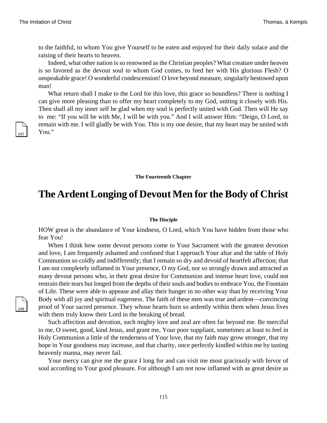to the faithful, to whom You give Yourself to be eaten and enjoyed for their daily solace and the raising of their hearts to heaven.

Indeed, what other nation is so renowned as the Christian peoples? What creature under heaven is so favored as the devout soul to whom God comes, to feed her with His glorious Flesh? O unspeakable grace! O wonderful condescension! O love beyond measure, singularly bestowed upon man!

<span id="page-120-0"></span>What return shall I make to the Lord for this love, this grace so boundless? There is nothing I can give more pleasing than to offer my heart completely to my God, uniting it closely with His. Then shall all my inner self be glad when my soul is perfectly united with God. Then will He say to me: "If you will be with Me, I will be with you." And I will answer Him: "Deign, O Lord, to remain with me. I will gladly be with You. This is my one desire, that my heart may be united with You."

**The Fourteenth Chapter**

### **The Ardent Longing of Devout Men for the Body of Christ**

#### **The Disciple**

HOW great is the abundance of Your kindness, O Lord, which You have hidden from those who fear You!

<span id="page-120-1"></span>When I think how some devout persons come to Your Sacrament with the greatest devotion and love, I am frequently ashamed and confused that I approach Your altar and the table of Holy Communion so coldly and indifferently; that I remain so dry and devoid of heartfelt affection; that I am not completely inflamed in Your presence, O my God, nor so strongly drawn and attracted as many devout persons who, in their great desire for Communion and intense heart love, could not restrain their tears but longed from the depths of their souls and bodies to embrace You, the Fountain of Life. These were able to appease and allay their hunger in no other way than by receiving Your Body with all joy and spiritual eagerness. The faith of these men was true and ardent—convincing proof of Your sacred presence. They whose hearts burn so ardently within them when Jesus lives with them truly know their Lord in the breaking of bread.

Such affection and devotion, such mighty love and zeal are often far beyond me. Be merciful to me, O sweet, good, kind Jesus, and grant me, Your poor suppliant, sometimes at least to feel in Holy Communion a little of the tenderness of Your love, that my faith may grow stronger, that my hope in Your goodness may increase, and that charity, once perfectly kindled within me by tasting heavenly manna, may never fail.

Your mercy can give me the grace I long for and can visit me most graciously with fervor of soul according to Your good pleasure. For although I am not now inflamed with as great desire as

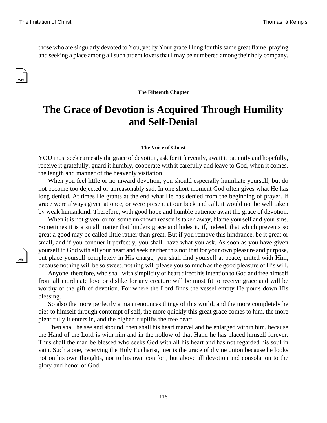those who are singularly devoted to You, yet by Your grace I long for this same great flame, praying and seeking a place among all such ardent lovers that I may be numbered among their holy company.

<span id="page-121-0"></span>249

**The Fifteenth Chapter**

# **The Grace of Devotion is Acquired Through Humility and Self-Denial**

#### **The Voice of Christ**

YOU must seek earnestly the grace of devotion, ask for it fervently, await it patiently and hopefully, receive it gratefully, guard it humbly, cooperate with it carefully and leave to God, when it comes, the length and manner of the heavenly visitation.

When you feel little or no inward devotion, you should especially humiliate yourself, but do not become too dejected or unreasonably sad. In one short moment God often gives what He has long denied. At times He grants at the end what He has denied from the beginning of prayer. If grace were always given at once, or were present at our beck and call, it would not be well taken by weak humankind. Therefore, with good hope and humble patience await the grace of devotion.

<span id="page-121-1"></span>When it is not given, or for some unknown reason is taken away, blame yourself and your sins. Sometimes it is a small matter that hinders grace and hides it, if, indeed, that which prevents so great a good may be called little rather than great. But if you remove this hindrance, be it great or small, and if you conquer it perfectly, you shall have what you ask. As soon as you have given yourself to God with all your heart and seek neither this nor that for your own pleasure and purpose, but place yourself completely in His charge, you shall find yourself at peace, united with Him, because nothing will be so sweet, nothing will please you so much as the good pleasure of His will.

Anyone, therefore, who shall with simplicity of heart direct his intention to God and free himself from all inordinate love or dislike for any creature will be most fit to receive grace and will be worthy of the gift of devotion. For where the Lord finds the vessel empty He pours down His blessing.

So also the more perfectly a man renounces things of this world, and the more completely he dies to himself through contempt of self, the more quickly this great grace comes to him, the more plentifully it enters in, and the higher it uplifts the free heart.

Then shall he see and abound, then shall his heart marvel and be enlarged within him, because the Hand of the Lord is with him and in the hollow of that Hand he has placed himself forever. Thus shall the man be blessed who seeks God with all his heart and has not regarded his soul in vain. Such a one, receiving the Holy Eucharist, merits the grace of divine union because he looks not on his own thoughts, nor to his own comfort, but above all devotion and consolation to the glory and honor of God.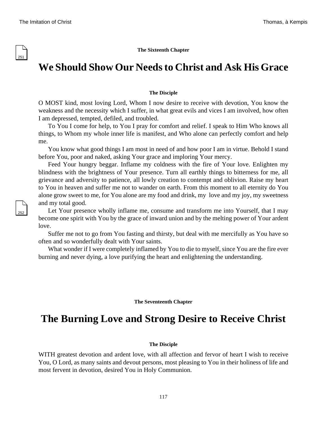<span id="page-122-0"></span>

**The Sixteenth Chapter**

## **We Should Show Our Needs to Christ and Ask His Grace**

#### **The Disciple**

O MOST kind, most loving Lord, Whom I now desire to receive with devotion, You know the weakness and the necessity which I suffer, in what great evils and vices I am involved, how often I am depressed, tempted, defiled, and troubled.

To You I come for help, to You I pray for comfort and relief. I speak to Him Who knows all things, to Whom my whole inner life is manifest, and Who alone can perfectly comfort and help me.

You know what good things I am most in need of and how poor I am in virtue. Behold I stand before You, poor and naked, asking Your grace and imploring Your mercy.

<span id="page-122-1"></span>Feed Your hungry beggar. Inflame my coldness with the fire of Your love. Enlighten my blindness with the brightness of Your presence. Turn all earthly things to bitterness for me, all grievance and adversity to patience, all lowly creation to contempt and oblivion. Raise my heart to You in heaven and suffer me not to wander on earth. From this moment to all eternity do You alone grow sweet to me, for You alone are my food and drink, my love and my joy, my sweetness and my total good.

Let Your presence wholly inflame me, consume and transform me into Yourself, that I may become one spirit with You by the grace of inward union and by the melting power of Your ardent love.

Suffer me not to go from You fasting and thirsty, but deal with me mercifully as You have so often and so wonderfully dealt with Your saints.

What wonder if I were completely inflamed by You to die to myself, since You are the fire ever burning and never dying, a love purifying the heart and enlightening the understanding.

**The Seventeenth Chapter**

### **The Burning Love and Strong Desire to Receive Christ**

#### **The Disciple**

WITH greatest devotion and ardent love, with all affection and fervor of heart I wish to receive You, O Lord, as many saints and devout persons, most pleasing to You in their holiness of life and most fervent in devotion, desired You in Holy Communion.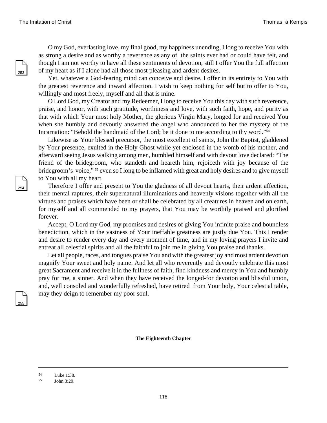254

255

<span id="page-123-2"></span>O my God, everlasting love, my final good, my happiness unending, I long to receive You with as strong a desire and as worthy a reverence as any of the saints ever had or could have felt, and though I am not worthy to have all these sentiments of devotion, still I offer You the full affection of my heart as if I alone had all those most pleasing and ardent desires.

Yet, whatever a God-fearing mind can conceive and desire, I offer in its entirety to You with the greatest reverence and inward affection. I wish to keep nothing for self but to offer to You, willingly and most freely, myself and all that is mine.

O Lord God, my Creator and my Redeemer, I long to receive You this day with such reverence, praise, and honor, with such gratitude, worthiness and love, with such faith, hope, and purity as that with which Your most holy Mother, the glorious Virgin Mary, longed for and received You when she humbly and devoutly answered the angel who announced to her the mystery of the Incarnation: "Behold the handmaid of the Lord; be it done to me according to thy word."<sup>54</sup>

<span id="page-123-3"></span>Likewise as Your blessed precursor, the most excellent of saints, John the Baptist, gladdened by Your presence, exulted in the Holy Ghost while yet enclosed in the womb of his mother, and afterward seeing Jesus walking among men, humbled himself and with devout love declared: "The friend of the bridegroom, who standeth and heareth him, rejoiceth with joy because of the bridegroom's voice," 55 even so I long to be inflamed with great and holy desires and to give myself to You with all my heart.

Therefore I offer and present to You the gladness of all devout hearts, their ardent affection, their mental raptures, their supernatural illuminations and heavenly visions together with all the virtues and praises which have been or shall be celebrated by all creatures in heaven and on earth, for myself and all commended to my prayers, that You may be worthily praised and glorified forever.

Accept, O Lord my God, my promises and desires of giving You infinite praise and boundless benediction, which in the vastness of Your ineffable greatness are justly due You. This I render and desire to render every day and every moment of time, and in my loving prayers I invite and entreat all celestial spirits and all the faithful to join me in giving You praise and thanks.

<span id="page-123-4"></span>Let all people, races, and tongues praise You and with the greatest joy and most ardent devotion magnify Your sweet and holy name. And let all who reverently and devoutly celebrate this most great Sacrament and receive it in the fullness of faith, find kindness and mercy in You and humbly pray for me, a sinner. And when they have received the longed-for devotion and blissful union, and, well consoled and wonderfully refreshed, have retired from Your holy, Your celestial table, may they deign to remember my poor soul.

**The Eighteenth Chapter**

<span id="page-123-1"></span><span id="page-123-0"></span><sup>54</sup> [Luke 1:38.](http://www.ccel.org/b/bible/asv/xml/asv.Luke.1.xml#Luke.1.38)

<sup>55</sup> [John 3:29](http://www.ccel.org/b/bible/asv/xml/asv.John.3.xml#John.3.29).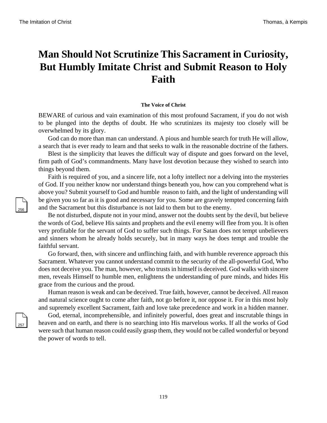# **Man Should Not Scrutinize This Sacrament in Curiosity, But Humbly Imitate Christ and Submit Reason to Holy Faith**

#### **The Voice of Christ**

BEWARE of curious and vain examination of this most profound Sacrament, if you do not wish to be plunged into the depths of doubt. He who scrutinizes its majesty too closely will be overwhelmed by its glory.

God can do more than man can understand. A pious and humble search for truth He will allow, a search that is ever ready to learn and that seeks to walk in the reasonable doctrine of the fathers.

Blest is the simplicity that leaves the difficult way of dispute and goes forward on the level, firm path of God's commandments. Many have lost devotion because they wished to search into things beyond them.

<span id="page-124-0"></span>Faith is required of you, and a sincere life, not a lofty intellect nor a delving into the mysteries of God. If you neither know nor understand things beneath you, how can you comprehend what is above you? Submit yourself to God and humble reason to faith, and the light of understanding will be given you so far as it is good and necessary for you. Some are gravely tempted concerning faith and the Sacrament but this disturbance is not laid to them but to the enemy.

Be not disturbed, dispute not in your mind, answer not the doubts sent by the devil, but believe the words of God, believe His saints and prophets and the evil enemy will flee from you. It is often very profitable for the servant of God to suffer such things. For Satan does not tempt unbelievers and sinners whom he already holds securely, but in many ways he does tempt and trouble the faithful servant.

Go forward, then, with sincere and unflinching faith, and with humble reverence approach this Sacrament. Whatever you cannot understand commit to the security of the all-powerful God, Who does not deceive you. The man, however, who trusts in himself is deceived. God walks with sincere men, reveals Himself to humble men, enlightens the understanding of pure minds, and hides His grace from the curious and the proud.

<span id="page-124-1"></span>Human reason is weak and can be deceived. True faith, however, cannot be deceived. All reason and natural science ought to come after faith, not go before it, nor oppose it. For in this most holy and supremely excellent Sacrament, faith and love take precedence and work in a hidden manner.

God, eternal, incomprehensible, and infinitely powerful, does great and inscrutable things in heaven and on earth, and there is no searching into His marvelous works. If all the works of God were such that human reason could easily grasp them, they would not be called wonderful or beyond the power of words to tell.



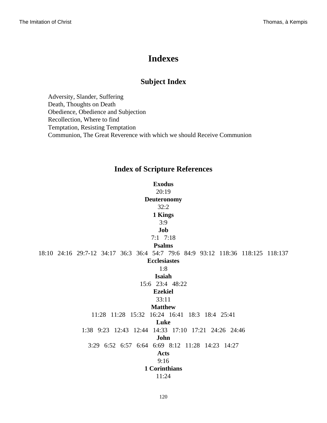### **Indexes**

### **Subject Index**

Adversity, [Slander,](#page-33-0) [Suffering](#page-33-1) Death, [Thoughts on Death](#page-26-0) Obedience, [Obedience and Subjection](#page-14-0) Recollection, [Where to find](#page-33-2) Temptation, [Resisting Temptation](#page-16-0) Communion, [The Great Reverence with which we should Receive Communion](#page-104-0)

### **Index of Scripture References**

**Exodus** [20:19](#page-46-0) **Deuteronomy** [32:2](#page-46-1) **1 Kings** [3:9](#page-46-2) **Job** [7:1](#page-16-1) [7:18](#page-39-0) **Psalms** [18:10](#page-101-0) [24:16](#page-42-0) [29:7-12](#page-39-1) [34:17](#page-25-0)  [36:3](#page-29-0)  [36:4](#page-57-0)  [54:7](#page-74-0)  [79:6](#page-25-1)  [84:9](#page-45-0) [93:12](#page-47-0) [118:36](#page-46-3) [118:125](#page-46-4) [118:137](#page-101-1) **Ecclesiastes** [1:8](#page-9-0) **Isaiah** [15:6](#page-37-0) [23:4](#page-47-1)  [48:22](#page-36-0) **Ezekiel** [33:11](#page-113-0) **Matthew** [11:28](#page-104-1) [11:28](#page-105-0)  [15:32](#page-108-0) [16:24](#page-42-1)  [16:41](#page-81-0)  [18:3](#page-102-0) [18:4](#page-102-0) [25:41](#page-42-2) **Luke** [1:38](#page-123-0) [9:23](#page-44-0)  [12:43](#page-22-0)  [12:44](#page-22-0) [14:33](#page-113-1)  [17:10](#page-42-3) [17:21](#page-32-0) [24:26](#page-43-0)  [24:46](#page-43-0) **John** [3:29](#page-123-1) [6:52](#page-104-2)  [6:57](#page-104-3)  [6:64](#page-104-4) [6:69](#page-46-5)  [8:12](#page-9-1) [11:28](#page-38-0) [14:23](#page-32-1)  [14:27](#page-68-0) **Acts** [9:16](#page-44-1) **1 Corinthians** [11:24](#page-104-5)